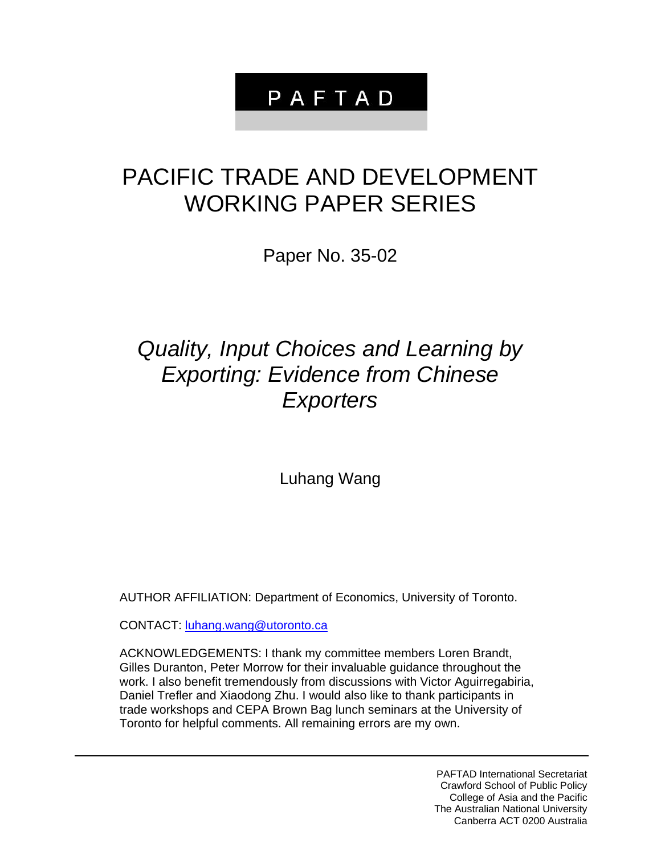# PAFTAD

# PACIFIC TRADE AND DEVELOPMENT WORKING PAPER SERIES

Paper No. 35-02

# *Quality, Input Choices and Learning by Exporting: Evidence from Chinese Exporters*

Luhang Wang

AUTHOR AFFILIATION: Department of Economics, University of Toronto.

CONTACT: luhang.wang@utoronto.ca

ACKNOWLEDGEMENTS: I thank my committee members Loren Brandt, Gilles Duranton, Peter Morrow for their invaluable guidance throughout the work. I also benefit tremendously from discussions with Victor Aguirregabiria, Daniel Trefler and Xiaodong Zhu. I would also like to thank participants in trade workshops and CEPA Brown Bag lunch seminars at the University of Toronto for helpful comments. All remaining errors are my own.

> PAFTAD International Secretariat Crawford School of Public Policy College of Asia and the Pacific The Australian National University Canberra ACT 0200 Australia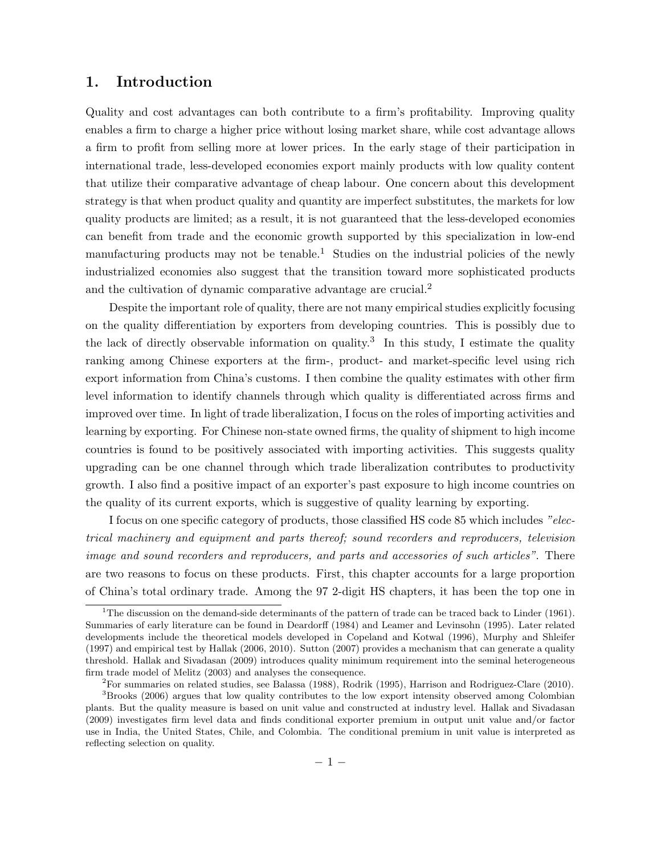## 1. Introduction

Quality and cost advantages can both contribute to a firm's profitability. Improving quality enables a firm to charge a higher price without losing market share, while cost advantage allows a firm to profit from selling more at lower prices. In the early stage of their participation in international trade, less-developed economies export mainly products with low quality content that utilize their comparative advantage of cheap labour. One concern about this development strategy is that when product quality and quantity are imperfect substitutes, the markets for low quality products are limited; as a result, it is not guaranteed that the less-developed economies can benefit from trade and the economic growth supported by this specialization in low-end manufacturing products may not be tenable.<sup>1</sup> Studies on the industrial policies of the newly industrialized economies also suggest that the transition toward more sophisticated products and the cultivation of dynamic comparative advantage are crucial.2

Despite the important role of quality, there are not many empirical studies explicitly focusing on the quality differentiation by exporters from developing countries. This is possibly due to the lack of directly observable information on quality.<sup>3</sup> In this study, I estimate the quality ranking among Chinese exporters at the firm-, product- and market-specific level using rich export information from China's customs. I then combine the quality estimates with other firm level information to identify channels through which quality is differentiated across firms and improved over time. In light of trade liberalization, I focus on the roles of importing activities and learning by exporting. For Chinese non-state owned firms, the quality of shipment to high income countries is found to be positively associated with importing activities. This suggests quality upgrading can be one channel through which trade liberalization contributes to productivity growth. I also find a positive impact of an exporter's past exposure to high income countries on the quality of its current exports, which is suggestive of quality learning by exporting.

I focus on one specific category of products, those classified HS code 85 which includes "electrical machinery and equipment and parts thereof; sound recorders and reproducers, television image and sound recorders and reproducers, and parts and accessories of such articles". There are two reasons to focus on these products. First, this chapter accounts for a large proportion of China's total ordinary trade. Among the 97 2-digit HS chapters, it has been the top one in

<sup>&</sup>lt;sup>1</sup>The discussion on the demand-side determinants of the pattern of trade can be traced back to Linder (1961). Summaries of early literature can be found in Deardorff (1984) and Leamer and Levinsohn (1995). Later related developments include the theoretical models developed in Copeland and Kotwal (1996), Murphy and Shleifer (1997) and empirical test by Hallak (2006, 2010). Sutton (2007) provides a mechanism that can generate a quality threshold. Hallak and Sivadasan (2009) introduces quality minimum requirement into the seminal heterogeneous firm trade model of Melitz (2003) and analyses the consequence.

<sup>2</sup>For summaries on related studies, see Balassa (1988), Rodrik (1995), Harrison and Rodriguez-Clare (2010).

<sup>3</sup>Brooks (2006) argues that low quality contributes to the low export intensity observed among Colombian plants. But the quality measure is based on unit value and constructed at industry level. Hallak and Sivadasan (2009) investigates firm level data and finds conditional exporter premium in output unit value and/or factor use in India, the United States, Chile, and Colombia. The conditional premium in unit value is interpreted as reflecting selection on quality.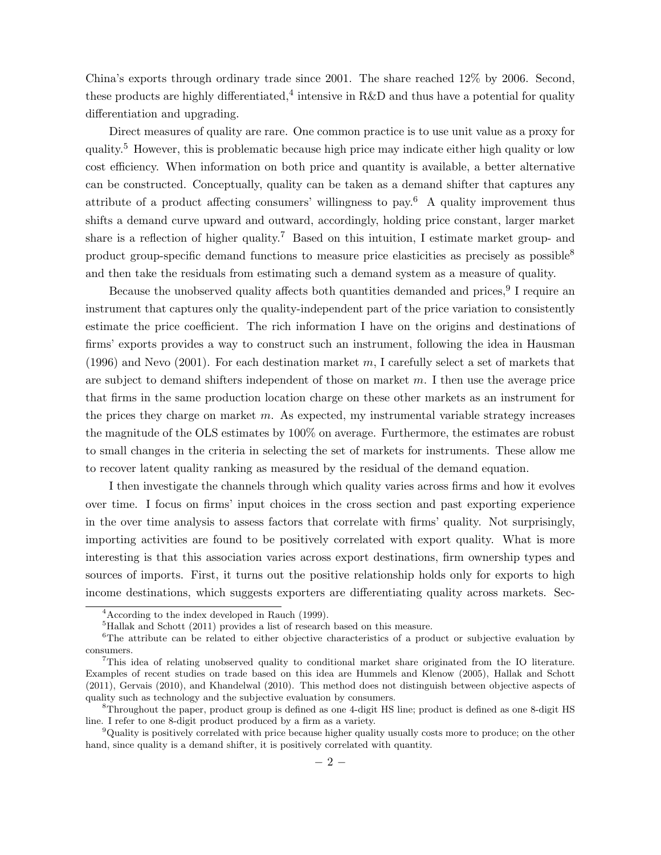China's exports through ordinary trade since 2001. The share reached 12% by 2006. Second, these products are highly differentiated,<sup>4</sup> intensive in R&D and thus have a potential for quality differentiation and upgrading.

Direct measures of quality are rare. One common practice is to use unit value as a proxy for quality.5 However, this is problematic because high price may indicate either high quality or low cost efficiency. When information on both price and quantity is available, a better alternative can be constructed. Conceptually, quality can be taken as a demand shifter that captures any attribute of a product affecting consumers' willingness to pay.<sup>6</sup> A quality improvement thus shifts a demand curve upward and outward, accordingly, holding price constant, larger market share is a reflection of higher quality.<sup>7</sup> Based on this intuition, I estimate market group- and product group-specific demand functions to measure price elasticities as precisely as possible<sup>8</sup> and then take the residuals from estimating such a demand system as a measure of quality.

Because the unobserved quality affects both quantities demanded and prices, <sup>9</sup> I require an instrument that captures only the quality-independent part of the price variation to consistently estimate the price coefficient. The rich information I have on the origins and destinations of firms' exports provides a way to construct such an instrument, following the idea in Hausman (1996) and Nevo (2001). For each destination market  $m$ , I carefully select a set of markets that are subject to demand shifters independent of those on market  $m$ . I then use the average price that firms in the same production location charge on these other markets as an instrument for the prices they charge on market  $m$ . As expected, my instrumental variable strategy increases the magnitude of the OLS estimates by 100% on average. Furthermore, the estimates are robust to small changes in the criteria in selecting the set of markets for instruments. These allow me to recover latent quality ranking as measured by the residual of the demand equation.

I then investigate the channels through which quality varies across firms and how it evolves over time. I focus on firms' input choices in the cross section and past exporting experience in the over time analysis to assess factors that correlate with firms' quality. Not surprisingly, importing activities are found to be positively correlated with export quality. What is more interesting is that this association varies across export destinations, firm ownership types and sources of imports. First, it turns out the positive relationship holds only for exports to high income destinations, which suggests exporters are differentiating quality across markets. Sec-

<sup>4</sup>According to the index developed in Rauch (1999).

<sup>5</sup>Hallak and Schott (2011) provides a list of research based on this measure.

<sup>&</sup>lt;sup>6</sup>The attribute can be related to either objective characteristics of a product or subjective evaluation by consumers.

<sup>7</sup>This idea of relating unobserved quality to conditional market share originated from the IO literature. Examples of recent studies on trade based on this idea are Hummels and Klenow (2005), Hallak and Schott (2011), Gervais (2010), and Khandelwal (2010). This method does not distinguish between objective aspects of quality such as technology and the subjective evaluation by consumers.

<sup>8</sup>Throughout the paper, product group is defined as one 4-digit HS line; product is defined as one 8-digit HS line. I refer to one 8-digit product produced by a firm as a variety.

<sup>9</sup>Quality is positively correlated with price because higher quality usually costs more to produce; on the other hand, since quality is a demand shifter, it is positively correlated with quantity.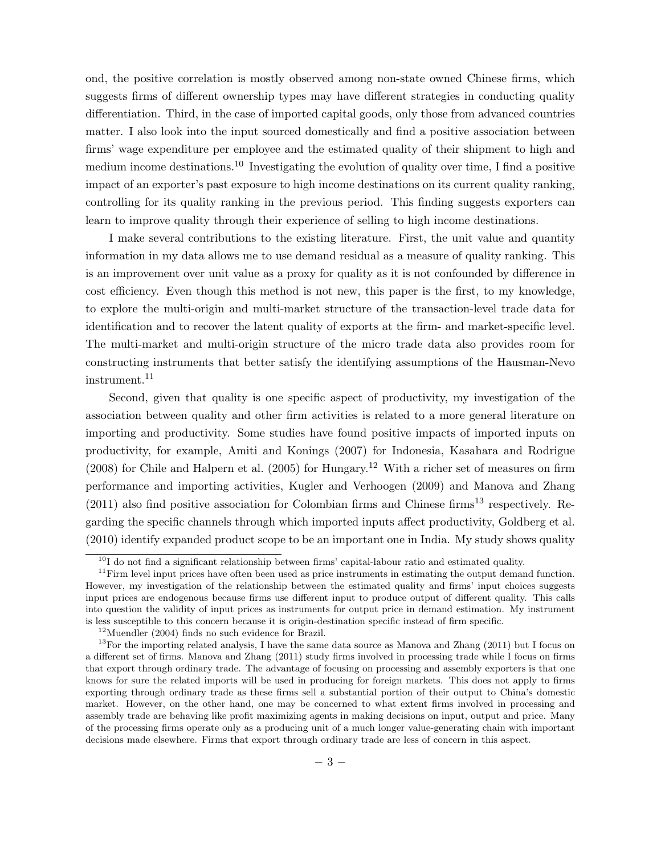ond, the positive correlation is mostly observed among non-state owned Chinese firms, which suggests firms of different ownership types may have different strategies in conducting quality differentiation. Third, in the case of imported capital goods, only those from advanced countries matter. I also look into the input sourced domestically and find a positive association between firms' wage expenditure per employee and the estimated quality of their shipment to high and medium income destinations.10 Investigating the evolution of quality over time, I find a positive impact of an exporter's past exposure to high income destinations on its current quality ranking, controlling for its quality ranking in the previous period. This finding suggests exporters can learn to improve quality through their experience of selling to high income destinations.

I make several contributions to the existing literature. First, the unit value and quantity information in my data allows me to use demand residual as a measure of quality ranking. This is an improvement over unit value as a proxy for quality as it is not confounded by difference in cost efficiency. Even though this method is not new, this paper is the first, to my knowledge, to explore the multi-origin and multi-market structure of the transaction-level trade data for identification and to recover the latent quality of exports at the firm- and market-specific level. The multi-market and multi-origin structure of the micro trade data also provides room for constructing instruments that better satisfy the identifying assumptions of the Hausman-Nevo instrument.<sup>11</sup>

Second, given that quality is one specific aspect of productivity, my investigation of the association between quality and other firm activities is related to a more general literature on importing and productivity. Some studies have found positive impacts of imported inputs on productivity, for example, Amiti and Konings (2007) for Indonesia, Kasahara and Rodrigue  $(2008)$  for Chile and Halpern et al.  $(2005)$  for Hungary.<sup>12</sup> With a richer set of measures on firm performance and importing activities, Kugler and Verhoogen (2009) and Manova and Zhang  $(2011)$  also find positive association for Colombian firms and Chinese firms<sup>13</sup> respectively. Regarding the specific channels through which imported inputs affect productivity, Goldberg et al. (2010) identify expanded product scope to be an important one in India. My study shows quality

<sup>&</sup>lt;sup>10</sup>I do not find a significant relationship between firms' capital-labour ratio and estimated quality.

 $11$ Firm level input prices have often been used as price instruments in estimating the output demand function. However, my investigation of the relationship between the estimated quality and firms' input choices suggests input prices are endogenous because firms use different input to produce output of different quality. This calls into question the validity of input prices as instruments for output price in demand estimation. My instrument is less susceptible to this concern because it is origin-destination specific instead of firm specific.

 $12$ Muendler (2004) finds no such evidence for Brazil.

 $13$ For the importing related analysis, I have the same data source as Manova and Zhang (2011) but I focus on a different set of firms. Manova and Zhang (2011) study firms involved in processing trade while I focus on firms that export through ordinary trade. The advantage of focusing on processing and assembly exporters is that one knows for sure the related imports will be used in producing for foreign markets. This does not apply to firms exporting through ordinary trade as these firms sell a substantial portion of their output to China's domestic market. However, on the other hand, one may be concerned to what extent firms involved in processing and assembly trade are behaving like profit maximizing agents in making decisions on input, output and price. Many of the processing firms operate only as a producing unit of a much longer value-generating chain with important decisions made elsewhere. Firms that export through ordinary trade are less of concern in this aspect.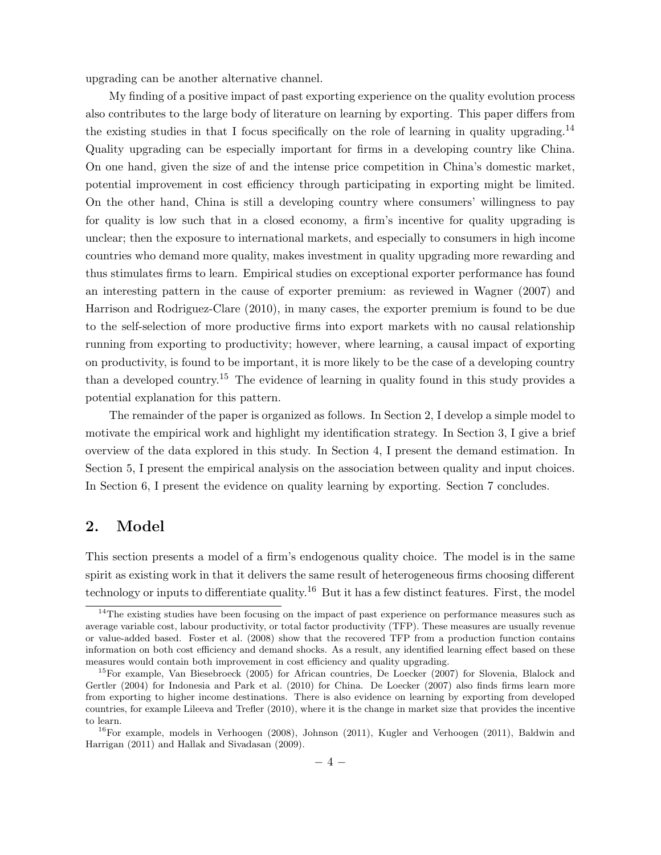upgrading can be another alternative channel.

My finding of a positive impact of past exporting experience on the quality evolution process also contributes to the large body of literature on learning by exporting. This paper differs from the existing studies in that I focus specifically on the role of learning in quality upgrading.<sup>14</sup> Quality upgrading can be especially important for firms in a developing country like China. On one hand, given the size of and the intense price competition in China's domestic market, potential improvement in cost efficiency through participating in exporting might be limited. On the other hand, China is still a developing country where consumers' willingness to pay for quality is low such that in a closed economy, a firm's incentive for quality upgrading is unclear; then the exposure to international markets, and especially to consumers in high income countries who demand more quality, makes investment in quality upgrading more rewarding and thus stimulates firms to learn. Empirical studies on exceptional exporter performance has found an interesting pattern in the cause of exporter premium: as reviewed in Wagner (2007) and Harrison and Rodriguez-Clare (2010), in many cases, the exporter premium is found to be due to the self-selection of more productive firms into export markets with no causal relationship running from exporting to productivity; however, where learning, a causal impact of exporting on productivity, is found to be important, it is more likely to be the case of a developing country than a developed country.<sup>15</sup> The evidence of learning in quality found in this study provides a potential explanation for this pattern.

The remainder of the paper is organized as follows. In Section 2, I develop a simple model to motivate the empirical work and highlight my identification strategy. In Section 3, I give a brief overview of the data explored in this study. In Section 4, I present the demand estimation. In Section 5, I present the empirical analysis on the association between quality and input choices. In Section 6, I present the evidence on quality learning by exporting. Section 7 concludes.

## 2. Model

This section presents a model of a firm's endogenous quality choice. The model is in the same spirit as existing work in that it delivers the same result of heterogeneous firms choosing different technology or inputs to differentiate quality.<sup>16</sup> But it has a few distinct features. First, the model

 $14$ The existing studies have been focusing on the impact of past experience on performance measures such as average variable cost, labour productivity, or total factor productivity (TFP). These measures are usually revenue or value-added based. Foster et al. (2008) show that the recovered TFP from a production function contains information on both cost efficiency and demand shocks. As a result, any identified learning effect based on these measures would contain both improvement in cost efficiency and quality upgrading.

<sup>15</sup>For example, Van Biesebroeck (2005) for African countries, De Loecker (2007) for Slovenia, Blalock and Gertler (2004) for Indonesia and Park et al. (2010) for China. De Loecker (2007) also finds firms learn more from exporting to higher income destinations. There is also evidence on learning by exporting from developed countries, for example Lileeva and Trefler (2010), where it is the change in market size that provides the incentive to learn.

 $^{16}$ For example, models in Verhoogen (2008), Johnson (2011), Kugler and Verhoogen (2011), Baldwin and Harrigan (2011) and Hallak and Sivadasan (2009).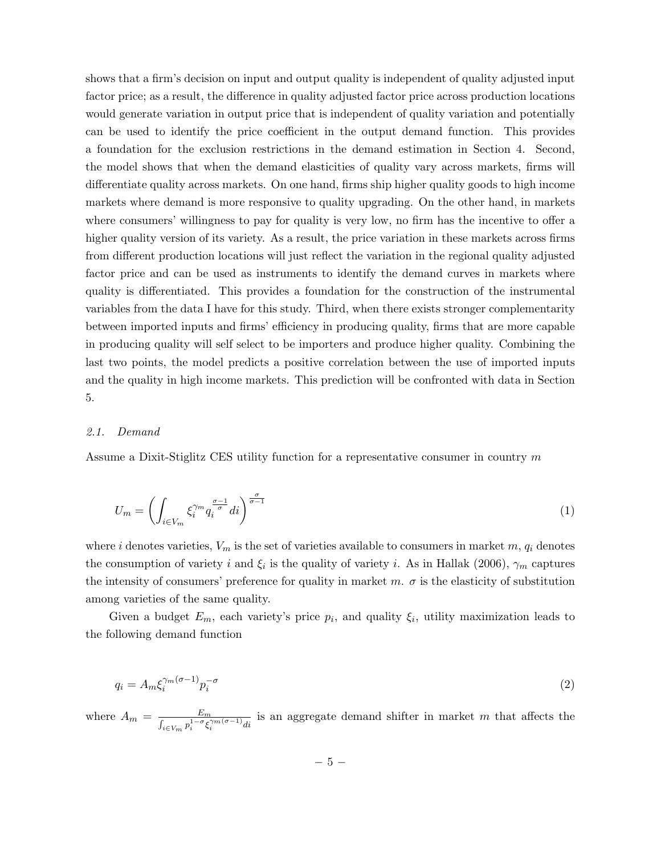shows that a firm's decision on input and output quality is independent of quality adjusted input factor price; as a result, the difference in quality adjusted factor price across production locations would generate variation in output price that is independent of quality variation and potentially can be used to identify the price coefficient in the output demand function. This provides a foundation for the exclusion restrictions in the demand estimation in Section 4. Second, the model shows that when the demand elasticities of quality vary across markets, firms will differentiate quality across markets. On one hand, firms ship higher quality goods to high income markets where demand is more responsive to quality upgrading. On the other hand, in markets where consumers' willingness to pay for quality is very low, no firm has the incentive to offer a higher quality version of its variety. As a result, the price variation in these markets across firms from different production locations will just reflect the variation in the regional quality adjusted factor price and can be used as instruments to identify the demand curves in markets where quality is differentiated. This provides a foundation for the construction of the instrumental variables from the data I have for this study. Third, when there exists stronger complementarity between imported inputs and firms' efficiency in producing quality, firms that are more capable in producing quality will self select to be importers and produce higher quality. Combining the last two points, the model predicts a positive correlation between the use of imported inputs and the quality in high income markets. This prediction will be confronted with data in Section 5.

#### 2.1. Demand

Assume a Dixit-Stiglitz CES utility function for a representative consumer in country  $m$ 

$$
U_m = \left( \int_{i \in V_m} \xi_i^{\gamma_m} q_i^{\frac{\sigma - 1}{\sigma}} di \right)^{\frac{\sigma}{\sigma - 1}} \tag{1}
$$

where *i* denotes varieties,  $V_m$  is the set of varieties available to consumers in market  $m$ ,  $q_i$  denotes the consumption of variety i and  $\xi_i$  is the quality of variety i. As in Hallak (2006),  $\gamma_m$  captures the intensity of consumers' preference for quality in market  $m$ .  $\sigma$  is the elasticity of substitution among varieties of the same quality.

Given a budget  $E_m$ , each variety's price  $p_i$ , and quality  $\xi_i$ , utility maximization leads to the following demand function

$$
q_i = A_m \xi_i^{\gamma_m(\sigma - 1)} p_i^{-\sigma} \tag{2}
$$

where  $A_m = \frac{E_m}{\sqrt{1 - \sigma_c^2}}$  $\frac{E_m}{\int_{i\in V_m} p_i^{1-\sigma} \xi_i^{\gamma_m(\sigma-1)} di}$  is an aggregate demand shifter in market m that affects the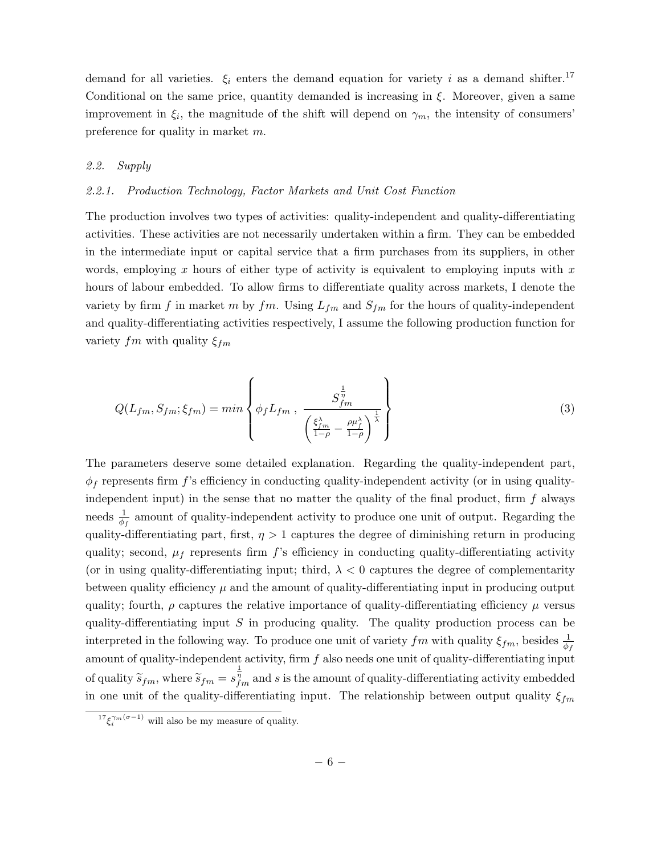demand for all varieties.  $\xi_i$  enters the demand equation for variety i as a demand shifter.<sup>17</sup> Conditional on the same price, quantity demanded is increasing in  $\xi$ . Moreover, given a same improvement in  $\xi_i$ , the magnitude of the shift will depend on  $\gamma_m$ , the intensity of consumers' preference for quality in market  $m$ .

## 2.2. Supply

#### 2.2.1. Production Technology, Factor Markets and Unit Cost Function

The production involves two types of activities: quality-independent and quality-differentiating activities. These activities are not necessarily undertaken within a firm. They can be embedded in the intermediate input or capital service that a firm purchases from its suppliers, in other words, employing x hours of either type of activity is equivalent to employing inputs with  $x$ hours of labour embedded. To allow firms to differentiate quality across markets, I denote the variety by firm f in market m by fm. Using  $L_{fm}$  and  $S_{fm}$  for the hours of quality-independent and quality-differentiating activities respectively, I assume the following production function for variety  $fm$  with quality  $\xi_{fm}$ 

$$
Q(L_{fm}, S_{fm}; \xi_{fm}) = min \left\{ \phi_f L_{fm}, \frac{S_{fm}^{\frac{1}{\eta}}}{\left(\frac{\xi_{fm}^{\lambda}}{1-\rho} - \frac{\rho \mu_f^{\lambda}}{1-\rho}\right)^{\frac{1}{\lambda}}} \right\}
$$
(3)

The parameters deserve some detailed explanation. Regarding the quality-independent part,  $\phi_f$  represents firm f's efficiency in conducting quality-independent activity (or in using qualityindependent input) in the sense that no matter the quality of the final product, firm  $f$  always needs  $\frac{1}{\phi_f}$  amount of quality-independent activity to produce one unit of output. Regarding the quality-differentiating part, first,  $\eta > 1$  captures the degree of diminishing return in producing quality; second,  $\mu_f$  represents firm f's efficiency in conducting quality-differentiating activity (or in using quality-differentiating input; third,  $\lambda < 0$  captures the degree of complementarity between quality efficiency  $\mu$  and the amount of quality-differentiating input in producing output quality; fourth,  $\rho$  captures the relative importance of quality-differentiating efficiency  $\mu$  versus quality-differentiating input  $S$  in producing quality. The quality production process can be interpreted in the following way. To produce one unit of variety  $fm$  with quality  $\xi_{fm}$ , besides  $\frac{1}{\phi_f}$ amount of quality-independent activity, firm  $f$  also needs one unit of quality-differentiating input of quality  $\widetilde{s}_{fm}$ , where  $\widetilde{s}_{fm} = s_{fm}^{\frac{1}{\eta}}$  and s is the amount of quality-differentiating activity embedded in one unit of the quality-differentiating input. The relationship between output quality  $\xi_{fm}$ 

 ${}^{17}\xi_i^{\gamma_m(\sigma-1)}$  will also be my measure of quality.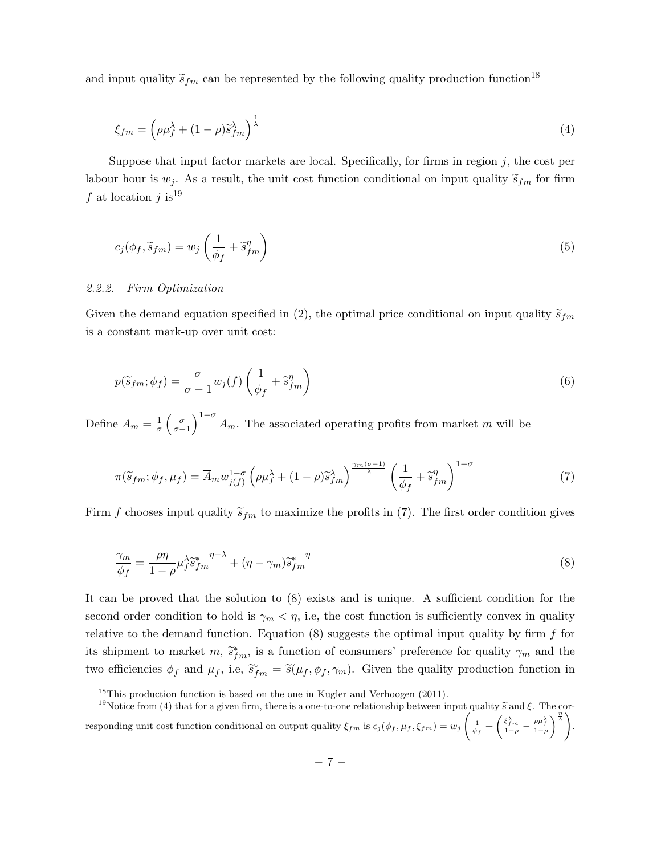and input quality  $\tilde{s}_{fm}$  can be represented by the following quality production function<sup>18</sup>

$$
\xi_{fm} = \left(\rho \mu_f^{\lambda} + (1 - \rho)\tilde{s}_{fm}^{\lambda}\right)^{\frac{1}{\lambda}}
$$
\n(4)

Suppose that input factor markets are local. Specifically, for firms in region  $j$ , the cost per labour hour is  $w_j$ . As a result, the unit cost function conditional on input quality  $\tilde{s}_{fm}$  for firm f at location  $i$  is<sup>19</sup>

$$
c_j(\phi_f, \tilde{s}_{fm}) = w_j \left(\frac{1}{\phi_f} + \tilde{s}_{fm}^{\eta}\right)
$$
\n<sup>(5)</sup>

#### 2.2.2. Firm Optimization

Given the demand equation specified in (2), the optimal price conditional on input quality  $\tilde{s}_{fm}$ is a constant mark-up over unit cost:

$$
p(\widetilde{s}_{fm}; \phi_f) = \frac{\sigma}{\sigma - 1} w_j(f) \left( \frac{1}{\phi_f} + \widetilde{s}_{fm}^{\eta} \right)
$$
 (6)

Define  $\overline{A}_m = \frac{1}{\sigma}$  $\frac{1}{\sigma} \left( \frac{\sigma}{\sigma - 1} \right)^{1-\sigma} A_m$ . The associated operating profits from market m will be

$$
\pi(\widetilde{s}_{fm}; \phi_f, \mu_f) = \overline{A}_m w_{j(f)}^{1-\sigma} \left( \rho \mu_f^{\lambda} + (1-\rho) \widetilde{s}_{fm}^{\lambda} \right)^{\frac{\gamma_m(\sigma-1)}{\lambda}} \left( \frac{1}{\phi_f} + \widetilde{s}_{fm}^{\eta} \right)^{1-\sigma} \tag{7}
$$

Firm f chooses input quality  $\tilde{s}_{fm}$  to maximize the profits in (7). The first order condition gives

$$
\frac{\gamma_m}{\phi_f} = \frac{\rho \eta}{1 - \rho} \mu_f^{\lambda} \tilde{s}_{fm}^* \eta^{-\lambda} + (\eta - \gamma_m) \tilde{s}_{fm}^* \eta
$$
\n(8)

It can be proved that the solution to (8) exists and is unique. A sufficient condition for the second order condition to hold is  $\gamma_m < \eta$ , i.e, the cost function is sufficiently convex in quality relative to the demand function. Equation  $(8)$  suggests the optimal input quality by firm f for its shipment to market  $m, \tilde{s}_{fm}^*$ , is a function of consumers' preference for quality  $\gamma_m$  and the two efficiencies  $\phi_f$  and  $\mu_f$ , i.e,  $\tilde{s}_{fm}^* = \tilde{s}(\mu_f, \phi_f, \gamma_m)$ . Given the quality production function in

 $18$ This production function is based on the one in Kugler and Verhoogen (2011).

<sup>&</sup>lt;sup>19</sup>Notice from (4) that for a given firm, there is a one-to-one relationship between input quality  $\tilde{s}$  and  $\xi$ . The corresponding unit cost function conditional on output quality  $\xi_{fm}$  is  $c_j(\phi_f, \mu_f, \xi_{fm}) = w_j$  $\left(\frac{1}{\phi_f} + \left(\frac{\xi_{fm}^{\lambda}}{1-\rho} - \frac{\rho\mu_f^{\lambda}}{1-\rho}\right)\right)$  $\left\langle \frac{\eta}{\lambda}\right\rangle$ .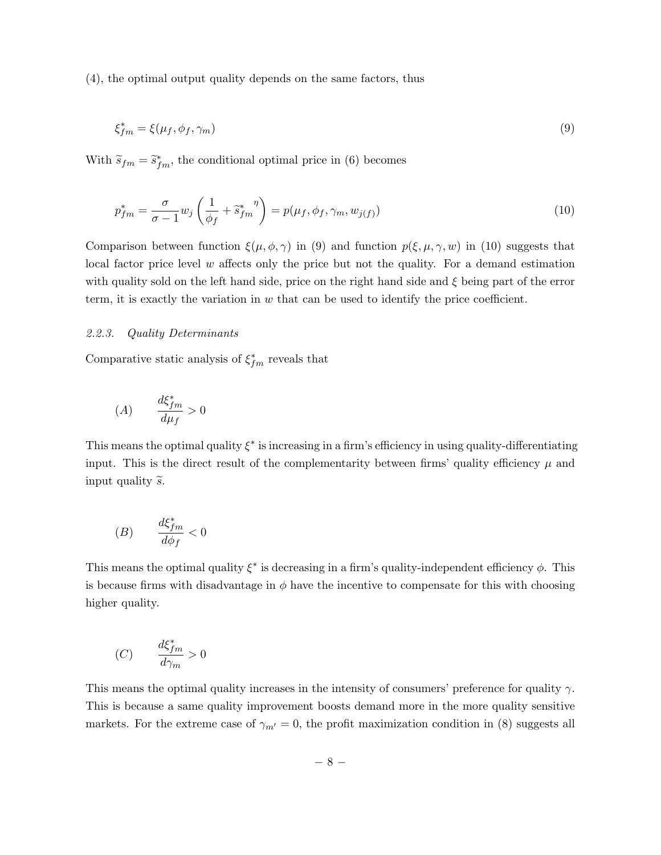(4), the optimal output quality depends on the same factors, thus

$$
\xi_{fm}^* = \xi(\mu_f, \phi_f, \gamma_m) \tag{9}
$$

With  $\widetilde{s}_{fm} = \widetilde{s}_{fm}^*$ , the conditional optimal price in (6) becomes

$$
p_{fm}^* = \frac{\sigma}{\sigma - 1} w_j \left( \frac{1}{\phi_f} + \tilde{s}_{fm}^* \right) = p(\mu_f, \phi_f, \gamma_m, w_{j(f)}) \tag{10}
$$

Comparison between function  $\xi(\mu, \phi, \gamma)$  in (9) and function  $p(\xi, \mu, \gamma, w)$  in (10) suggests that local factor price level  $w$  affects only the price but not the quality. For a demand estimation with quality sold on the left hand side, price on the right hand side and  $\xi$  being part of the error term, it is exactly the variation in  $w$  that can be used to identify the price coefficient.

#### 2.2.3. Quality Determinants

Comparative static analysis of  $\xi_{fm}^*$  reveals that

$$
(A) \qquad \frac{d\xi_{fm}^*}{d\mu_f} > 0
$$

This means the optimal quality  $\xi^*$  is increasing in a firm's efficiency in using quality-differentiating input. This is the direct result of the complementarity between firms' quality efficiency  $\mu$  and input quality  $\widetilde{s}$ .

$$
(B) \qquad \frac{d\xi_{fm}^*}{d\phi_f} < 0
$$

This means the optimal quality  $\xi^*$  is decreasing in a firm's quality-independent efficiency  $\phi$ . This is because firms with disadvantage in  $\phi$  have the incentive to compensate for this with choosing higher quality.

$$
(C) \qquad \frac{d\xi_{fm}^*}{d\gamma_m} > 0
$$

This means the optimal quality increases in the intensity of consumers' preference for quality  $\gamma$ . This is because a same quality improvement boosts demand more in the more quality sensitive markets. For the extreme case of  $\gamma_{m'} = 0$ , the profit maximization condition in (8) suggests all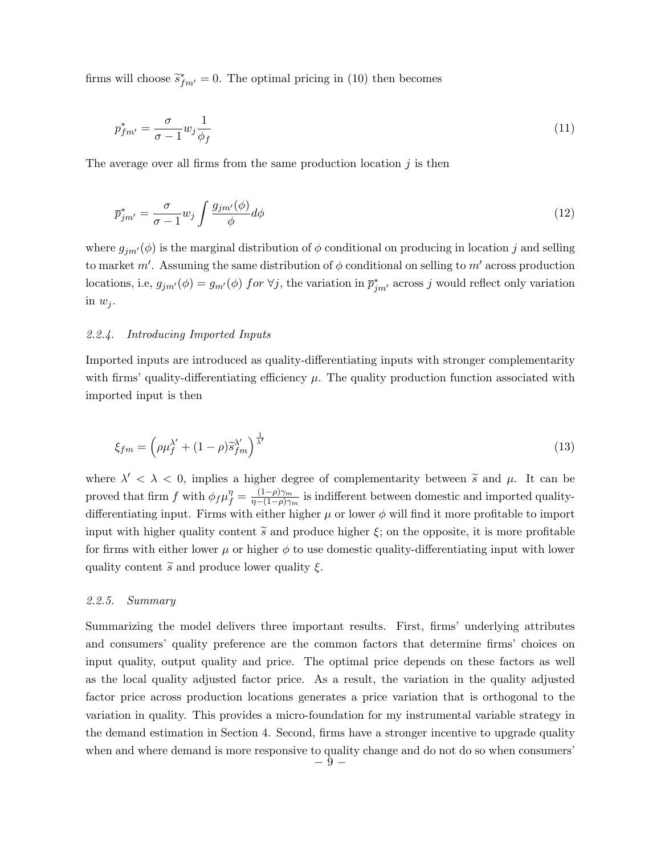firms will choose  $\tilde{s}_{fm'}^* = 0$ . The optimal pricing in (10) then becomes

$$
p_{fm'}^* = \frac{\sigma}{\sigma - 1} w_j \frac{1}{\phi_f} \tag{11}
$$

The average over all firms from the same production location  $j$  is then

$$
\overline{p}_{jm'}^* = \frac{\sigma}{\sigma - 1} w_j \int \frac{g_{jm'}(\phi)}{\phi} d\phi \tag{12}
$$

where  $g_{jm'}(\phi)$  is the marginal distribution of  $\phi$  conditional on producing in location j and selling to market  $m'$ . Assuming the same distribution of  $\phi$  conditional on selling to  $m'$  across production locations, i.e,  $g_{jm'}(\phi) = g_{m'}(\phi)$  for  $\forall j$ , the variation in  $\bar{p}_{jm'}^*$  across j would reflect only variation in  $w_j$ .

### 2.2.4. Introducing Imported Inputs

Imported inputs are introduced as quality-differentiating inputs with stronger complementarity with firms' quality-differentiating efficiency  $\mu$ . The quality production function associated with imported input is then

$$
\xi_{fm} = \left(\rho \mu_f^{\lambda'} + (1 - \rho)\tilde{s}_{fm}^{\lambda'}\right)^{\frac{1}{\lambda'}}\tag{13}
$$

where  $\lambda' < \lambda < 0$ , implies a higher degree of complementarity between  $\tilde{s}$  and  $\mu$ . It can be proved that firm f with  $\phi_f \mu_f^{\eta} = \frac{(1-\rho)\gamma_m}{\eta - (1-\rho)\gamma_b}$  $\frac{(1-\rho)\gamma_m}{\eta-(1-\rho)\gamma_m}$  is indifferent between domestic and imported qualitydifferentiating input. Firms with either higher  $\mu$  or lower  $\phi$  will find it more profitable to import input with higher quality content  $\tilde{s}$  and produce higher  $\xi$ ; on the opposite, it is more profitable for firms with either lower  $\mu$  or higher  $\phi$  to use domestic quality-differentiating input with lower quality content  $\tilde{s}$  and produce lower quality  $\xi$ .

#### 2.2.5. Summary

Summarizing the model delivers three important results. First, firms' underlying attributes and consumers' quality preference are the common factors that determine firms' choices on input quality, output quality and price. The optimal price depends on these factors as well as the local quality adjusted factor price. As a result, the variation in the quality adjusted factor price across production locations generates a price variation that is orthogonal to the variation in quality. This provides a micro-foundation for my instrumental variable strategy in the demand estimation in Section 4. Second, firms have a stronger incentive to upgrade quality when and where demand is more responsive to quality change and do not do so when consumers'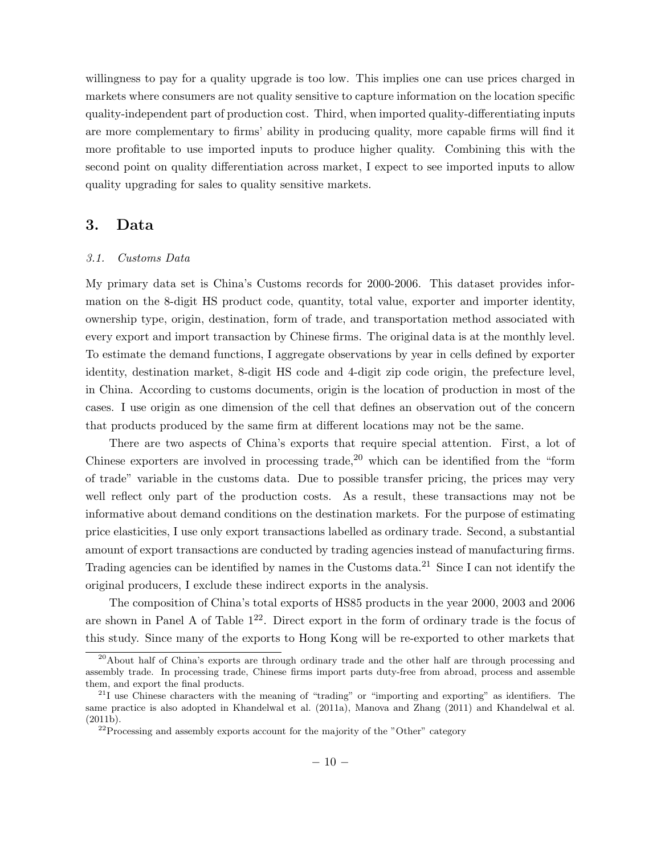willingness to pay for a quality upgrade is too low. This implies one can use prices charged in markets where consumers are not quality sensitive to capture information on the location specific quality-independent part of production cost. Third, when imported quality-differentiating inputs are more complementary to firms' ability in producing quality, more capable firms will find it more profitable to use imported inputs to produce higher quality. Combining this with the second point on quality differentiation across market, I expect to see imported inputs to allow quality upgrading for sales to quality sensitive markets.

## 3. Data

#### 3.1. Customs Data

My primary data set is China's Customs records for 2000-2006. This dataset provides information on the 8-digit HS product code, quantity, total value, exporter and importer identity, ownership type, origin, destination, form of trade, and transportation method associated with every export and import transaction by Chinese firms. The original data is at the monthly level. To estimate the demand functions, I aggregate observations by year in cells defined by exporter identity, destination market, 8-digit HS code and 4-digit zip code origin, the prefecture level, in China. According to customs documents, origin is the location of production in most of the cases. I use origin as one dimension of the cell that defines an observation out of the concern that products produced by the same firm at different locations may not be the same.

There are two aspects of China's exports that require special attention. First, a lot of Chinese exporters are involved in processing trade,  $20$  which can be identified from the "form" of trade" variable in the customs data. Due to possible transfer pricing, the prices may very well reflect only part of the production costs. As a result, these transactions may not be informative about demand conditions on the destination markets. For the purpose of estimating price elasticities, I use only export transactions labelled as ordinary trade. Second, a substantial amount of export transactions are conducted by trading agencies instead of manufacturing firms. Trading agencies can be identified by names in the Customs data.<sup>21</sup> Since I can not identify the original producers, I exclude these indirect exports in the analysis.

The composition of China's total exports of HS85 products in the year 2000, 2003 and 2006 are shown in Panel A of Table  $1^{22}$ . Direct export in the form of ordinary trade is the focus of this study. Since many of the exports to Hong Kong will be re-exported to other markets that

 $^{20}$ About half of China's exports are through ordinary trade and the other half are through processing and assembly trade. In processing trade, Chinese firms import parts duty-free from abroad, process and assemble them, and export the final products.

 $^{21}$ I use Chinese characters with the meaning of "trading" or "importing and exporting" as identifiers. The same practice is also adopted in Khandelwal et al. (2011a), Manova and Zhang (2011) and Khandelwal et al. (2011b).

 $22$ Processing and assembly exports account for the majority of the "Other" category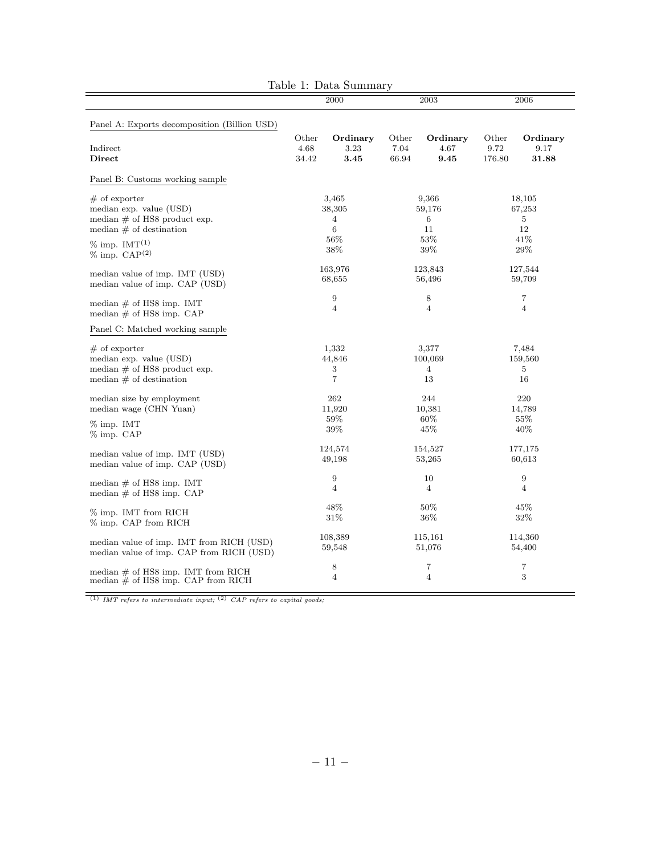|                                                                                                            |                        | 2000                                   |                        | 2003                           | 2006                        |                                    |
|------------------------------------------------------------------------------------------------------------|------------------------|----------------------------------------|------------------------|--------------------------------|-----------------------------|------------------------------------|
| Panel A: Exports decomposition (Billion USD)                                                               |                        |                                        |                        |                                |                             |                                    |
| Indirect<br>Direct                                                                                         | Other<br>4.68<br>34.42 | Ordinary<br>3.23<br>3.45               | Other<br>7.04<br>66.94 | Ordinary<br>4.67<br>9.45       | Other<br>9.72<br>176.80     | Ordinary<br>9.17<br>31.88          |
| Panel B: Customs working sample                                                                            |                        |                                        |                        |                                |                             |                                    |
| $#$ of exporter<br>median exp. value (USD)<br>median $\#$ of HS8 product exp.<br>median $#$ of destination |                        | 3,465<br>38,305<br>4<br>6              |                        | 9,366<br>59,176<br>6<br>11     | 18,105<br>67,253<br>5<br>12 |                                    |
| $\%$ imp. IMT <sup>(1)</sup><br>$%$ imp. $CAP(2)$                                                          |                        | $56\%$<br>$38\%$                       | $53\%$<br>$39\%$       |                                | 41\%<br>$29\%$              |                                    |
| median value of imp. IMT (USD)<br>median value of imp. CAP (USD)                                           |                        | 163,976<br>68,655                      |                        | 123,843<br>56,496              |                             | 127,544<br>59,709                  |
| median $#$ of HS8 imp. IMT<br>median $\#$ of HS8 imp. CAP                                                  | 9<br>4                 |                                        | 8<br>4                 |                                | 7<br>$\overline{4}$         |                                    |
| Panel C: Matched working sample                                                                            |                        |                                        |                        |                                |                             |                                    |
| $#$ of exporter<br>median exp. value (USD)<br>median $\#$ of HS8 product exp.<br>median $#$ of destination |                        | 1,332<br>44,846<br>3<br>$\overline{7}$ |                        | 3,377<br>100,069<br>4<br>13    |                             | 7,484<br>159,560<br>5<br>16        |
| median size by employment<br>median wage (CHN Yuan)<br>$\%$ imp. IMT                                       |                        | 262<br>11,920<br>59%<br>39%            |                        | 244<br>10,381<br>$60\%$<br>45% |                             | 220<br>14,789<br>55\%<br>$40\%$    |
| % imp. CAP<br>median value of imp. IMT (USD)<br>median value of imp. CAP (USD)                             |                        | 124,574<br>49,198                      |                        | 154,527<br>53,265              | 177,175<br>60,613           |                                    |
| median $\#$ of HS8 imp. IMT<br>median $#$ of HS8 imp. CAP                                                  |                        | 9<br>$\overline{4}$                    |                        | 10<br>4                        |                             | $\boldsymbol{9}$<br>$\overline{4}$ |
| % imp. IMT from RICH<br>% imp. CAP from RICH                                                               |                        | 48%<br>31\%                            |                        | $50\%$<br>$36\%$               | 45%<br>$32\%$               |                                    |
| median value of imp. IMT from RICH (USD)<br>median value of imp. CAP from RICH (USD)                       |                        | 108,389<br>59,548                      |                        | 115,161<br>51,076              |                             | 114,360<br>54,400                  |
| median $\#$ of HS8 imp. IMT from RICH<br>median $#$ of HS8 imp. CAP from RICH                              |                        | 8<br>$\overline{4}$                    | 7<br>4                 |                                | 7<br>$\,3$                  |                                    |

| Table 1: Data Summary |  |
|-----------------------|--|
|-----------------------|--|

 $\overline{(1)$  IMT refers to intermediate input;  $^{(2)}$  CAP refers to capital goods;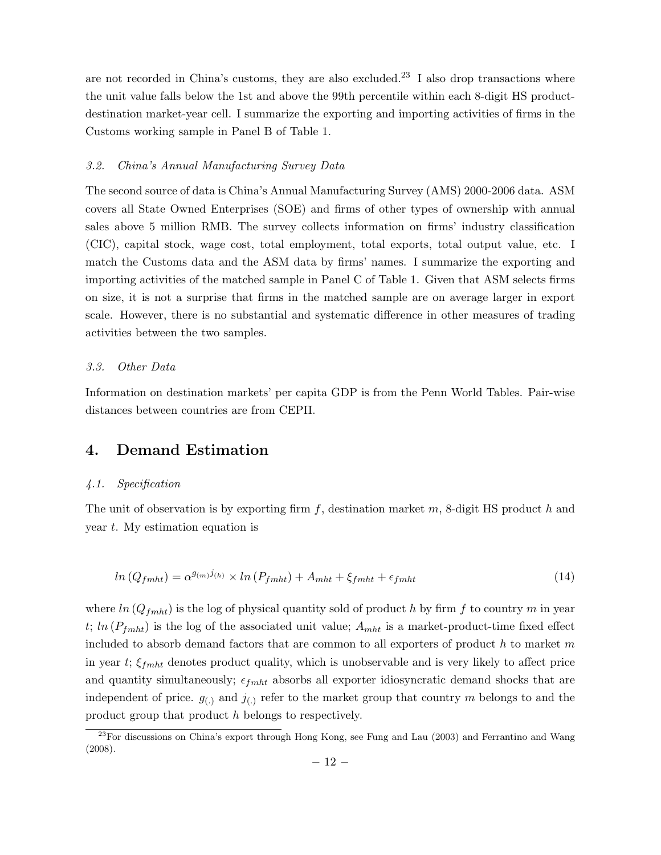are not recorded in China's customs, they are also excluded.<sup>23</sup> I also drop transactions where the unit value falls below the 1st and above the 99th percentile within each 8-digit HS productdestination market-year cell. I summarize the exporting and importing activities of firms in the Customs working sample in Panel B of Table 1.

#### 3.2. China's Annual Manufacturing Survey Data

The second source of data is China's Annual Manufacturing Survey (AMS) 2000-2006 data. ASM covers all State Owned Enterprises (SOE) and firms of other types of ownership with annual sales above 5 million RMB. The survey collects information on firms' industry classification (CIC), capital stock, wage cost, total employment, total exports, total output value, etc. I match the Customs data and the ASM data by firms' names. I summarize the exporting and importing activities of the matched sample in Panel C of Table 1. Given that ASM selects firms on size, it is not a surprise that firms in the matched sample are on average larger in export scale. However, there is no substantial and systematic difference in other measures of trading activities between the two samples.

#### 3.3. Other Data

Information on destination markets' per capita GDP is from the Penn World Tables. Pair-wise distances between countries are from CEPII.

# 4. Demand Estimation

#### 4.1. Specification

The unit of observation is by exporting firm  $f$ , destination market  $m$ , 8-digit HS product  $h$  and year  $t$ . My estimation equation is

$$
ln (Q_{fmlt}) = \alpha^{g_{(m)}j_{(h)}} \times ln (P_{fmlt}) + A_{mht} + \xi_{fmlt} + \epsilon_{fmlt}
$$
\n(14)

where  $ln(Q_{fmlt})$  is the log of physical quantity sold of product h by firm f to country m in year  $t; ln (P_{fmlt})$  is the log of the associated unit value;  $A_{mht}$  is a market-product-time fixed effect included to absorb demand factors that are common to all exporters of product  $h$  to market  $m$ in year  $t$ ;  $\xi_{f}$  denotes product quality, which is unobservable and is very likely to affect price and quantity simultaneously;  $\epsilon_{f m h t}$  absorbs all exporter idiosyncratic demand shocks that are independent of price.  $g_{(.)}$  and  $j_{(.)}$  refer to the market group that country m belongs to and the product group that product h belongs to respectively.

 $^{23}$ For discussions on China's export through Hong Kong, see Fung and Lau (2003) and Ferrantino and Wang (2008).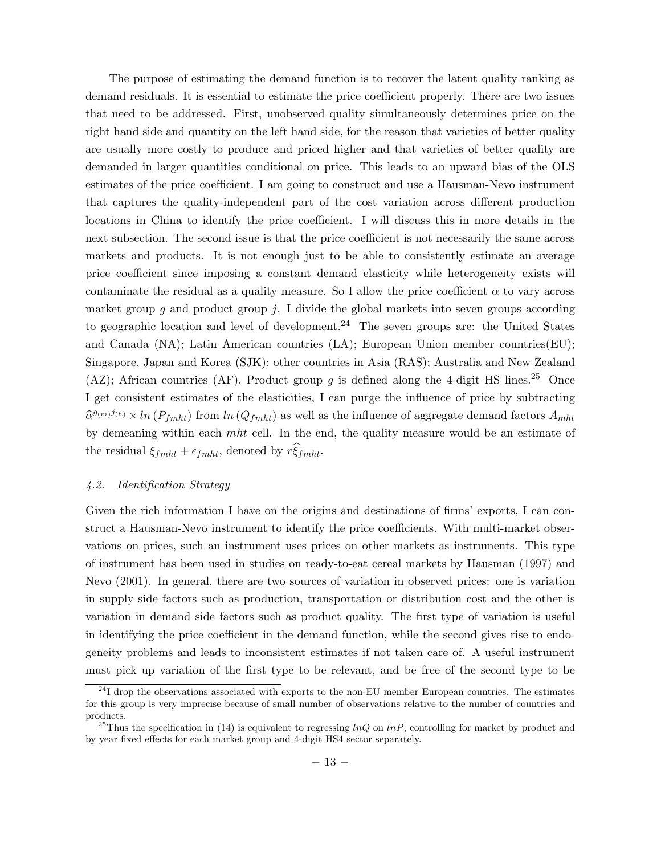The purpose of estimating the demand function is to recover the latent quality ranking as demand residuals. It is essential to estimate the price coefficient properly. There are two issues that need to be addressed. First, unobserved quality simultaneously determines price on the right hand side and quantity on the left hand side, for the reason that varieties of better quality are usually more costly to produce and priced higher and that varieties of better quality are demanded in larger quantities conditional on price. This leads to an upward bias of the OLS estimates of the price coefficient. I am going to construct and use a Hausman-Nevo instrument that captures the quality-independent part of the cost variation across different production locations in China to identify the price coefficient. I will discuss this in more details in the next subsection. The second issue is that the price coefficient is not necessarily the same across markets and products. It is not enough just to be able to consistently estimate an average price coefficient since imposing a constant demand elasticity while heterogeneity exists will contaminate the residual as a quality measure. So I allow the price coefficient  $\alpha$  to vary across market group q and product group  $j$ . I divide the global markets into seven groups according to geographic location and level of development.<sup>24</sup> The seven groups are: the United States and Canada (NA); Latin American countries (LA); European Union member countries(EU); Singapore, Japan and Korea (SJK); other countries in Asia (RAS); Australia and New Zealand (AZ); African countries (AF). Product group g is defined along the 4-digit HS lines.<sup>25</sup> Once I get consistent estimates of the elasticities, I can purge the influence of price by subtracting  $\hat{\alpha}^{g_{(m)}j_{(h)}} \times \ln(P_{f m h t})$  from  $\ln(Q_{f m h t})$  as well as the influence of aggregate demand factors  $A_{m h t}$ by demeaning within each  $mht$  cell. In the end, the quality measure would be an estimate of the residual  $\xi_{fmlt} + \epsilon_{fmlt}$ , denoted by  $r\xi_{fmlt}$ .

#### 4.2. Identification Strategy

Given the rich information I have on the origins and destinations of firms' exports, I can construct a Hausman-Nevo instrument to identify the price coefficients. With multi-market observations on prices, such an instrument uses prices on other markets as instruments. This type of instrument has been used in studies on ready-to-eat cereal markets by Hausman (1997) and Nevo (2001). In general, there are two sources of variation in observed prices: one is variation in supply side factors such as production, transportation or distribution cost and the other is variation in demand side factors such as product quality. The first type of variation is useful in identifying the price coefficient in the demand function, while the second gives rise to endogeneity problems and leads to inconsistent estimates if not taken care of. A useful instrument must pick up variation of the first type to be relevant, and be free of the second type to be

 $^{24}$ I drop the observations associated with exports to the non-EU member European countries. The estimates for this group is very imprecise because of small number of observations relative to the number of countries and products.

<sup>&</sup>lt;sup>25</sup>Thus the specification in (14) is equivalent to regressing  $lnQ$  on  $lnP$ , controlling for market by product and by year fixed effects for each market group and 4-digit HS4 sector separately.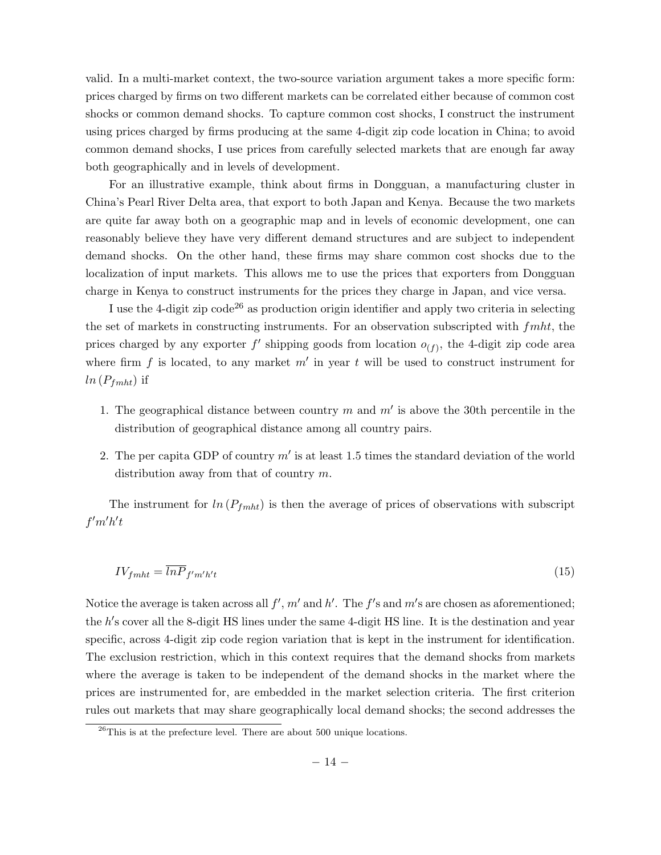valid. In a multi-market context, the two-source variation argument takes a more specific form: prices charged by firms on two different markets can be correlated either because of common cost shocks or common demand shocks. To capture common cost shocks, I construct the instrument using prices charged by firms producing at the same 4-digit zip code location in China; to avoid common demand shocks, I use prices from carefully selected markets that are enough far away both geographically and in levels of development.

For an illustrative example, think about firms in Dongguan, a manufacturing cluster in China's Pearl River Delta area, that export to both Japan and Kenya. Because the two markets are quite far away both on a geographic map and in levels of economic development, one can reasonably believe they have very different demand structures and are subject to independent demand shocks. On the other hand, these firms may share common cost shocks due to the localization of input markets. This allows me to use the prices that exporters from Dongguan charge in Kenya to construct instruments for the prices they charge in Japan, and vice versa.

I use the 4-digit zip  $\text{code}^{26}$  as production origin identifier and apply two criteria in selecting the set of markets in constructing instruments. For an observation subscripted with  $f$ mht, the prices charged by any exporter  $f'$  shipping goods from location  $o_{(f)}$ , the 4-digit zip code area where firm  $f$  is located, to any market  $m'$  in year  $t$  will be used to construct instrument for  $ln(P_{fmlt})$  if

- 1. The geographical distance between country  $m$  and  $m'$  is above the 30th percentile in the distribution of geographical distance among all country pairs.
- 2. The per capita GDP of country  $m'$  is at least 1.5 times the standard deviation of the world distribution away from that of country  $m$ .

The instrument for  $ln(P_{fmht})$  is then the average of prices of observations with subscript  $f'm'h't$ 

$$
IVf_{mht} = \overline{lnP}_{f'm'h't} \tag{15}
$$

Notice the average is taken across all  $f', m'$  and  $h'$ . The  $f'$ s and  $m'$ s are chosen as aforementioned; the h's cover all the 8-digit HS lines under the same 4-digit HS line. It is the destination and year specific, across 4-digit zip code region variation that is kept in the instrument for identification. The exclusion restriction, which in this context requires that the demand shocks from markets where the average is taken to be independent of the demand shocks in the market where the prices are instrumented for, are embedded in the market selection criteria. The first criterion rules out markets that may share geographically local demand shocks; the second addresses the

 $^{26}$ This is at the prefecture level. There are about 500 unique locations.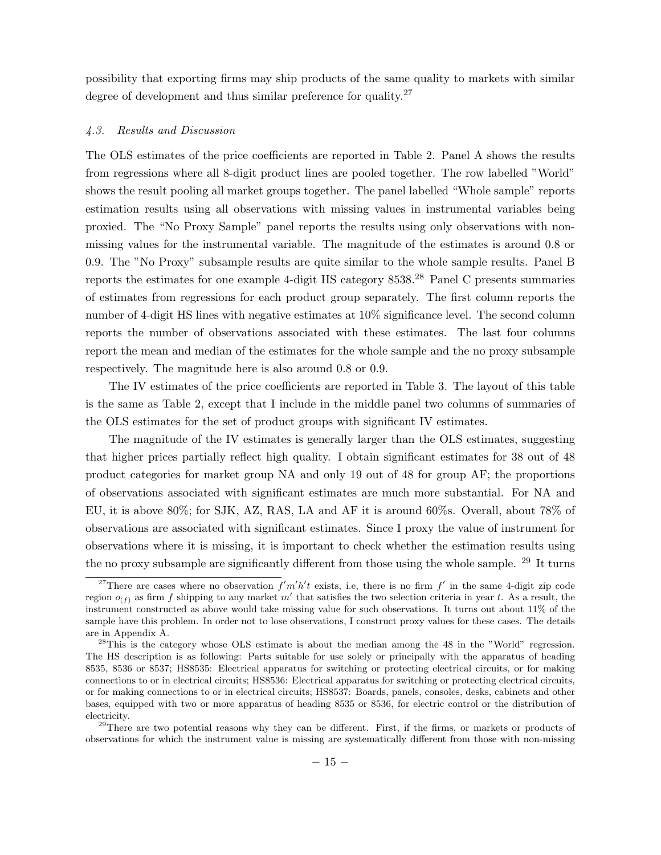possibility that exporting firms may ship products of the same quality to markets with similar degree of development and thus similar preference for quality.<sup>27</sup>

#### 4.3. Results and Discussion

The OLS estimates of the price coefficients are reported in Table 2. Panel A shows the results from regressions where all 8-digit product lines are pooled together. The row labelled "World" shows the result pooling all market groups together. The panel labelled "Whole sample" reports estimation results using all observations with missing values in instrumental variables being proxied. The "No Proxy Sample" panel reports the results using only observations with nonmissing values for the instrumental variable. The magnitude of the estimates is around 0.8 or 0.9. The "No Proxy" subsample results are quite similar to the whole sample results. Panel B reports the estimates for one example 4-digit HS category  $8538.<sup>28</sup>$  Panel C presents summaries of estimates from regressions for each product group separately. The first column reports the number of 4-digit HS lines with negative estimates at 10% significance level. The second column reports the number of observations associated with these estimates. The last four columns report the mean and median of the estimates for the whole sample and the no proxy subsample respectively. The magnitude here is also around 0.8 or 0.9.

The IV estimates of the price coefficients are reported in Table 3. The layout of this table is the same as Table 2, except that I include in the middle panel two columns of summaries of the OLS estimates for the set of product groups with significant IV estimates.

The magnitude of the IV estimates is generally larger than the OLS estimates, suggesting that higher prices partially reflect high quality. I obtain significant estimates for 38 out of 48 product categories for market group NA and only 19 out of 48 for group AF; the proportions of observations associated with significant estimates are much more substantial. For NA and EU, it is above 80%; for SJK, AZ, RAS, LA and AF it is around 60%s. Overall, about 78% of observations are associated with significant estimates. Since I proxy the value of instrument for observations where it is missing, it is important to check whether the estimation results using the no proxy subsample are significantly different from those using the whole sample. <sup>29</sup> It turns

<sup>29</sup>There are two potential reasons why they can be different. First, if the firms, or markets or products of observations for which the instrument value is missing are systematically different from those with non-missing

<sup>&</sup>lt;sup>27</sup>There are cases where no observation  $f'm'h't$  exists, i.e, there is no firm  $f'$  in the same 4-digit zip code region  $o_{(f)}$  as firm f shipping to any market m' that satisfies the two selection criteria in year t. As a result, the instrument constructed as above would take missing value for such observations. It turns out about 11% of the sample have this problem. In order not to lose observations, I construct proxy values for these cases. The details are in Appendix A.

 $^{28}$ This is the category whose OLS estimate is about the median among the 48 in the "World" regression. The HS description is as following: Parts suitable for use solely or principally with the apparatus of heading 8535, 8536 or 8537; HS8535: Electrical apparatus for switching or protecting electrical circuits, or for making connections to or in electrical circuits; HS8536: Electrical apparatus for switching or protecting electrical circuits, or for making connections to or in electrical circuits; HS8537: Boards, panels, consoles, desks, cabinets and other bases, equipped with two or more apparatus of heading 8535 or 8536, for electric control or the distribution of electricity.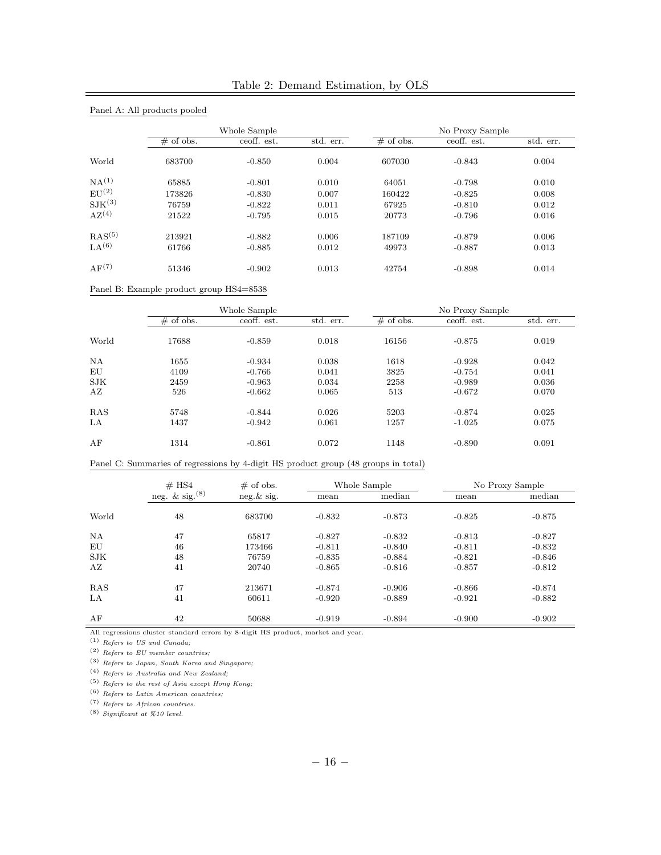|                    |                                                                                    | Whole Sample  |           |                 | No Proxy Sample |                 |  |
|--------------------|------------------------------------------------------------------------------------|---------------|-----------|-----------------|-----------------|-----------------|--|
|                    | $#$ of obs.                                                                        | ceoff. est.   | std. err. | $#$ of obs.     | ceoff. est.     | std. err.       |  |
| World              | 683700                                                                             | $-0.850$      | 0.004     | 607030          | $-0.843$        | 0.004           |  |
| NA <sup>(1)</sup>  | 65885                                                                              | $-0.801$      | 0.010     | 64051           | $-0.798$        | 0.010           |  |
| EU <sup>(2)</sup>  | 173826                                                                             | $-0.830$      | 0.007     | 160422          | $-0.825$        | 0.008           |  |
| $\text{SIK}^{(3)}$ | 76759                                                                              | $-0.822$      | 0.011     | 67925           | $-0.810$        | 0.012           |  |
| AZ <sup>(4)</sup>  | $\bf 21522$                                                                        | $-0.795$      | 0.015     | 20773           | $-0.796$        | 0.016           |  |
| RAS <sup>(5)</sup> | 213921                                                                             | $-0.882$      | 0.006     | 187109          | $-0.879$        | 0.006           |  |
| LA <sup>(6)</sup>  | 61766                                                                              | $-0.885$      | 0.012     | 49973           | $-0.887$        | 0.013           |  |
| AF <sup>(7)</sup>  | 51346                                                                              | $-0.902$      | 0.013     | 42754           | $-0.898$        | 0.014           |  |
|                    | Panel B: Example product group HS4=8538                                            |               |           |                 |                 |                 |  |
|                    |                                                                                    | Whole Sample  |           | No Proxy Sample |                 |                 |  |
|                    | $#$ of obs.                                                                        | ceoff. est.   | std. err. | $#$ of obs.     | ceoff. est.     | std. err.       |  |
| World              | 17688                                                                              | $-0.859$      | 0.018     | 16156           | $-0.875$        | 0.019           |  |
| NA                 | 1655                                                                               | $-0.934$      | 0.038     | 1618            | $-0.928$        | 0.042           |  |
| EU                 | 4109                                                                               | $-0.766$      | 0.041     | 3825            | $-0.754$        | 0.041           |  |
| ${\rm SJK}$        | 2459                                                                               | $-0.963$      | 0.034     | 2258            | $-0.989$        | 0.036           |  |
| AZ                 | 526                                                                                | $-0.662$      | 0.065     | 513             | $-0.672$        | 0.070           |  |
| RAS                | 5748                                                                               | $-0.844$      | 0.026     | 5203            | $-0.874$        | 0.025           |  |
| LA                 | 1437                                                                               | $-0.942$      | 0.061     | 1257            | $-1.025$        | 0.075           |  |
| AF                 | 1314                                                                               | $-0.861$      | 0.072     | 1148            | $-0.890$        | 0.091           |  |
|                    | Panel C: Summaries of regressions by 4-digit HS product group (48 groups in total) |               |           |                 |                 |                 |  |
|                    | # HS4                                                                              | $#$ of obs.   |           | Whole Sample    |                 | No Proxy Sample |  |
|                    | neg. & sig. $(8)$                                                                  | $neg.\&$ sig. | mean      | median          | mean            | median          |  |
| World              | 48                                                                                 | 683700        | $-0.832$  | $-0.873$        | $-0.825$        | $-0.875$        |  |
| NA                 | 47                                                                                 | 65817         | $-0.827$  | $-0.832$        | $-0.813$        | $-0.827$        |  |
| EU                 | 46                                                                                 | 173466        | $-0.811$  | $-0.840$        | $-0.811$        | $-0.832$        |  |
| SJK                | 48                                                                                 | 76759         | $-0.835$  | $-0.884$        | $-0.821$        | $-0.846$        |  |

|  |  | Table 2: Demand Estimation, by OLS |  |  |
|--|--|------------------------------------|--|--|
|--|--|------------------------------------|--|--|

All regressions cluster standard errors by 8-digit HS product, market and year.

(1) Refers to US and Canada;

(2) Refers to EU member countries;

(3) Refers to Japan, South Korea and Singapore;

(4) Refers to Australia and New Zealand;

 $\,$  (5)  $\,$  Refers to the rest of Asia except Hong Kong;

(6) Refers to Latin American countries;

(7) Refers to African countries.

 $(8)$  Significant at %10 level.

AZ 41 20740 -0.865 -0.816 -0.857 -0.812 RAS 47 213671 -0.874 -0.906 -0.866 -0.874 LA  $41$   $60611$   $-0.920$   $-0.889$   $-0.921$   $-0.882$ AF 42 50688 -0.919 -0.894 -0.900 -0.902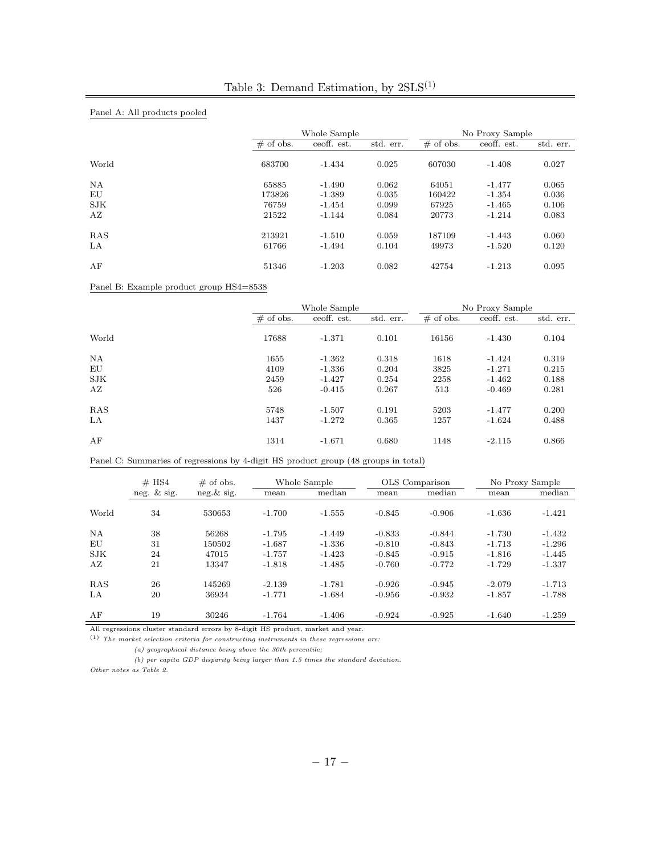| Panel A: All products pooled |             |              |           |                 |             |           |  |
|------------------------------|-------------|--------------|-----------|-----------------|-------------|-----------|--|
|                              |             | Whole Sample |           | No Proxy Sample |             |           |  |
|                              | $#$ of obs. | ceoff. est.  | std. err. | $#$ of obs.     | ceoff. est. | std. err. |  |
| World                        | 683700      | $-1.434$     | 0.025     | 607030          | $-1.408$    | 0.027     |  |
| NA                           | 65885       | $-1.490$     | 0.062     | 64051           | $-1.477$    | 0.065     |  |
| EU                           | 173826      | $-1.389$     | 0.035     | 160422          | $-1.354$    | 0.036     |  |
| <b>SJK</b>                   | 76759       | $-1.454$     | 0.099     | 67925           | $-1.465$    | 0.106     |  |
| AZ                           | 21522       | $-1.144$     | 0.084     | 20773           | $-1.214$    | 0.083     |  |
| <b>RAS</b>                   | 213921      | $-1.510$     | 0.059     | 187109          | -1.443      | 0.060     |  |
| LA                           | 61766       | $-1.494$     | 0.104     | 49973           | $-1.520$    | 0.120     |  |
| AF                           | 51346       | $-1.203$     | 0.082     | 42754           | $-1.213$    | 0.095     |  |

Panel B: Example product group HS4=8538

|           | Whole Sample |             |           | No Proxy Sample |             |           |  |
|-----------|--------------|-------------|-----------|-----------------|-------------|-----------|--|
|           | $#$ of obs.  | ceoff. est. | std. err. | $\#$ of obs.    | ceoff. est. | std. err. |  |
| World     | 17688        | $-1.371$    | 0.101     | 16156           | $-1.430$    | 0.104     |  |
| <b>NA</b> | 1655         | $-1.362$    | 0.318     | 1618            | $-1.424$    | 0.319     |  |
| EU        | 4109         | $-1.336$    | 0.204     | 3825            | $-1.271$    | 0.215     |  |
| SJK       | 2459         | $-1.427$    | 0.254     | 2258            | $-1.462$    | 0.188     |  |
| ΑZ        | 526          | $-0.415$    | 0.267     | 513             | $-0.469$    | 0.281     |  |
| RAS       | 5748         | $-1.507$    | 0.191     | 5203            | $-1.477$    | 0.200     |  |
| LA        | 1437         | $-1.272$    | 0.365     | 1257            | $-1.624$    | 0.488     |  |
| AF        | 1314         | $-1.671$    | 0.680     | 1148            | $-2.115$    | 0.866     |  |

Panel C: Summaries of regressions by 4-digit HS product group (48 groups in total)

|            | $#$ HS4        | $\#$ of obs.  |          | Whole Sample |          | OLS Comparison | No Proxy Sample |          |
|------------|----------------|---------------|----------|--------------|----------|----------------|-----------------|----------|
|            | neg. $\&$ sig. | $neg.\&$ sig. | mean     | median       | mean     | median         | mean            | median   |
| World      | 34             | 530653        | $-1.700$ | $-1.555$     | $-0.845$ | $-0.906$       | $-1.636$        | $-1.421$ |
| <b>NA</b>  | 38             | 56268         | $-1.795$ | $-1.449$     | $-0.833$ | $-0.844$       | $-1.730$        | $-1.432$ |
| EU         | 31             | 150502        | $-1.687$ | $-1.336$     | $-0.810$ | $-0.843$       | $-1.713$        | $-1.296$ |
| <b>SJK</b> | 24             | 47015         | $-1.757$ | $-1.423$     | $-0.845$ | $-0.915$       | $-1.816$        | $-1.445$ |
| ΑZ         | 21             | 13347         | $-1.818$ | $-1.485$     | $-0.760$ | $-0.772$       | $-1.729$        | $-1.337$ |
| <b>RAS</b> | 26             | 145269        | $-2.139$ | $-1.781$     | $-0.926$ | $-0.945$       | $-2.079$        | $-1.713$ |
| LA         | 20             | 36934         | $-1.771$ | $-1.684$     | $-0.956$ | $-0.932$       | $-1.857$        | $-1.788$ |
| AF         | 19             | 30246         | $-1.764$ | $-1.406$     | $-0.924$ | $-0.925$       | $-1.640$        | $-1.259$ |

All regressions cluster standard errors by 8-digit HS product, market and year.

 $\,^{(1)}$  The market selection criteria for constructing instruments in these regressions are: (a) geographical distance being above the 30th percentile;

(b) per capita GDP disparity being larger than 1.5 times the standard deviation. Other notes as Table 2.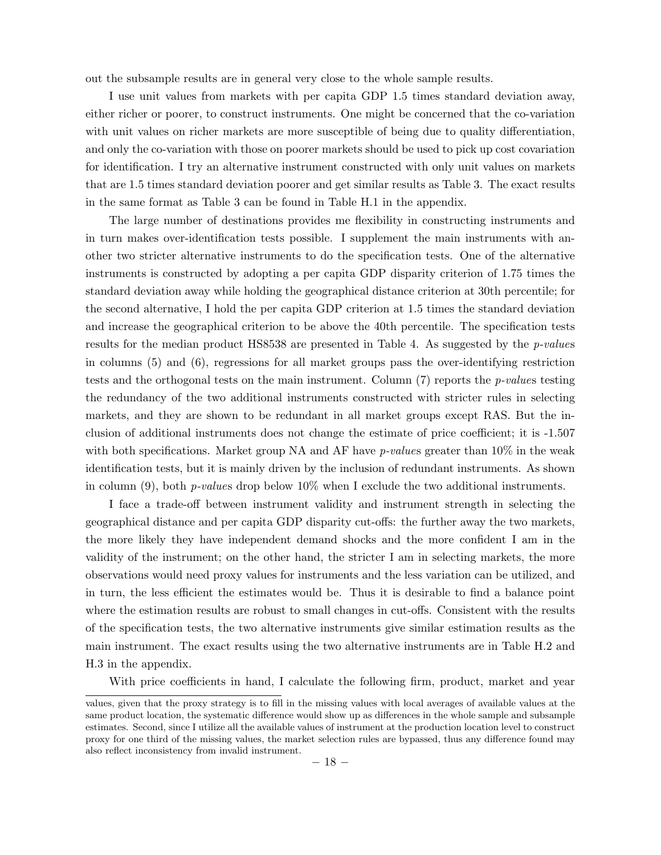out the subsample results are in general very close to the whole sample results.

I use unit values from markets with per capita GDP 1.5 times standard deviation away, either richer or poorer, to construct instruments. One might be concerned that the co-variation with unit values on richer markets are more susceptible of being due to quality differentiation, and only the co-variation with those on poorer markets should be used to pick up cost covariation for identification. I try an alternative instrument constructed with only unit values on markets that are 1.5 times standard deviation poorer and get similar results as Table 3. The exact results in the same format as Table 3 can be found in Table H.1 in the appendix.

The large number of destinations provides me flexibility in constructing instruments and in turn makes over-identification tests possible. I supplement the main instruments with another two stricter alternative instruments to do the specification tests. One of the alternative instruments is constructed by adopting a per capita GDP disparity criterion of 1.75 times the standard deviation away while holding the geographical distance criterion at 30th percentile; for the second alternative, I hold the per capita GDP criterion at 1.5 times the standard deviation and increase the geographical criterion to be above the 40th percentile. The specification tests results for the median product HS8538 are presented in Table 4. As suggested by the p-values in columns (5) and (6), regressions for all market groups pass the over-identifying restriction tests and the orthogonal tests on the main instrument. Column  $(7)$  reports the *p-values* testing the redundancy of the two additional instruments constructed with stricter rules in selecting markets, and they are shown to be redundant in all market groups except RAS. But the inclusion of additional instruments does not change the estimate of price coefficient; it is -1.507 with both specifications. Market group NA and AF have *p-values* greater than  $10\%$  in the weak identification tests, but it is mainly driven by the inclusion of redundant instruments. As shown in column (9), both *p-values* drop below  $10\%$  when I exclude the two additional instruments.

I face a trade-off between instrument validity and instrument strength in selecting the geographical distance and per capita GDP disparity cut-offs: the further away the two markets, the more likely they have independent demand shocks and the more confident I am in the validity of the instrument; on the other hand, the stricter I am in selecting markets, the more observations would need proxy values for instruments and the less variation can be utilized, and in turn, the less efficient the estimates would be. Thus it is desirable to find a balance point where the estimation results are robust to small changes in cut-offs. Consistent with the results of the specification tests, the two alternative instruments give similar estimation results as the main instrument. The exact results using the two alternative instruments are in Table H.2 and H.3 in the appendix.

With price coefficients in hand, I calculate the following firm, product, market and year

values, given that the proxy strategy is to fill in the missing values with local averages of available values at the same product location, the systematic difference would show up as differences in the whole sample and subsample estimates. Second, since I utilize all the available values of instrument at the production location level to construct proxy for one third of the missing values, the market selection rules are bypassed, thus any difference found may also reflect inconsistency from invalid instrument.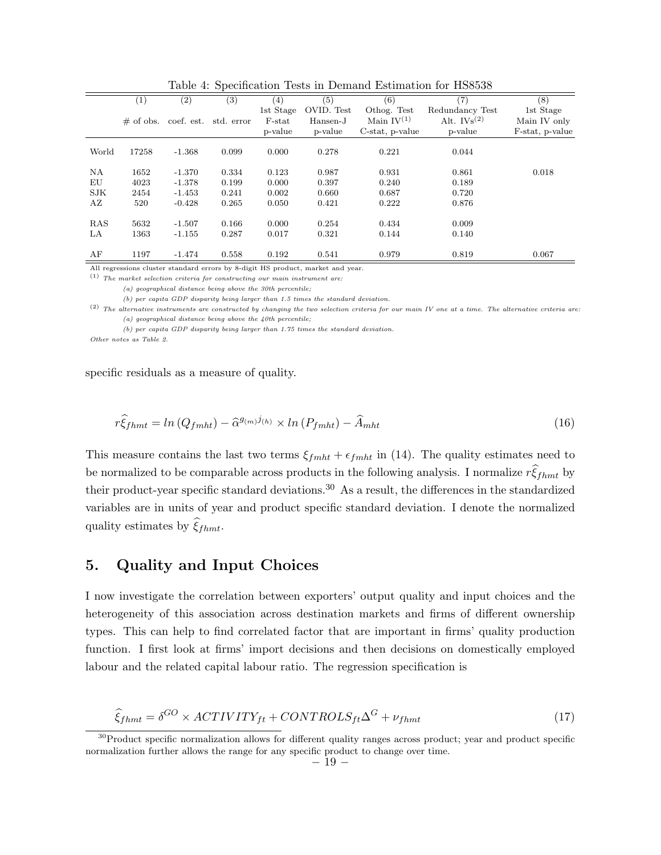|            | (1)          | $\left( 2\right)$ | $^{(3)}$   | (4)       | (5)        | (6)             | (7)              | (8)             |
|------------|--------------|-------------------|------------|-----------|------------|-----------------|------------------|-----------------|
|            |              |                   |            | 1st Stage | OVID. Test | Othog. Test     | Redundancy Test  | 1st Stage       |
|            | $\#$ of obs. | coef. est.        | std. error | $F$ -stat | Hansen-J   | Main $IV^{(1)}$ | Alt. $IVs^{(2)}$ | Main IV only    |
|            |              |                   |            | p-value   | p-value    | C-stat, p-value | p-value          | F-stat, p-value |
|            |              |                   |            |           |            |                 |                  |                 |
| World      | 17258        | $-1.368$          | 0.099      | 0.000     | 0.278      | 0.221           | 0.044            |                 |
|            |              |                   |            |           |            |                 |                  |                 |
| NA         | 1652         | $-1.370$          | 0.334      | 0.123     | 0.987      | 0.931           | 0.861            | 0.018           |
| EU         | 4023         | $-1.378$          | 0.199      | 0.000     | 0.397      | 0.240           | 0.189            |                 |
| <b>SJK</b> | 2454         | $-1.453$          | 0.241      | 0.002     | 0.660      | 0.687           | 0.720            |                 |
| ΑZ         | 520          | $-0.428$          | 0.265      | 0.050     | 0.421      | 0.222           | 0.876            |                 |
|            |              |                   |            |           |            |                 |                  |                 |
| RAS        | 5632         | $-1.507$          | 0.166      | 0.000     | 0.254      | 0.434           | 0.009            |                 |
| LA.        | 1363         | $-1.155$          | 0.287      | 0.017     | 0.321      | 0.144           | 0.140            |                 |
|            |              |                   |            |           |            |                 |                  |                 |
| AF         | 1197         | $-1.474$          | 0.558      | 0.192     | 0.541      | 0.979           | 0.819            | 0.067           |
|            |              |                   |            |           |            |                 |                  |                 |

Table 4: Specification Tests in Demand Estimation for HS8538

All regressions cluster standard errors by 8-digit HS product, market and year.

 $\,^{(1)}$  The market selection criteria for constructing our main instrument are:

(a) geographical distance being above the 30th percentile;

(b) per capita GDP disparity being larger than 1.5 times the standard deviation.

 $(2)$  The alternative instruments are constructed by changing the two selection criteria for our main IV one at a time. The alternative criteria are: (a) geographical distance being above the  $40th$  percentile;

(b) per capita GDP disparity being larger than 1.75 times the standard deviation.

Other notes as Table 2.

specific residuals as a measure of quality.

$$
r\hat{\xi}_{fhmt} = \ln\left(Q_{fmht}\right) - \hat{\alpha}^{g_{(m)}j_{(h)}} \times \ln\left(P_{fmht}\right) - \hat{A}_{mht} \tag{16}
$$

This measure contains the last two terms  $\xi_{f m h t} + \epsilon_{f m h t}$  in (14). The quality estimates need to be normalized to be comparable across products in the following analysis. I normalize  $r\xi_{f h m t}$  by their product-year specific standard deviations.<sup>30</sup> As a result, the differences in the standardized variables are in units of year and product specific standard deviation. I denote the normalized quality estimates by  $\xi_{fhmt}$ .

# 5. Quality and Input Choices

I now investigate the correlation between exporters' output quality and input choices and the heterogeneity of this association across destination markets and firms of different ownership types. This can help to find correlated factor that are important in firms' quality production function. I first look at firms' import decisions and then decisions on domestically employed labour and the related capital labour ratio. The regression specification is

$$
\hat{\xi}_{fhmt} = \delta^{GO} \times ACTIVITY_{ft} + CONTROLS_{ft}\Delta^{G} + \nu_{fhmt}
$$
\n(17)

<sup>&</sup>lt;sup>30</sup>Product specific normalization allows for different quality ranges across product; year and product specific normalization further allows the range for any specific product to change over time.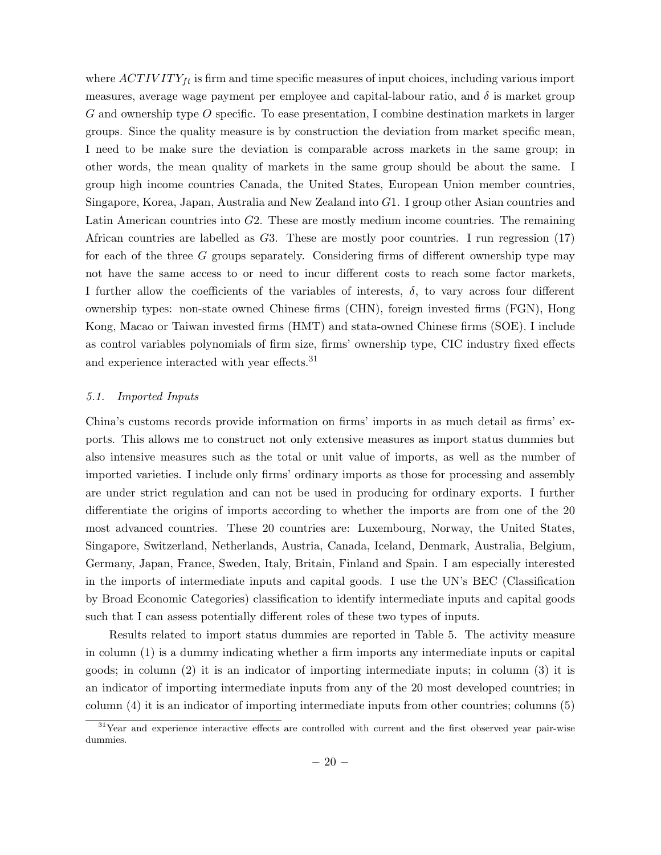where  $ACTIVITY_{ft}$  is firm and time specific measures of input choices, including various import measures, average wage payment per employee and capital-labour ratio, and  $\delta$  is market group  $G$  and ownership type  $O$  specific. To ease presentation, I combine destination markets in larger groups. Since the quality measure is by construction the deviation from market specific mean, I need to be make sure the deviation is comparable across markets in the same group; in other words, the mean quality of markets in the same group should be about the same. I group high income countries Canada, the United States, European Union member countries, Singapore, Korea, Japan, Australia and New Zealand into  $G1$ . I group other Asian countries and Latin American countries into  $G2$ . These are mostly medium income countries. The remaining African countries are labelled as  $G_3$ . These are mostly poor countries. I run regression (17) for each of the three  $G$  groups separately. Considering firms of different ownership type may not have the same access to or need to incur different costs to reach some factor markets, I further allow the coefficients of the variables of interests,  $\delta$ , to vary across four different ownership types: non-state owned Chinese firms (CHN), foreign invested firms (FGN), Hong Kong, Macao or Taiwan invested firms (HMT) and stata-owned Chinese firms (SOE). I include as control variables polynomials of firm size, firms' ownership type, CIC industry fixed effects and experience interacted with year effects.<sup>31</sup>

#### 5.1. Imported Inputs

China's customs records provide information on firms' imports in as much detail as firms' exports. This allows me to construct not only extensive measures as import status dummies but also intensive measures such as the total or unit value of imports, as well as the number of imported varieties. I include only firms' ordinary imports as those for processing and assembly are under strict regulation and can not be used in producing for ordinary exports. I further differentiate the origins of imports according to whether the imports are from one of the 20 most advanced countries. These 20 countries are: Luxembourg, Norway, the United States, Singapore, Switzerland, Netherlands, Austria, Canada, Iceland, Denmark, Australia, Belgium, Germany, Japan, France, Sweden, Italy, Britain, Finland and Spain. I am especially interested in the imports of intermediate inputs and capital goods. I use the UN's BEC (Classification by Broad Economic Categories) classification to identify intermediate inputs and capital goods such that I can assess potentially different roles of these two types of inputs.

Results related to import status dummies are reported in Table 5. The activity measure in column (1) is a dummy indicating whether a firm imports any intermediate inputs or capital goods; in column (2) it is an indicator of importing intermediate inputs; in column (3) it is an indicator of importing intermediate inputs from any of the 20 most developed countries; in column (4) it is an indicator of importing intermediate inputs from other countries; columns (5)

 $31$ Year and experience interactive effects are controlled with current and the first observed year pair-wise dummies.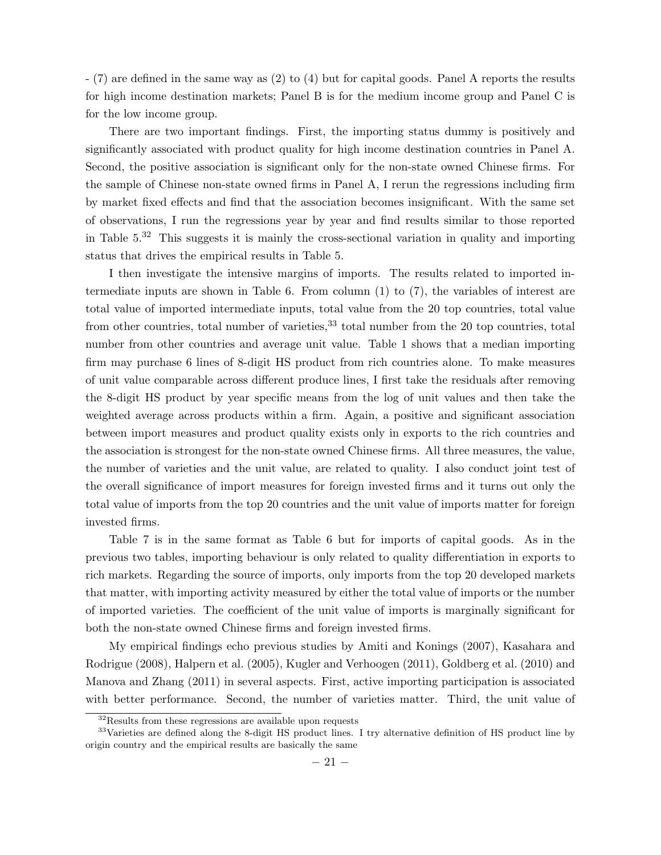- (7) are defined in the same way as (2) to (4) but for capital goods. Panel A reports the results for high income destination markets; Panel B is for the medium income group and Panel C is for the low income group.

There are two important findings. First, the importing status dummy is positively and significantly associated with product quality for high income destination countries in Panel A. Second, the positive association is significant only for the non-state owned Chinese firms. For the sample of Chinese non-state owned firms in Panel A, I rerun the regressions including firm by market fixed effects and find that the association becomes insignificant. With the same set of observations, I run the regressions year by year and find results similar to those reported in Table 5. 32 This suggests it is mainly the cross-sectional variation in quality and importing status that drives the empirical results in Table 5.

I then investigate the intensive margins of imports. The results related to imported intermediate inputs are shown in Table 6. From column (1) to (7), the variables of interest are total value of imported intermediate inputs, total value from the 20 top countries, total value from other countries, total number of varieties,<sup>33</sup> total number from the 20 top countries, total number from other countries and average unit value. Table 1 shows that a median importing firm may purchase 6 lines of 8-digit HS product from rich countries alone. To make measures of unit value comparable across different produce lines, I first take the residuals after removing the 8-digit HS product by year specific means from the log of unit values and then take the weighted average across products within a firm. Again, a positive and significant association between import measures and product quality exists only in exports to the rich countries and the association is strongest for the non-state owned Chinese firms. All three measures, the value, the number of varieties and the unit value, are related to quality. I also conduct joint test of the overall significance of import measures for foreign invested firms and it turns out only the total value of imports from the top 20 countries and the unit value of imports matter for foreign invested firms.

Table 7 is in the same format as Table 6 but for imports of capital goods. As in the previous two tables, importing behaviour is only related to quality differentiation in exports to rich markets. Regarding the source of imports, only imports from the top 20 developed markets that matter, with importing activity measured by either the total value of imports or the number of imported varieties. The coefficient of the unit value of imports is marginally significant for both the non-state owned Chinese firms and foreign invested firms.

My empirical findings echo previous studies by Amiti and Konings (2007), Kasahara and Rodrigue (2008), Halpern et al. (2005), Kugler and Verhoogen (2011), Goldberg et al. (2010) and Manova and Zhang (2011) in several aspects. First, active importing participation is associated with better performance. Second, the number of varieties matter. Third, the unit value of

<sup>32</sup>Results from these regressions are available upon requests

<sup>&</sup>lt;sup>33</sup>Varieties are defined along the 8-digit HS product lines. I try alternative definition of HS product line by origin country and the empirical results are basically the same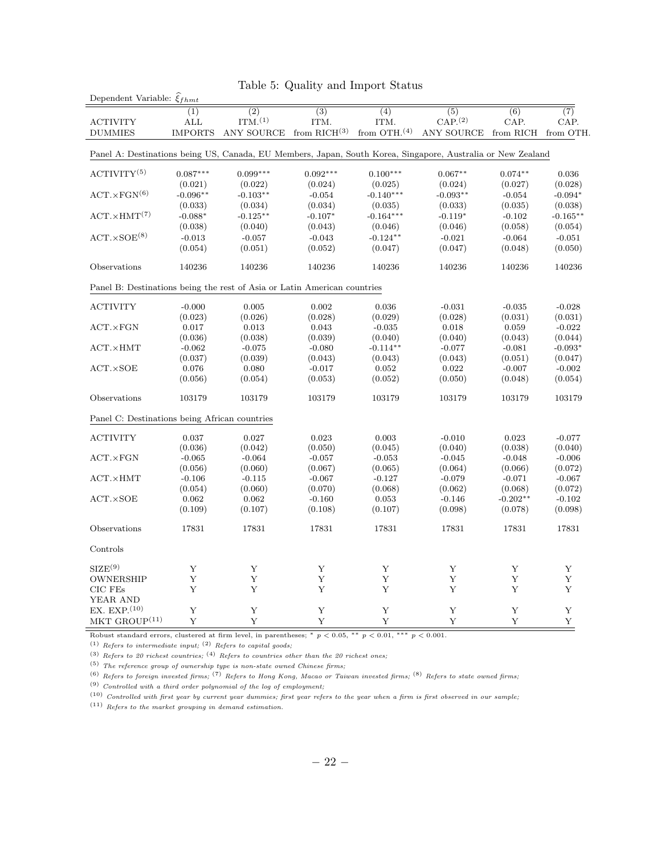| Dependent Variable: $\hat{\xi}_{f h m t}$                                                                   |                         |                      |                  | тарк от одианту ани нироге реатив |                                                                                             |                  |                  |
|-------------------------------------------------------------------------------------------------------------|-------------------------|----------------------|------------------|-----------------------------------|---------------------------------------------------------------------------------------------|------------------|------------------|
|                                                                                                             | (1)                     | $\overline{(2)}$     | $\overline{(3)}$ | (4)                               | (5)                                                                                         | $\overline{(6)}$ | $\overline{(7)}$ |
| <b>ACTIVITY</b>                                                                                             | $\mathop{\mathrm{ALL}}$ | ITM <sub>1</sub> (1) | ITM.             | ITM.                              | ${\rm CAP.}^{(2)}$                                                                          | CAP.             | CAP.             |
| <b>DUMMIES</b>                                                                                              | <b>IMPORTS</b>          |                      |                  |                                   | ANY SOURCE from RICH <sup>(3)</sup> from OTH. <sup>(4)</sup> ANY SOURCE from RICH from OTH. |                  |                  |
|                                                                                                             |                         |                      |                  |                                   |                                                                                             |                  |                  |
| Panel A: Destinations being US, Canada, EU Members, Japan, South Korea, Singapore, Australia or New Zealand |                         |                      |                  |                                   |                                                                                             |                  |                  |
| ACTIVITY <sup>(5)</sup>                                                                                     | $0.087***$              | $0.099***$           | $0.092***$       | $0.100***$                        | $0.067**$                                                                                   | $0.074**$        | 0.036            |
|                                                                                                             | (0.021)                 | (0.022)              | (0.024)          | (0.025)                           | (0.024)                                                                                     | (0.027)          | (0.028)          |
| $ACT. \times FGN^{(6)}$                                                                                     | $-0.096**$              | $-0.103**$           | $-0.054$         | $-0.140***$                       | $-0.093**$                                                                                  | $-0.054$         | $-0.094*$        |
|                                                                                                             | (0.033)                 | (0.034)              | (0.034)          | (0.035)                           | (0.033)                                                                                     | (0.035)          | (0.038)          |
| $ACT. \times HMT(7)$                                                                                        | $-0.088*$               | $-0.125**$           | $-0.107*$        | $-0.164***$                       | $-0.119*$                                                                                   | $-0.102$         | $-0.165**$       |
|                                                                                                             | (0.038)                 | (0.040)              | (0.043)          | (0.046)                           | (0.046)                                                                                     | (0.058)          | (0.054)          |
| $ACT. \times SOE^{(8)}$                                                                                     | $-0.013$                | $-0.057$             | $-0.043$         | $-0.124**$                        | $-0.021$                                                                                    | $-0.064$         | $-0.051$         |
|                                                                                                             |                         |                      |                  |                                   |                                                                                             |                  |                  |
|                                                                                                             | (0.054)                 | (0.051)              | (0.052)          | (0.047)                           | (0.047)                                                                                     | (0.048)          | (0.050)          |
| Observations                                                                                                | 140236                  | 140236               | 140236           | 140236                            | 140236                                                                                      | 140236           | 140236           |
| Panel B: Destinations being the rest of Asia or Latin American countries                                    |                         |                      |                  |                                   |                                                                                             |                  |                  |
|                                                                                                             |                         |                      |                  |                                   |                                                                                             |                  |                  |
| <b>ACTIVITY</b>                                                                                             | $-0.000$                | 0.005                | 0.002            | 0.036                             | $-0.031$                                                                                    | $-0.035$         | $-0.028$         |
|                                                                                                             | (0.023)                 | (0.026)              | (0.028)          | (0.029)                           | (0.028)                                                                                     | (0.031)          | (0.031)          |
| $ACT. \times FGN$                                                                                           | 0.017                   | 0.013                | 0.043            | $-0.035$                          | 0.018                                                                                       | 0.059            | $-0.022$         |
|                                                                                                             | (0.036)                 | (0.038)              | (0.039)          | (0.040)                           | (0.040)                                                                                     | (0.043)          | (0.044)          |
| $ACT. \times HMT$                                                                                           | $-0.062$                | $-0.075$             | $-0.080$         | $-0.114**$                        | $-0.077$                                                                                    | $-0.081$         | $-0.093*$        |
|                                                                                                             | (0.037)                 | (0.039)              | (0.043)          | (0.043)                           | (0.043)                                                                                     | (0.051)          | (0.047)          |
| $ACT. \times SOE$                                                                                           | 0.076                   | 0.080                | $-0.017$         | 0.052                             | 0.022                                                                                       | $-0.007$         | $-0.002$         |
|                                                                                                             | (0.056)                 | (0.054)              | (0.053)          | (0.052)                           | (0.050)                                                                                     | (0.048)          | (0.054)          |
| Observations                                                                                                | 103179                  | 103179               | 103179           | 103179                            | 103179                                                                                      | 103179           | 103179           |
| Panel C: Destinations being African countries                                                               |                         |                      |                  |                                   |                                                                                             |                  |                  |
| <b>ACTIVITY</b>                                                                                             | 0.037                   | 0.027                | 0.023            | 0.003                             | $-0.010$                                                                                    | 0.023            | $-0.077$         |
|                                                                                                             |                         |                      |                  |                                   |                                                                                             |                  |                  |
|                                                                                                             | (0.036)                 | (0.042)              | (0.050)          | (0.045)                           | (0.040)                                                                                     | (0.038)          | (0.040)          |
| $ACT. \times FGN$                                                                                           | $-0.065$                | $-0.064$             | $-0.057$         | $-0.053$                          | $-0.045$                                                                                    | $-0.048$         | $-0.006$         |
|                                                                                                             | (0.056)                 | (0.060)              | (0.067)          | (0.065)                           | (0.064)                                                                                     | (0.066)          | (0.072)          |
| $ACT. \times HMT$                                                                                           | $-0.106$                | $-0.115$             | $-0.067$         | $-0.127$                          | $-0.079$                                                                                    | $-0.071$         | $-0.067$         |
|                                                                                                             | (0.054)                 | (0.060)              | (0.070)          | (0.068)                           | (0.062)                                                                                     | (0.068)          | (0.072)          |
| ACT.XSOE                                                                                                    | 0.062                   | 0.062                | $-0.160$         | 0.053                             | $-0.146$                                                                                    | $-0.202**$       | $-0.102$         |
|                                                                                                             | (0.109)                 | (0.107)              | (0.108)          | (0.107)                           | (0.098)                                                                                     | (0.078)          | (0.098)          |
| Observations                                                                                                | 17831                   | 17831                | 17831            | 17831                             | 17831                                                                                       | 17831            | 17831            |
| Controls                                                                                                    |                         |                      |                  |                                   |                                                                                             |                  |                  |
| $\text{SIZE}^{(9)}$                                                                                         | Y                       | Y                    | Y                | Y                                 | Y                                                                                           | Y                | Y                |
| OWNERSHIP                                                                                                   | Y                       | Y                    | Y                | Υ                                 | Υ                                                                                           | Υ                | Υ                |
| CIC FEs                                                                                                     | Y                       | Y                    | Y                | Y                                 | Y                                                                                           | Y                | Y                |
| YEAR AND                                                                                                    |                         |                      |                  |                                   |                                                                                             |                  |                  |
| EX. EXP. $(10)$                                                                                             | Y                       | Y                    | Y                | Y                                 | Y                                                                                           | Y                | Y                |
| MKT GROUP $^{(11)}$                                                                                         | Y                       | Y                    | Y                | Y                                 |                                                                                             |                  |                  |
|                                                                                                             |                         |                      |                  |                                   | Y                                                                                           | Y                | $\mathbf Y$      |

## Table 5: Quality and Import Status

Robust standard errors, clustered at firm level, in parentheses;  $* p < 0.05$ ,  $* p < 0.01$ ,  $** p < 0.001$ .

(1) Refers to intermediate input;  $(2)$  Refers to capital goods;

(3) Refers to 20 richest countries;  $(4)$  Refers to countries other than the 20 richest ones;

 $\left(5\right)$  The reference group of ownership type is non-state owned Chinese firms;

 $(6)$  Refers to foreign invested firms;  $(7)$  Refers to Hong Kong, Macao or Taiwan invested firms;  $(8)$  Refers to state owned firms;

 $\mbox{ }^{(9)}$  Controlled with a third order polynomial of the log of employment;

 $(10)$  Controlled with first year by current year dummies; first year refers to the year when a firm is first observed in our sample;

 $(11)$  Refers to the market grouping in demand estimation.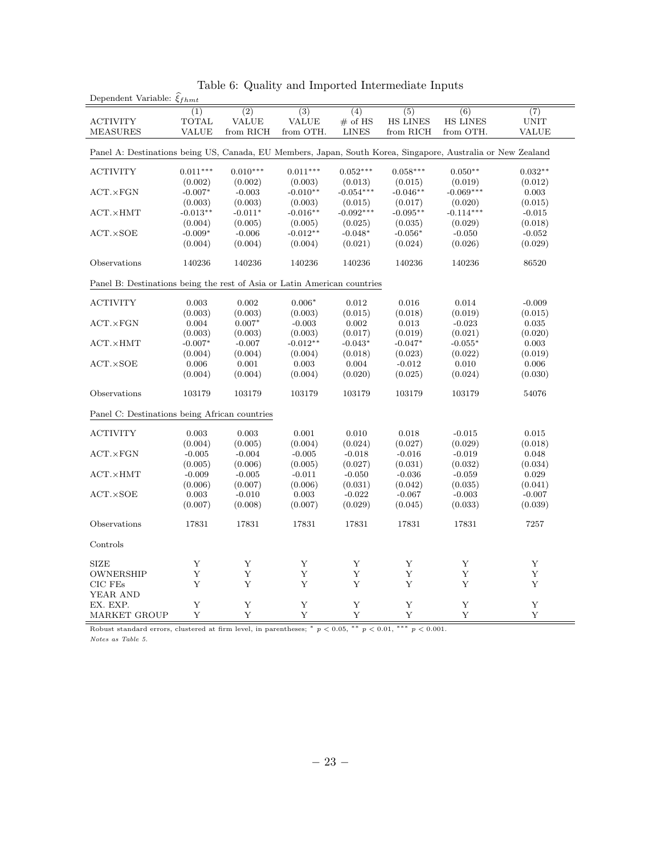| $\overline{(2)}$<br>$\overline{(3)}$<br>$\overline{(4)}$<br>$\overline{(5)}$<br>(1)<br>(6)<br>$\overline{(7)}$<br><b>TOTAL</b><br><b>VALUE</b><br><b>VALUE</b><br>$#$ of HS<br><b>HS LINES</b><br><b>HS LINES</b><br>$\ensuremath{\mathrm{UNIT}}$<br><b>ACTIVITY</b><br><b>MEASURES</b><br><b>VALUE</b><br>from RICH<br>from OTH.<br><b>LINES</b><br>from RICH<br>from OTH.<br><b>VALUE</b><br>Panel A: Destinations being US, Canada, EU Members, Japan, South Korea, Singapore, Australia or New Zealand<br>$0.011***$<br>$0.010***$<br>$0.011***$<br>$0.052***$<br>$0.058***$<br>$0.050**$<br>$0.032**$<br><b>ACTIVITY</b><br>(0.002)<br>(0.002)<br>(0.003)<br>(0.019)<br>(0.012)<br>(0.013)<br>(0.015)<br>$-0.010**$<br>$-0.054***$<br>$-0.046**$<br>$-0.069***$<br>$ACT. \times FGN$<br>$-0.007*$<br>$-0.003$<br>0.003<br>(0.003)<br>(0.003)<br>(0.003)<br>(0.015)<br>(0.017)<br>(0.020)<br>(0.015)<br>$-0.013**$<br>$-0.011*$<br>$-0.016**$<br>$-0.092***$<br>$-0.095**$<br>$-0.114***$<br>$ACT. \times HMT$<br>$-0.015$<br>(0.005)<br>(0.005)<br>(0.035)<br>(0.029)<br>(0.018)<br>(0.004)<br>(0.025)<br>$-0.012**$<br>ACT.XSOE<br>$-0.009*$<br>$-0.006$<br>$-0.048*$<br>$-0.056*$<br>$-0.050$<br>$-0.052$<br>(0.004)<br>(0.004)<br>(0.004)<br>(0.021)<br>(0.024)<br>(0.026)<br>(0.029)<br>Observations<br>140236<br>140236<br>140236<br>140236<br>140236<br>140236<br>86520<br>Panel B: Destinations being the rest of Asia or Latin American countries<br><b>ACTIVITY</b><br>0.003<br>0.002<br>$0.006*$<br>0.012<br>0.016<br>0.014<br>$-0.009$<br>(0.003)<br>(0.003)<br>(0.003)<br>(0.015)<br>(0.018)<br>(0.019)<br>(0.015)<br>0.004<br>$0.007*$<br>0.002<br>$ACT. \times FGN$<br>$-0.003$<br>0.013<br>$-0.023$<br>0.035<br>(0.021)<br>(0.003)<br>(0.003)<br>(0.003)<br>(0.017)<br>(0.019)<br>(0.020)<br>$-0.012**$<br>$ACT. \times HMT$<br>$-0.007*$<br>$-0.007$<br>$-0.043*$<br>$-0.047*$<br>$-0.055*$<br>0.003<br>(0.004)<br>(0.004)<br>(0.004)<br>(0.018)<br>(0.023)<br>(0.022)<br>(0.019)<br>0.010<br>ACT.XSOE<br>0.006<br>0.001<br>0.003<br>0.004<br>$-0.012$<br>0.006<br>(0.004)<br>(0.024)<br>(0.004)<br>(0.004)<br>(0.020)<br>(0.025)<br>(0.030)<br>Observations<br>103179<br>103179<br>103179<br>103179<br>103179<br>103179<br>54076<br>Panel C: Destinations being African countries<br><b>ACTIVITY</b><br>0.003<br>0.003<br>0.001<br>0.010<br>0.018<br>$-0.015$<br>0.015<br>(0.004)<br>(0.005)<br>(0.004)<br>(0.024)<br>(0.027)<br>(0.029)<br>(0.018)<br>$-0.005$<br>$-0.005$<br>$-0.019$<br>$ACT. \times FGN$<br>$-0.004$<br>$-0.018$<br>$-0.016$<br>0.048<br>(0.005)<br>(0.006)<br>(0.005)<br>(0.027)<br>(0.031)<br>(0.032)<br>(0.034)<br>$-0.009$<br>$-0.011$<br>$-0.050$<br>$-0.036$<br>$-0.059$<br>0.029<br>$ACT. \times HMT$<br>$-0.005$<br>(0.006)<br>(0.035)<br>(0.006)<br>(0.007)<br>(0.031)<br>(0.042)<br>(0.041)<br>$-0.003$<br>$-0.007$<br>$ACT. \times SOE$<br>0.003<br>$-0.010$<br>0.003<br>$-0.022$<br>$-0.067$<br>(0.033)<br>(0.007)<br>(0.008)<br>(0.007)<br>(0.029)<br>(0.045)<br>(0.039)<br>17831<br>17831<br>17831<br>17831<br>17831<br>7257<br>Observations<br>17831<br>Controls<br><b>SIZE</b><br>Y<br>Y<br>Y<br>Y<br>Y<br>Y<br>Y<br>Y<br>Y<br>Y<br>Y<br>Y<br>Y<br>OWNERSHIP<br>Υ<br>Y<br>Y<br>Y<br>$CIC$ $FEs$<br>Y<br>Y<br>Y<br>Y<br>YEAR AND | rable of Quanty and imported intermediate imputs<br>Dependent Variable: $\widehat{\xi}_{fhmt}$ |  |  |  |  |  |  |  |  |  |
|-------------------------------------------------------------------------------------------------------------------------------------------------------------------------------------------------------------------------------------------------------------------------------------------------------------------------------------------------------------------------------------------------------------------------------------------------------------------------------------------------------------------------------------------------------------------------------------------------------------------------------------------------------------------------------------------------------------------------------------------------------------------------------------------------------------------------------------------------------------------------------------------------------------------------------------------------------------------------------------------------------------------------------------------------------------------------------------------------------------------------------------------------------------------------------------------------------------------------------------------------------------------------------------------------------------------------------------------------------------------------------------------------------------------------------------------------------------------------------------------------------------------------------------------------------------------------------------------------------------------------------------------------------------------------------------------------------------------------------------------------------------------------------------------------------------------------------------------------------------------------------------------------------------------------------------------------------------------------------------------------------------------------------------------------------------------------------------------------------------------------------------------------------------------------------------------------------------------------------------------------------------------------------------------------------------------------------------------------------------------------------------------------------------------------------------------------------------------------------------------------------------------------------------------------------------------------------------------------------------------------------------------------------------------------------------------------------------------------------------------------------------------------------------------------------------------------------------------------------------------------------------------------------------------------------------------------------------------------------------------------------------------------------------------------------------------------------------------------------------------------------------------------------------------------------------------------------------------------------------------------------------------------------------------|------------------------------------------------------------------------------------------------|--|--|--|--|--|--|--|--|--|
|                                                                                                                                                                                                                                                                                                                                                                                                                                                                                                                                                                                                                                                                                                                                                                                                                                                                                                                                                                                                                                                                                                                                                                                                                                                                                                                                                                                                                                                                                                                                                                                                                                                                                                                                                                                                                                                                                                                                                                                                                                                                                                                                                                                                                                                                                                                                                                                                                                                                                                                                                                                                                                                                                                                                                                                                                                                                                                                                                                                                                                                                                                                                                                                                                                                                                           |                                                                                                |  |  |  |  |  |  |  |  |  |
|                                                                                                                                                                                                                                                                                                                                                                                                                                                                                                                                                                                                                                                                                                                                                                                                                                                                                                                                                                                                                                                                                                                                                                                                                                                                                                                                                                                                                                                                                                                                                                                                                                                                                                                                                                                                                                                                                                                                                                                                                                                                                                                                                                                                                                                                                                                                                                                                                                                                                                                                                                                                                                                                                                                                                                                                                                                                                                                                                                                                                                                                                                                                                                                                                                                                                           |                                                                                                |  |  |  |  |  |  |  |  |  |
|                                                                                                                                                                                                                                                                                                                                                                                                                                                                                                                                                                                                                                                                                                                                                                                                                                                                                                                                                                                                                                                                                                                                                                                                                                                                                                                                                                                                                                                                                                                                                                                                                                                                                                                                                                                                                                                                                                                                                                                                                                                                                                                                                                                                                                                                                                                                                                                                                                                                                                                                                                                                                                                                                                                                                                                                                                                                                                                                                                                                                                                                                                                                                                                                                                                                                           |                                                                                                |  |  |  |  |  |  |  |  |  |
|                                                                                                                                                                                                                                                                                                                                                                                                                                                                                                                                                                                                                                                                                                                                                                                                                                                                                                                                                                                                                                                                                                                                                                                                                                                                                                                                                                                                                                                                                                                                                                                                                                                                                                                                                                                                                                                                                                                                                                                                                                                                                                                                                                                                                                                                                                                                                                                                                                                                                                                                                                                                                                                                                                                                                                                                                                                                                                                                                                                                                                                                                                                                                                                                                                                                                           |                                                                                                |  |  |  |  |  |  |  |  |  |
|                                                                                                                                                                                                                                                                                                                                                                                                                                                                                                                                                                                                                                                                                                                                                                                                                                                                                                                                                                                                                                                                                                                                                                                                                                                                                                                                                                                                                                                                                                                                                                                                                                                                                                                                                                                                                                                                                                                                                                                                                                                                                                                                                                                                                                                                                                                                                                                                                                                                                                                                                                                                                                                                                                                                                                                                                                                                                                                                                                                                                                                                                                                                                                                                                                                                                           |                                                                                                |  |  |  |  |  |  |  |  |  |
|                                                                                                                                                                                                                                                                                                                                                                                                                                                                                                                                                                                                                                                                                                                                                                                                                                                                                                                                                                                                                                                                                                                                                                                                                                                                                                                                                                                                                                                                                                                                                                                                                                                                                                                                                                                                                                                                                                                                                                                                                                                                                                                                                                                                                                                                                                                                                                                                                                                                                                                                                                                                                                                                                                                                                                                                                                                                                                                                                                                                                                                                                                                                                                                                                                                                                           |                                                                                                |  |  |  |  |  |  |  |  |  |
|                                                                                                                                                                                                                                                                                                                                                                                                                                                                                                                                                                                                                                                                                                                                                                                                                                                                                                                                                                                                                                                                                                                                                                                                                                                                                                                                                                                                                                                                                                                                                                                                                                                                                                                                                                                                                                                                                                                                                                                                                                                                                                                                                                                                                                                                                                                                                                                                                                                                                                                                                                                                                                                                                                                                                                                                                                                                                                                                                                                                                                                                                                                                                                                                                                                                                           |                                                                                                |  |  |  |  |  |  |  |  |  |
|                                                                                                                                                                                                                                                                                                                                                                                                                                                                                                                                                                                                                                                                                                                                                                                                                                                                                                                                                                                                                                                                                                                                                                                                                                                                                                                                                                                                                                                                                                                                                                                                                                                                                                                                                                                                                                                                                                                                                                                                                                                                                                                                                                                                                                                                                                                                                                                                                                                                                                                                                                                                                                                                                                                                                                                                                                                                                                                                                                                                                                                                                                                                                                                                                                                                                           |                                                                                                |  |  |  |  |  |  |  |  |  |
|                                                                                                                                                                                                                                                                                                                                                                                                                                                                                                                                                                                                                                                                                                                                                                                                                                                                                                                                                                                                                                                                                                                                                                                                                                                                                                                                                                                                                                                                                                                                                                                                                                                                                                                                                                                                                                                                                                                                                                                                                                                                                                                                                                                                                                                                                                                                                                                                                                                                                                                                                                                                                                                                                                                                                                                                                                                                                                                                                                                                                                                                                                                                                                                                                                                                                           |                                                                                                |  |  |  |  |  |  |  |  |  |
|                                                                                                                                                                                                                                                                                                                                                                                                                                                                                                                                                                                                                                                                                                                                                                                                                                                                                                                                                                                                                                                                                                                                                                                                                                                                                                                                                                                                                                                                                                                                                                                                                                                                                                                                                                                                                                                                                                                                                                                                                                                                                                                                                                                                                                                                                                                                                                                                                                                                                                                                                                                                                                                                                                                                                                                                                                                                                                                                                                                                                                                                                                                                                                                                                                                                                           |                                                                                                |  |  |  |  |  |  |  |  |  |
|                                                                                                                                                                                                                                                                                                                                                                                                                                                                                                                                                                                                                                                                                                                                                                                                                                                                                                                                                                                                                                                                                                                                                                                                                                                                                                                                                                                                                                                                                                                                                                                                                                                                                                                                                                                                                                                                                                                                                                                                                                                                                                                                                                                                                                                                                                                                                                                                                                                                                                                                                                                                                                                                                                                                                                                                                                                                                                                                                                                                                                                                                                                                                                                                                                                                                           |                                                                                                |  |  |  |  |  |  |  |  |  |
|                                                                                                                                                                                                                                                                                                                                                                                                                                                                                                                                                                                                                                                                                                                                                                                                                                                                                                                                                                                                                                                                                                                                                                                                                                                                                                                                                                                                                                                                                                                                                                                                                                                                                                                                                                                                                                                                                                                                                                                                                                                                                                                                                                                                                                                                                                                                                                                                                                                                                                                                                                                                                                                                                                                                                                                                                                                                                                                                                                                                                                                                                                                                                                                                                                                                                           |                                                                                                |  |  |  |  |  |  |  |  |  |
|                                                                                                                                                                                                                                                                                                                                                                                                                                                                                                                                                                                                                                                                                                                                                                                                                                                                                                                                                                                                                                                                                                                                                                                                                                                                                                                                                                                                                                                                                                                                                                                                                                                                                                                                                                                                                                                                                                                                                                                                                                                                                                                                                                                                                                                                                                                                                                                                                                                                                                                                                                                                                                                                                                                                                                                                                                                                                                                                                                                                                                                                                                                                                                                                                                                                                           |                                                                                                |  |  |  |  |  |  |  |  |  |
|                                                                                                                                                                                                                                                                                                                                                                                                                                                                                                                                                                                                                                                                                                                                                                                                                                                                                                                                                                                                                                                                                                                                                                                                                                                                                                                                                                                                                                                                                                                                                                                                                                                                                                                                                                                                                                                                                                                                                                                                                                                                                                                                                                                                                                                                                                                                                                                                                                                                                                                                                                                                                                                                                                                                                                                                                                                                                                                                                                                                                                                                                                                                                                                                                                                                                           |                                                                                                |  |  |  |  |  |  |  |  |  |
|                                                                                                                                                                                                                                                                                                                                                                                                                                                                                                                                                                                                                                                                                                                                                                                                                                                                                                                                                                                                                                                                                                                                                                                                                                                                                                                                                                                                                                                                                                                                                                                                                                                                                                                                                                                                                                                                                                                                                                                                                                                                                                                                                                                                                                                                                                                                                                                                                                                                                                                                                                                                                                                                                                                                                                                                                                                                                                                                                                                                                                                                                                                                                                                                                                                                                           |                                                                                                |  |  |  |  |  |  |  |  |  |
|                                                                                                                                                                                                                                                                                                                                                                                                                                                                                                                                                                                                                                                                                                                                                                                                                                                                                                                                                                                                                                                                                                                                                                                                                                                                                                                                                                                                                                                                                                                                                                                                                                                                                                                                                                                                                                                                                                                                                                                                                                                                                                                                                                                                                                                                                                                                                                                                                                                                                                                                                                                                                                                                                                                                                                                                                                                                                                                                                                                                                                                                                                                                                                                                                                                                                           |                                                                                                |  |  |  |  |  |  |  |  |  |
|                                                                                                                                                                                                                                                                                                                                                                                                                                                                                                                                                                                                                                                                                                                                                                                                                                                                                                                                                                                                                                                                                                                                                                                                                                                                                                                                                                                                                                                                                                                                                                                                                                                                                                                                                                                                                                                                                                                                                                                                                                                                                                                                                                                                                                                                                                                                                                                                                                                                                                                                                                                                                                                                                                                                                                                                                                                                                                                                                                                                                                                                                                                                                                                                                                                                                           |                                                                                                |  |  |  |  |  |  |  |  |  |
|                                                                                                                                                                                                                                                                                                                                                                                                                                                                                                                                                                                                                                                                                                                                                                                                                                                                                                                                                                                                                                                                                                                                                                                                                                                                                                                                                                                                                                                                                                                                                                                                                                                                                                                                                                                                                                                                                                                                                                                                                                                                                                                                                                                                                                                                                                                                                                                                                                                                                                                                                                                                                                                                                                                                                                                                                                                                                                                                                                                                                                                                                                                                                                                                                                                                                           |                                                                                                |  |  |  |  |  |  |  |  |  |
|                                                                                                                                                                                                                                                                                                                                                                                                                                                                                                                                                                                                                                                                                                                                                                                                                                                                                                                                                                                                                                                                                                                                                                                                                                                                                                                                                                                                                                                                                                                                                                                                                                                                                                                                                                                                                                                                                                                                                                                                                                                                                                                                                                                                                                                                                                                                                                                                                                                                                                                                                                                                                                                                                                                                                                                                                                                                                                                                                                                                                                                                                                                                                                                                                                                                                           |                                                                                                |  |  |  |  |  |  |  |  |  |
|                                                                                                                                                                                                                                                                                                                                                                                                                                                                                                                                                                                                                                                                                                                                                                                                                                                                                                                                                                                                                                                                                                                                                                                                                                                                                                                                                                                                                                                                                                                                                                                                                                                                                                                                                                                                                                                                                                                                                                                                                                                                                                                                                                                                                                                                                                                                                                                                                                                                                                                                                                                                                                                                                                                                                                                                                                                                                                                                                                                                                                                                                                                                                                                                                                                                                           |                                                                                                |  |  |  |  |  |  |  |  |  |
|                                                                                                                                                                                                                                                                                                                                                                                                                                                                                                                                                                                                                                                                                                                                                                                                                                                                                                                                                                                                                                                                                                                                                                                                                                                                                                                                                                                                                                                                                                                                                                                                                                                                                                                                                                                                                                                                                                                                                                                                                                                                                                                                                                                                                                                                                                                                                                                                                                                                                                                                                                                                                                                                                                                                                                                                                                                                                                                                                                                                                                                                                                                                                                                                                                                                                           |                                                                                                |  |  |  |  |  |  |  |  |  |
|                                                                                                                                                                                                                                                                                                                                                                                                                                                                                                                                                                                                                                                                                                                                                                                                                                                                                                                                                                                                                                                                                                                                                                                                                                                                                                                                                                                                                                                                                                                                                                                                                                                                                                                                                                                                                                                                                                                                                                                                                                                                                                                                                                                                                                                                                                                                                                                                                                                                                                                                                                                                                                                                                                                                                                                                                                                                                                                                                                                                                                                                                                                                                                                                                                                                                           |                                                                                                |  |  |  |  |  |  |  |  |  |
|                                                                                                                                                                                                                                                                                                                                                                                                                                                                                                                                                                                                                                                                                                                                                                                                                                                                                                                                                                                                                                                                                                                                                                                                                                                                                                                                                                                                                                                                                                                                                                                                                                                                                                                                                                                                                                                                                                                                                                                                                                                                                                                                                                                                                                                                                                                                                                                                                                                                                                                                                                                                                                                                                                                                                                                                                                                                                                                                                                                                                                                                                                                                                                                                                                                                                           |                                                                                                |  |  |  |  |  |  |  |  |  |
|                                                                                                                                                                                                                                                                                                                                                                                                                                                                                                                                                                                                                                                                                                                                                                                                                                                                                                                                                                                                                                                                                                                                                                                                                                                                                                                                                                                                                                                                                                                                                                                                                                                                                                                                                                                                                                                                                                                                                                                                                                                                                                                                                                                                                                                                                                                                                                                                                                                                                                                                                                                                                                                                                                                                                                                                                                                                                                                                                                                                                                                                                                                                                                                                                                                                                           |                                                                                                |  |  |  |  |  |  |  |  |  |
|                                                                                                                                                                                                                                                                                                                                                                                                                                                                                                                                                                                                                                                                                                                                                                                                                                                                                                                                                                                                                                                                                                                                                                                                                                                                                                                                                                                                                                                                                                                                                                                                                                                                                                                                                                                                                                                                                                                                                                                                                                                                                                                                                                                                                                                                                                                                                                                                                                                                                                                                                                                                                                                                                                                                                                                                                                                                                                                                                                                                                                                                                                                                                                                                                                                                                           |                                                                                                |  |  |  |  |  |  |  |  |  |
|                                                                                                                                                                                                                                                                                                                                                                                                                                                                                                                                                                                                                                                                                                                                                                                                                                                                                                                                                                                                                                                                                                                                                                                                                                                                                                                                                                                                                                                                                                                                                                                                                                                                                                                                                                                                                                                                                                                                                                                                                                                                                                                                                                                                                                                                                                                                                                                                                                                                                                                                                                                                                                                                                                                                                                                                                                                                                                                                                                                                                                                                                                                                                                                                                                                                                           |                                                                                                |  |  |  |  |  |  |  |  |  |
|                                                                                                                                                                                                                                                                                                                                                                                                                                                                                                                                                                                                                                                                                                                                                                                                                                                                                                                                                                                                                                                                                                                                                                                                                                                                                                                                                                                                                                                                                                                                                                                                                                                                                                                                                                                                                                                                                                                                                                                                                                                                                                                                                                                                                                                                                                                                                                                                                                                                                                                                                                                                                                                                                                                                                                                                                                                                                                                                                                                                                                                                                                                                                                                                                                                                                           |                                                                                                |  |  |  |  |  |  |  |  |  |
|                                                                                                                                                                                                                                                                                                                                                                                                                                                                                                                                                                                                                                                                                                                                                                                                                                                                                                                                                                                                                                                                                                                                                                                                                                                                                                                                                                                                                                                                                                                                                                                                                                                                                                                                                                                                                                                                                                                                                                                                                                                                                                                                                                                                                                                                                                                                                                                                                                                                                                                                                                                                                                                                                                                                                                                                                                                                                                                                                                                                                                                                                                                                                                                                                                                                                           |                                                                                                |  |  |  |  |  |  |  |  |  |
|                                                                                                                                                                                                                                                                                                                                                                                                                                                                                                                                                                                                                                                                                                                                                                                                                                                                                                                                                                                                                                                                                                                                                                                                                                                                                                                                                                                                                                                                                                                                                                                                                                                                                                                                                                                                                                                                                                                                                                                                                                                                                                                                                                                                                                                                                                                                                                                                                                                                                                                                                                                                                                                                                                                                                                                                                                                                                                                                                                                                                                                                                                                                                                                                                                                                                           |                                                                                                |  |  |  |  |  |  |  |  |  |
|                                                                                                                                                                                                                                                                                                                                                                                                                                                                                                                                                                                                                                                                                                                                                                                                                                                                                                                                                                                                                                                                                                                                                                                                                                                                                                                                                                                                                                                                                                                                                                                                                                                                                                                                                                                                                                                                                                                                                                                                                                                                                                                                                                                                                                                                                                                                                                                                                                                                                                                                                                                                                                                                                                                                                                                                                                                                                                                                                                                                                                                                                                                                                                                                                                                                                           |                                                                                                |  |  |  |  |  |  |  |  |  |
|                                                                                                                                                                                                                                                                                                                                                                                                                                                                                                                                                                                                                                                                                                                                                                                                                                                                                                                                                                                                                                                                                                                                                                                                                                                                                                                                                                                                                                                                                                                                                                                                                                                                                                                                                                                                                                                                                                                                                                                                                                                                                                                                                                                                                                                                                                                                                                                                                                                                                                                                                                                                                                                                                                                                                                                                                                                                                                                                                                                                                                                                                                                                                                                                                                                                                           |                                                                                                |  |  |  |  |  |  |  |  |  |
|                                                                                                                                                                                                                                                                                                                                                                                                                                                                                                                                                                                                                                                                                                                                                                                                                                                                                                                                                                                                                                                                                                                                                                                                                                                                                                                                                                                                                                                                                                                                                                                                                                                                                                                                                                                                                                                                                                                                                                                                                                                                                                                                                                                                                                                                                                                                                                                                                                                                                                                                                                                                                                                                                                                                                                                                                                                                                                                                                                                                                                                                                                                                                                                                                                                                                           |                                                                                                |  |  |  |  |  |  |  |  |  |
|                                                                                                                                                                                                                                                                                                                                                                                                                                                                                                                                                                                                                                                                                                                                                                                                                                                                                                                                                                                                                                                                                                                                                                                                                                                                                                                                                                                                                                                                                                                                                                                                                                                                                                                                                                                                                                                                                                                                                                                                                                                                                                                                                                                                                                                                                                                                                                                                                                                                                                                                                                                                                                                                                                                                                                                                                                                                                                                                                                                                                                                                                                                                                                                                                                                                                           |                                                                                                |  |  |  |  |  |  |  |  |  |
|                                                                                                                                                                                                                                                                                                                                                                                                                                                                                                                                                                                                                                                                                                                                                                                                                                                                                                                                                                                                                                                                                                                                                                                                                                                                                                                                                                                                                                                                                                                                                                                                                                                                                                                                                                                                                                                                                                                                                                                                                                                                                                                                                                                                                                                                                                                                                                                                                                                                                                                                                                                                                                                                                                                                                                                                                                                                                                                                                                                                                                                                                                                                                                                                                                                                                           |                                                                                                |  |  |  |  |  |  |  |  |  |
|                                                                                                                                                                                                                                                                                                                                                                                                                                                                                                                                                                                                                                                                                                                                                                                                                                                                                                                                                                                                                                                                                                                                                                                                                                                                                                                                                                                                                                                                                                                                                                                                                                                                                                                                                                                                                                                                                                                                                                                                                                                                                                                                                                                                                                                                                                                                                                                                                                                                                                                                                                                                                                                                                                                                                                                                                                                                                                                                                                                                                                                                                                                                                                                                                                                                                           |                                                                                                |  |  |  |  |  |  |  |  |  |
|                                                                                                                                                                                                                                                                                                                                                                                                                                                                                                                                                                                                                                                                                                                                                                                                                                                                                                                                                                                                                                                                                                                                                                                                                                                                                                                                                                                                                                                                                                                                                                                                                                                                                                                                                                                                                                                                                                                                                                                                                                                                                                                                                                                                                                                                                                                                                                                                                                                                                                                                                                                                                                                                                                                                                                                                                                                                                                                                                                                                                                                                                                                                                                                                                                                                                           |                                                                                                |  |  |  |  |  |  |  |  |  |
|                                                                                                                                                                                                                                                                                                                                                                                                                                                                                                                                                                                                                                                                                                                                                                                                                                                                                                                                                                                                                                                                                                                                                                                                                                                                                                                                                                                                                                                                                                                                                                                                                                                                                                                                                                                                                                                                                                                                                                                                                                                                                                                                                                                                                                                                                                                                                                                                                                                                                                                                                                                                                                                                                                                                                                                                                                                                                                                                                                                                                                                                                                                                                                                                                                                                                           |                                                                                                |  |  |  |  |  |  |  |  |  |
|                                                                                                                                                                                                                                                                                                                                                                                                                                                                                                                                                                                                                                                                                                                                                                                                                                                                                                                                                                                                                                                                                                                                                                                                                                                                                                                                                                                                                                                                                                                                                                                                                                                                                                                                                                                                                                                                                                                                                                                                                                                                                                                                                                                                                                                                                                                                                                                                                                                                                                                                                                                                                                                                                                                                                                                                                                                                                                                                                                                                                                                                                                                                                                                                                                                                                           |                                                                                                |  |  |  |  |  |  |  |  |  |
|                                                                                                                                                                                                                                                                                                                                                                                                                                                                                                                                                                                                                                                                                                                                                                                                                                                                                                                                                                                                                                                                                                                                                                                                                                                                                                                                                                                                                                                                                                                                                                                                                                                                                                                                                                                                                                                                                                                                                                                                                                                                                                                                                                                                                                                                                                                                                                                                                                                                                                                                                                                                                                                                                                                                                                                                                                                                                                                                                                                                                                                                                                                                                                                                                                                                                           |                                                                                                |  |  |  |  |  |  |  |  |  |
| Y<br>$\mathbf Y$<br>Y<br>Y<br>Y<br>Y<br>Y<br>EX. EXP.                                                                                                                                                                                                                                                                                                                                                                                                                                                                                                                                                                                                                                                                                                                                                                                                                                                                                                                                                                                                                                                                                                                                                                                                                                                                                                                                                                                                                                                                                                                                                                                                                                                                                                                                                                                                                                                                                                                                                                                                                                                                                                                                                                                                                                                                                                                                                                                                                                                                                                                                                                                                                                                                                                                                                                                                                                                                                                                                                                                                                                                                                                                                                                                                                                     |                                                                                                |  |  |  |  |  |  |  |  |  |
| $\mathbf Y$<br>$\mathbf Y$<br>$\mathbf Y$<br>Y<br>Y<br>Y<br><b>MARKET GROUP</b><br>Y                                                                                                                                                                                                                                                                                                                                                                                                                                                                                                                                                                                                                                                                                                                                                                                                                                                                                                                                                                                                                                                                                                                                                                                                                                                                                                                                                                                                                                                                                                                                                                                                                                                                                                                                                                                                                                                                                                                                                                                                                                                                                                                                                                                                                                                                                                                                                                                                                                                                                                                                                                                                                                                                                                                                                                                                                                                                                                                                                                                                                                                                                                                                                                                                      |                                                                                                |  |  |  |  |  |  |  |  |  |

Table 6: Quality and Imported Intermediate Inputs

Robust standard errors, clustered at firm level, in parentheses;  $* p < 0.05$ ,  $* p < 0.01$ ,  $** p < 0.001$ . Notes as Table 5.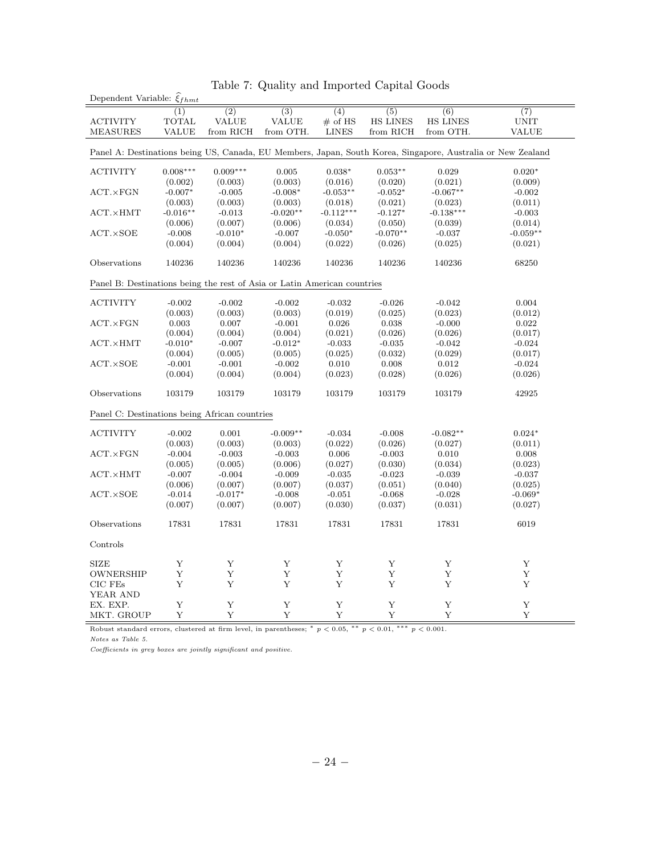| Dependent Variable: $\xi_{fhmt}$                                                                            |              |                  |                  |                  |                  |                  |                  |  |  |  |
|-------------------------------------------------------------------------------------------------------------|--------------|------------------|------------------|------------------|------------------|------------------|------------------|--|--|--|
|                                                                                                             | (1)          | $\overline{(2)}$ | $\overline{(3)}$ | $\overline{(4)}$ | $\overline{(5)}$ | $\overline{(6)}$ | $\overline{(7)}$ |  |  |  |
| <b>ACTIVITY</b>                                                                                             | <b>TOTAL</b> | <b>VALUE</b>     | VALUE            | $#$ of HS        | <b>HS LINES</b>  | <b>HS LINES</b>  | <b>UNIT</b>      |  |  |  |
| <b>MEASURES</b>                                                                                             | VALUE        | from RICH        | from OTH.        | <b>LINES</b>     | from RICH        | from OTH.        | <b>VALUE</b>     |  |  |  |
|                                                                                                             |              |                  |                  |                  |                  |                  |                  |  |  |  |
| Panel A: Destinations being US, Canada, EU Members, Japan, South Korea, Singapore, Australia or New Zealand |              |                  |                  |                  |                  |                  |                  |  |  |  |
|                                                                                                             |              |                  |                  |                  |                  |                  |                  |  |  |  |
| <b>ACTIVITY</b>                                                                                             | $0.008***$   | $0.009***$       | 0.005            | $0.038*$         | $0.053**$        | 0.029            | $0.020*$         |  |  |  |
|                                                                                                             | (0.002)      | (0.003)          | (0.003)          | (0.016)          | (0.020)          | (0.021)          | (0.009)          |  |  |  |
| $ACT. \times FGN$                                                                                           | $-0.007*$    | $-0.005$         | $-0.008*$        | $-0.053**$       | $-0.052*$        | $-0.067**$       | $-0.002$         |  |  |  |
|                                                                                                             | (0.003)      | (0.003)          | (0.003)          | (0.018)          | (0.021)          | (0.023)          | (0.011)          |  |  |  |
| $ACT. \times HMT$                                                                                           | $-0.016**$   | $-0.013$         | $-0.020**$       | $-0.112***$      | $-0.127*$        | $-0.138***$      | $-0.003$         |  |  |  |
|                                                                                                             | (0.006)      | (0.007)          | (0.006)          | (0.034)          | (0.050)          | (0.039)          | (0.014)          |  |  |  |
| $ACT. \times SOE$                                                                                           | $-0.008$     | $-0.010*$        | $-0.007$         | $-0.050*$        | $-0.070**$       | $-0.037$         | $-0.059**$       |  |  |  |
|                                                                                                             | (0.004)      | (0.004)          | (0.004)          | (0.022)          | (0.026)          | (0.025)          | (0.021)          |  |  |  |
|                                                                                                             |              |                  |                  |                  |                  |                  |                  |  |  |  |
| Observations                                                                                                | $140236\,$   | 140236           | 140236           | 140236           | 140236           | 140236           | 68250            |  |  |  |
|                                                                                                             |              |                  |                  |                  |                  |                  |                  |  |  |  |
| Panel B: Destinations being the rest of Asia or Latin American countries                                    |              |                  |                  |                  |                  |                  |                  |  |  |  |
|                                                                                                             |              |                  |                  |                  |                  |                  |                  |  |  |  |
| <b>ACTIVITY</b>                                                                                             | $-0.002$     | $-0.002$         | $-0.002$         | $-0.032$         | $-0.026$         | $-0.042$         | 0.004            |  |  |  |
|                                                                                                             | (0.003)      | (0.003)          | (0.003)          | (0.019)          | (0.025)          | (0.023)          | (0.012)          |  |  |  |
| $ACT. \times FGN$                                                                                           | 0.003        | 0.007            | $-0.001$         | 0.026            | 0.038            | $-0.000$         | 0.022            |  |  |  |
|                                                                                                             | (0.004)      | (0.004)          | (0.004)          | (0.021)          | (0.026)          | (0.026)          | (0.017)          |  |  |  |
| $ACT. \times HMT$                                                                                           | $-0.010*$    | $-0.007$         | $-0.012*$        | $-0.033$         | $-0.035$         | $-0.042$         | $-0.024$         |  |  |  |
|                                                                                                             | (0.004)      | (0.005)          | (0.005)          | (0.025)          | (0.032)          | (0.029)          | (0.017)          |  |  |  |
| ACT.XSOE                                                                                                    | $-0.001$     | $-0.001$         | $-0.002$         | 0.010            | 0.008            | 0.012            | $-0.024$         |  |  |  |
|                                                                                                             | (0.004)      | (0.004)          | (0.004)          | (0.023)          | (0.028)          | (0.026)          | (0.026)          |  |  |  |
|                                                                                                             |              |                  |                  |                  |                  |                  |                  |  |  |  |
| Observations                                                                                                | 103179       | 103179           | 103179           | 103179           | 103179           | 103179           | 42925            |  |  |  |
|                                                                                                             |              |                  |                  |                  |                  |                  |                  |  |  |  |
| Panel C: Destinations being African countries                                                               |              |                  |                  |                  |                  |                  |                  |  |  |  |
|                                                                                                             |              |                  |                  |                  |                  |                  |                  |  |  |  |
| $\operatorname{ACTIVITY}$                                                                                   | $-0.002$     | 0.001            | $-0.009**$       | $-0.034$         | $-0.008$         | $-0.082**$       | $0.024*$         |  |  |  |
|                                                                                                             | (0.003)      | (0.003)          | (0.003)          | (0.022)          | (0.026)          | (0.027)          | (0.011)          |  |  |  |
| $ACT. \times FGN$                                                                                           | $-0.004$     | $-0.003$         | $-0.003$         | 0.006            | $-0.003$         | 0.010            | 0.008            |  |  |  |
|                                                                                                             | (0.005)      | (0.005)          | (0.006)          | (0.027)          | (0.030)          | (0.034)          | (0.023)          |  |  |  |
| $ACT. \times HMT$                                                                                           | $-0.007$     | $-0.004$         | $-0.009$         | $-0.035$         | $-0.023$         | $-0.039$         | $-0.037$         |  |  |  |
|                                                                                                             | (0.006)      | (0.007)          | (0.007)          | (0.037)          | (0.051)          | (0.040)          | (0.025)          |  |  |  |
| $ACT. \times SOE$                                                                                           | $-0.014$     | $-0.017*$        | $-0.008$         | $-0.051$         | $-0.068$         | $-0.028$         | $-0.069*$        |  |  |  |
|                                                                                                             | (0.007)      | (0.007)          | (0.007)          | (0.030)          | (0.037)          | (0.031)          | (0.027)          |  |  |  |
|                                                                                                             |              |                  |                  |                  |                  |                  |                  |  |  |  |
| Observations                                                                                                | 17831        | 17831            | 17831            | 17831            | 17831            | 17831            | 6019             |  |  |  |
|                                                                                                             |              |                  |                  |                  |                  |                  |                  |  |  |  |
| Controls                                                                                                    |              |                  |                  |                  |                  |                  |                  |  |  |  |
|                                                                                                             |              |                  |                  |                  |                  |                  |                  |  |  |  |
| <b>SIZE</b>                                                                                                 | Y            | Y                | Y                | Y                | Y                | Y                | Y                |  |  |  |
| OWNERSHIP                                                                                                   | Y            | Y                | Y                | Y                | Y                | Y                | Y                |  |  |  |
| $CIC$ $FEs$                                                                                                 | Y            | Y                | Y                | Υ                | Y                | Y                | Y                |  |  |  |
| YEAR AND                                                                                                    |              |                  |                  |                  |                  |                  |                  |  |  |  |
| EX. EXP.                                                                                                    | Υ            | Y                | Y                | Y                | Y                | Y                | Y                |  |  |  |
| MKT. GROUP                                                                                                  | Y            | Y                | $\mathbf Y$      | $\mathbf Y$      | $\mathbf Y$      | Y                | Y                |  |  |  |
|                                                                                                             |              |                  |                  |                  |                  |                  |                  |  |  |  |

|  |  |  |  |  | Table 7: Quality and Imported Capital Goods |  |  |
|--|--|--|--|--|---------------------------------------------|--|--|
|--|--|--|--|--|---------------------------------------------|--|--|

Robust standard errors, clustered at firm level, in parentheses;  $* p < 0.05$ ,  $* p < 0.01$ ,  $** p < 0.001$ . Notes as Table 5.

Coefficients in grey boxes are jointly significant and positive.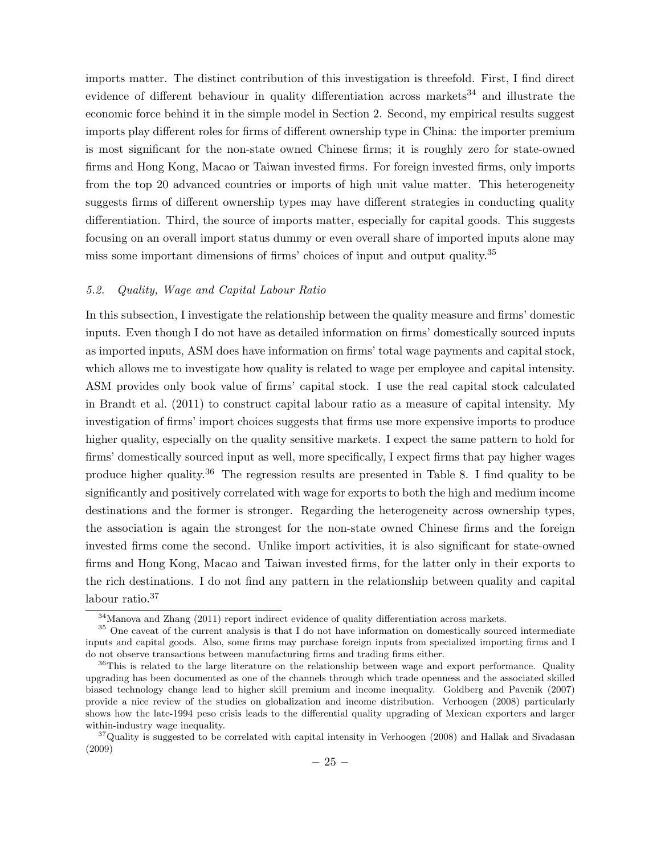imports matter. The distinct contribution of this investigation is threefold. First, I find direct evidence of different behaviour in quality differentiation across markets<sup>34</sup> and illustrate the economic force behind it in the simple model in Section 2. Second, my empirical results suggest imports play different roles for firms of different ownership type in China: the importer premium is most significant for the non-state owned Chinese firms; it is roughly zero for state-owned firms and Hong Kong, Macao or Taiwan invested firms. For foreign invested firms, only imports from the top 20 advanced countries or imports of high unit value matter. This heterogeneity suggests firms of different ownership types may have different strategies in conducting quality differentiation. Third, the source of imports matter, especially for capital goods. This suggests focusing on an overall import status dummy or even overall share of imported inputs alone may miss some important dimensions of firms' choices of input and output quality.35

#### 5.2. Quality, Wage and Capital Labour Ratio

In this subsection, I investigate the relationship between the quality measure and firms' domestic inputs. Even though I do not have as detailed information on firms' domestically sourced inputs as imported inputs, ASM does have information on firms' total wage payments and capital stock, which allows me to investigate how quality is related to wage per employee and capital intensity. ASM provides only book value of firms' capital stock. I use the real capital stock calculated in Brandt et al. (2011) to construct capital labour ratio as a measure of capital intensity. My investigation of firms' import choices suggests that firms use more expensive imports to produce higher quality, especially on the quality sensitive markets. I expect the same pattern to hold for firms' domestically sourced input as well, more specifically, I expect firms that pay higher wages produce higher quality.36 The regression results are presented in Table 8. I find quality to be significantly and positively correlated with wage for exports to both the high and medium income destinations and the former is stronger. Regarding the heterogeneity across ownership types, the association is again the strongest for the non-state owned Chinese firms and the foreign invested firms come the second. Unlike import activities, it is also significant for state-owned firms and Hong Kong, Macao and Taiwan invested firms, for the latter only in their exports to the rich destinations. I do not find any pattern in the relationship between quality and capital labour ratio.<sup>37</sup>

<sup>34</sup>Manova and Zhang (2011) report indirect evidence of quality differentiation across markets.

<sup>&</sup>lt;sup>35</sup> One caveat of the current analysis is that I do not have information on domestically sourced intermediate inputs and capital goods. Also, some firms may purchase foreign inputs from specialized importing firms and I do not observe transactions between manufacturing firms and trading firms either.

<sup>&</sup>lt;sup>36</sup>This is related to the large literature on the relationship between wage and export performance. Quality upgrading has been documented as one of the channels through which trade openness and the associated skilled biased technology change lead to higher skill premium and income inequality. Goldberg and Pavcnik (2007) provide a nice review of the studies on globalization and income distribution. Verhoogen (2008) particularly shows how the late-1994 peso crisis leads to the differential quality upgrading of Mexican exporters and larger within-industry wage inequality.

<sup>&</sup>lt;sup>37</sup>Quality is suggested to be correlated with capital intensity in Verhoogen (2008) and Hallak and Sivadasan (2009)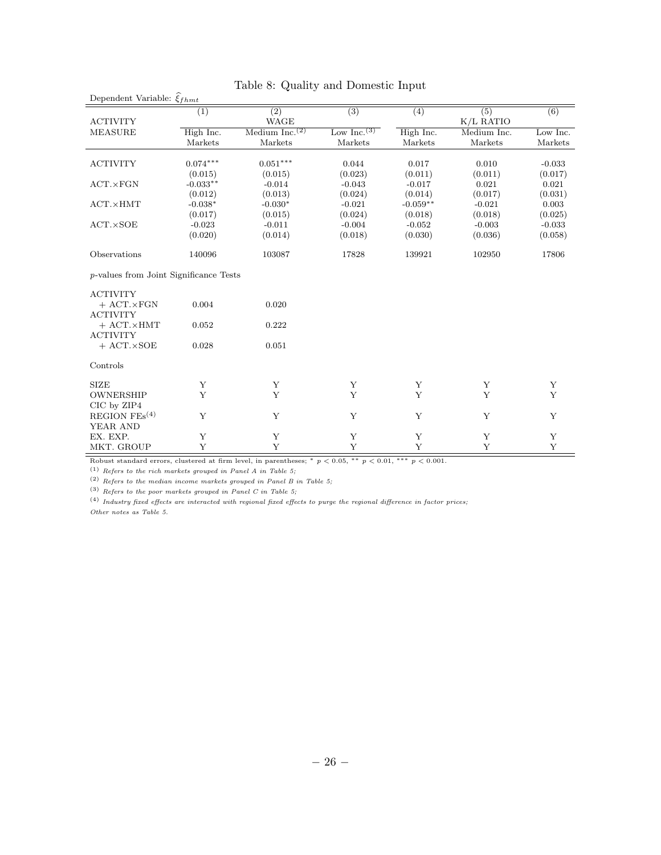| Dependent Variable: $\hat{\xi}_{fhmt}$         |            |                                         |                  |            |                  |                  |
|------------------------------------------------|------------|-----------------------------------------|------------------|------------|------------------|------------------|
| <b>ACTIVITY</b>                                | (1)        | $\overline{(2)}$<br><b>WAGE</b>         | $\overline{(3)}$ | (4)        | (5)<br>K/L RATIO | $\overline{(6)}$ |
| <b>MEASURE</b>                                 | High Inc.  | Medium Inc. <sup><math>(2)</math></sup> | Low Inc. $(3)$   | High Inc.  | Medium Inc.      | Low Inc.         |
|                                                | Markets    | Markets                                 | Markets          | Markets    | Markets          | Markets          |
| <b>ACTIVITY</b>                                | $0.074***$ | $0.051***$                              | 0.044            | 0.017      | 0.010            | $-0.033$         |
|                                                | (0.015)    | (0.015)                                 | (0.023)          | (0.011)    | (0.011)          | (0.017)          |
| $ACT. \times FGN$                              | $-0.033**$ | $-0.014$                                | $-0.043$         | $-0.017$   | 0.021            | 0.021            |
|                                                | (0.012)    | (0.013)                                 | (0.024)          | (0.014)    | (0.017)          | (0.031)          |
| $ACT. \times HMT$                              | $-0.038*$  | $-0.030*$                               | $-0.021$         | $-0.059**$ | $-0.021$         | 0.003            |
|                                                | (0.017)    | (0.015)                                 | (0.024)          | (0.018)    | (0.018)          | (0.025)          |
| $ACT. \times SOE$                              | $-0.023$   | $-0.011$                                | $-0.004$         | $-0.052$   | $-0.003$         | $-0.033$         |
|                                                | (0.020)    | (0.014)                                 | (0.018)          | (0.030)    | (0.036)          | (0.058)          |
| Observations                                   | 140096     | 103087                                  | 17828            | 139921     | 102950           | 17806            |
| <i>p</i> -values from Joint Significance Tests |            |                                         |                  |            |                  |                  |
| <b>ACTIVITY</b>                                |            |                                         |                  |            |                  |                  |
| $+$ ACT. $\times$ FGN<br><b>ACTIVITY</b>       | 0.004      | 0.020                                   |                  |            |                  |                  |
| $+$ ACT. $\times$ HMT                          | 0.052      | 0.222                                   |                  |            |                  |                  |
| <b>ACTIVITY</b><br>$+$ ACT. $\times$ SOE       | 0.028      | 0.051                                   |                  |            |                  |                  |
| Controls                                       |            |                                         |                  |            |                  |                  |
| <b>SIZE</b>                                    | Y          | $\mathbf Y$                             | Y                | Y          | Y                | Y                |
| <b>OWNERSHIP</b>                               | Y          | Y                                       | Y                | Y          | Y                | Y                |
| CIC by ZIP4                                    |            |                                         |                  |            |                  |                  |
| REGION $FEs^{(4)}$<br>YEAR AND                 | Y          | Y                                       | Y                | Y          | Y                | Y                |
| EX. EXP.                                       | Υ          | Υ                                       | Υ                | Υ          | Υ                | Υ                |
| MKT. GROUP                                     | Y          | Y                                       | Y                | Y          | Y                | Y                |

## Table 8: Quality and Domestic Input

Robust standard errors, clustered at firm level, in parentheses; \*  $p < 0.05$ , \*\*  $p < 0.01$ , \*\*\*  $p < 0.001$ .

 $\,$  (1)  $\,$  Refers to the rich markets grouped in Panel A in Table 5;

(2) Refers to the median income markets grouped in Panel B in Table 5;

(3) Refers to the poor markets grouped in Panel C in Table 5;  $\,$ 

(4) Industry fixed effects are interacted with regional fixed effects to purge the regional difference in factor prices; Other notes as Table 5.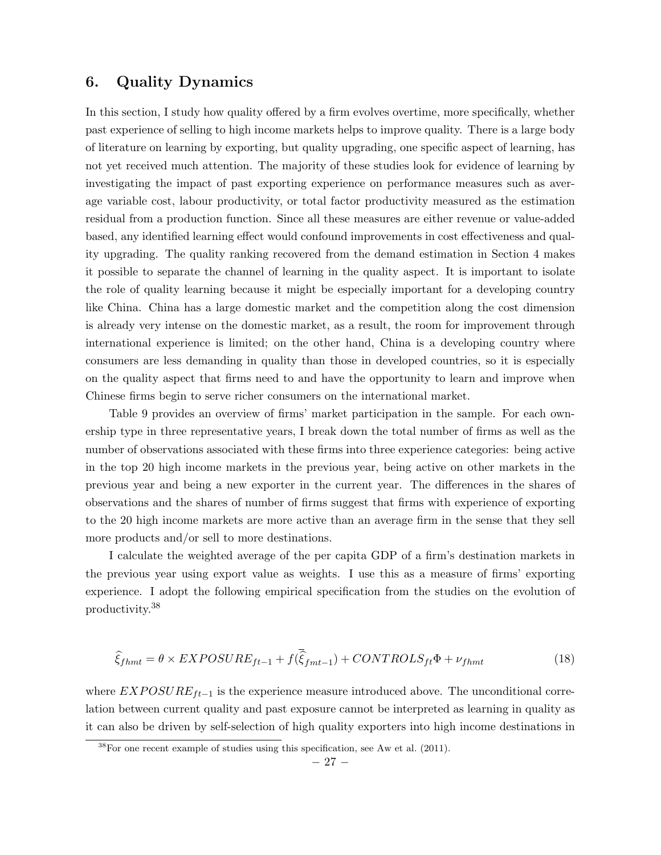# 6. Quality Dynamics

In this section, I study how quality offered by a firm evolves overtime, more specifically, whether past experience of selling to high income markets helps to improve quality. There is a large body of literature on learning by exporting, but quality upgrading, one specific aspect of learning, has not yet received much attention. The majority of these studies look for evidence of learning by investigating the impact of past exporting experience on performance measures such as average variable cost, labour productivity, or total factor productivity measured as the estimation residual from a production function. Since all these measures are either revenue or value-added based, any identified learning effect would confound improvements in cost effectiveness and quality upgrading. The quality ranking recovered from the demand estimation in Section 4 makes it possible to separate the channel of learning in the quality aspect. It is important to isolate the role of quality learning because it might be especially important for a developing country like China. China has a large domestic market and the competition along the cost dimension is already very intense on the domestic market, as a result, the room for improvement through international experience is limited; on the other hand, China is a developing country where consumers are less demanding in quality than those in developed countries, so it is especially on the quality aspect that firms need to and have the opportunity to learn and improve when Chinese firms begin to serve richer consumers on the international market.

Table 9 provides an overview of firms' market participation in the sample. For each ownership type in three representative years, I break down the total number of firms as well as the number of observations associated with these firms into three experience categories: being active in the top 20 high income markets in the previous year, being active on other markets in the previous year and being a new exporter in the current year. The differences in the shares of observations and the shares of number of firms suggest that firms with experience of exporting to the 20 high income markets are more active than an average firm in the sense that they sell more products and/or sell to more destinations.

I calculate the weighted average of the per capita GDP of a firm's destination markets in the previous year using export value as weights. I use this as a measure of firms' exporting experience. I adopt the following empirical specification from the studies on the evolution of productivity.38

$$
\widehat{\xi}_{fhmt} = \theta \times EXPOSURE_{ft-1} + f(\overline{\widehat{\xi}}_{fmt-1}) + CONTROLS_{ft}\Phi + \nu_{fhmt}
$$
\n(18)

where  $EXPOSURE_{ft-1}$  is the experience measure introduced above. The unconditional correlation between current quality and past exposure cannot be interpreted as learning in quality as it can also be driven by self-selection of high quality exporters into high income destinations in

 $38$ For one recent example of studies using this specification, see Aw et al. (2011).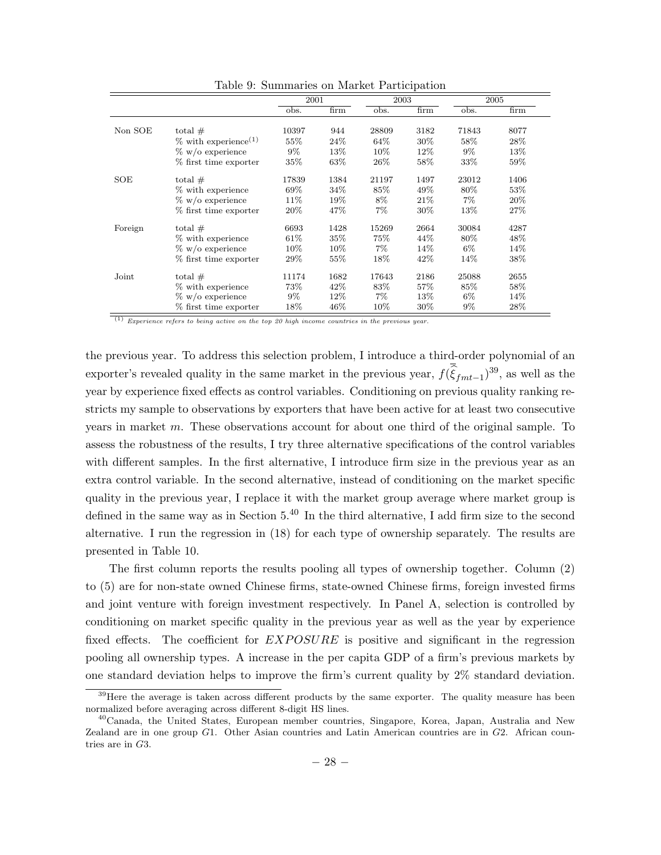|         |                                     | 2001   |                   | 2003   |        |       | 2005   |
|---------|-------------------------------------|--------|-------------------|--------|--------|-------|--------|
|         |                                     | obs.   | $\overline{firm}$ | obs.   | firm   | obs.  | firm   |
|         |                                     |        |                   |        |        |       |        |
| Non SOE | total $#$                           | 10397  | 944               | 28809  | 3182   | 71843 | 8077   |
|         | $\%$ with experience <sup>(1)</sup> | 55%    | 24%               | 64\%   | 30%    | 58%   | 28\%   |
|         | $\%$ w/o experience                 | $9\%$  | 13%               | 10%    | 12\%   | $9\%$ | 13%    |
|         | % first time exporter               | $35\%$ | 63\%              | 26%    | 58%    | 33%   | 59%    |
| SOE     | total $#$                           | 17839  | 1384              | 21197  | 1497   | 23012 | 1406   |
|         | % with experience                   | 69%    | 34\%              | 85\%   | 49%    | 80%   | $53\%$ |
|         | $\%$ w/o experience                 | $11\%$ | 19%               | 8%     | 21\%   | $7\%$ | 20%    |
|         | % first time exporter               | $20\%$ | 47\%              | $7\%$  | 30%    | 13%   | 27\%   |
| Foreign | total $#$                           | 6693   | 1428              | 15269  | 2664   | 30084 | 4287   |
|         | % with experience                   | 61\%   | $35\%$            | 75%    | 44\%   | 80%   | 48\%   |
|         | $\%$ w/o experience                 | $10\%$ | 10%               | $7\%$  | 14%    | $6\%$ | 14%    |
|         | % first time exporter               | $29\%$ | $55\%$            | 18%    | 42\%   | 14%   | 38%    |
| Joint   | total $#$                           | 11174  | 1682              | 17643  | 2186   | 25088 | 2655   |
|         | % with experience                   | 73%    | 42\%              | 83%    | 57%    | 85%   | 58%    |
|         | $\%$ w/o experience                 | $9\%$  | $12\%$            | $7\%$  | 13%    | $6\%$ | 14%    |
|         | % first time exporter               | 18%    | 46%               | $10\%$ | $30\%$ | $9\%$ | 28\%   |

Table 9: Summaries on Market Participation

 $(1)$  Experience refers to being active on the top 20 high income countries in the previous year.

the previous year. To address this selection problem, I introduce a third-order polynomial of an exporter's revealed quality in the same market in the previous year,  $f(\hat{\xi}_{fmt-1})^{39}$ , as well as the year by experience fixed effects as control variables. Conditioning on previous quality ranking restricts my sample to observations by exporters that have been active for at least two consecutive years in market  $m$ . These observations account for about one third of the original sample. To assess the robustness of the results, I try three alternative specifications of the control variables with different samples. In the first alternative, I introduce firm size in the previous year as an extra control variable. In the second alternative, instead of conditioning on the market specific quality in the previous year, I replace it with the market group average where market group is defined in the same way as in Section  $5^{40}$  In the third alternative, I add firm size to the second alternative. I run the regression in (18) for each type of ownership separately. The results are presented in Table 10.

The first column reports the results pooling all types of ownership together. Column (2) to (5) are for non-state owned Chinese firms, state-owned Chinese firms, foreign invested firms and joint venture with foreign investment respectively. In Panel A, selection is controlled by conditioning on market specific quality in the previous year as well as the year by experience fixed effects. The coefficient for  $EXPOSURE$  is positive and significant in the regression pooling all ownership types. A increase in the per capita GDP of a firm's previous markets by one standard deviation helps to improve the firm's current quality by 2% standard deviation.

<sup>&</sup>lt;sup>39</sup>Here the average is taken across different products by the same exporter. The quality measure has been normalized before averaging across different 8-digit HS lines.

<sup>40</sup>Canada, the United States, European member countries, Singapore, Korea, Japan, Australia and New Zealand are in one group  $G1$ . Other Asian countries and Latin American countries are in  $G2$ . African countries are in  $G3$ .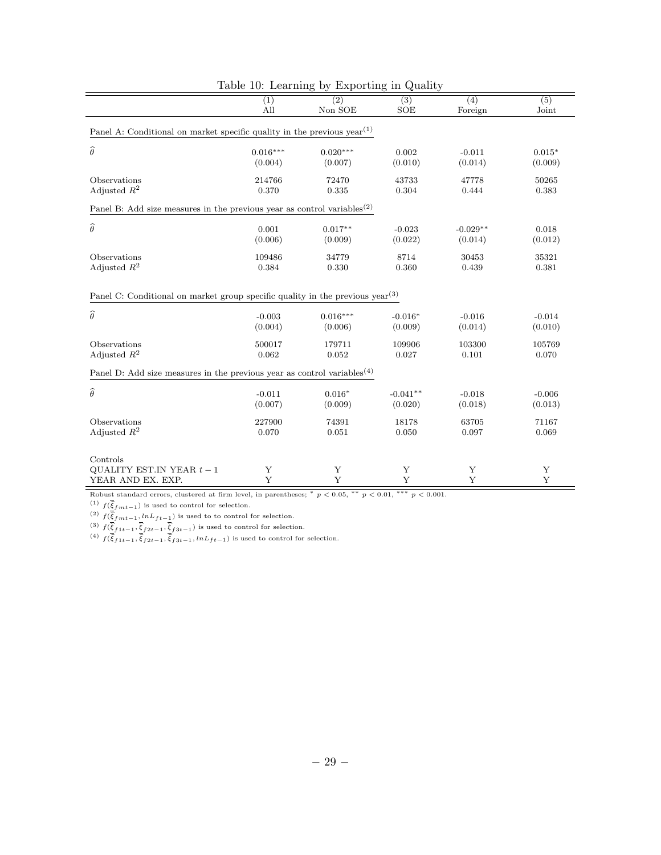|                                                                                     | (1)<br>All | (2)<br>Non SOE | ∽<br>(3)<br>SOE | (4)<br>Foreign | $\overline{(5)}$<br>Joint |  |  |  |  |
|-------------------------------------------------------------------------------------|------------|----------------|-----------------|----------------|---------------------------|--|--|--|--|
| Panel A: Conditional on market specific quality in the previous $year(1)$           |            |                |                 |                |                           |  |  |  |  |
| $\widehat{\theta}$                                                                  | $0.016***$ | $0.020***$     | 0.002           | $-0.011$       | $0.015*$                  |  |  |  |  |
|                                                                                     | (0.004)    | (0.007)        | (0.010)         | (0.014)        | (0.009)                   |  |  |  |  |
| Observations                                                                        | 214766     | 72470          | 43733           | 47778          | 50265                     |  |  |  |  |
| Adjusted $R^2$                                                                      | 0.370      | 0.335          | 0.304           | 0.444          | 0.383                     |  |  |  |  |
| Panel B: Add size measures in the previous year as control variables <sup>(2)</sup> |            |                |                 |                |                           |  |  |  |  |
| $\widehat{\theta}$                                                                  | 0.001      | $0.017**$      | $-0.023$        | $-0.029**$     | 0.018                     |  |  |  |  |
|                                                                                     | (0.006)    | (0.009)        | (0.022)         | (0.014)        | (0.012)                   |  |  |  |  |
| Observations                                                                        | 109486     | 34779          | 8714            | $30453\,$      | 35321                     |  |  |  |  |
| Adjusted $R^2$                                                                      | 0.384      | 0.330          | 0.360           | 0.439          | 0.381                     |  |  |  |  |
| Panel C: Conditional on market group specific quality in the previous $year(3)$     |            |                |                 |                |                           |  |  |  |  |
| $\widehat{\theta}$                                                                  | $-0.003$   | $0.016***$     | $-0.016*$       | $-0.016$       | $-0.014$                  |  |  |  |  |
|                                                                                     | (0.004)    | (0.006)        | (0.009)         | (0.014)        | (0.010)                   |  |  |  |  |
| Observations                                                                        | 500017     | 179711         | 109906          | 103300         | 105769                    |  |  |  |  |
| Adjusted $R^2$                                                                      | 0.062      | 0.052          | 0.027           | 0.101          | 0.070                     |  |  |  |  |
| Panel D: Add size measures in the previous year as control variables <sup>(4)</sup> |            |                |                 |                |                           |  |  |  |  |
| $\widehat{\theta}$                                                                  | $-0.011$   | $0.016*$       | $-0.041**$      | $-0.018$       | $-0.006$                  |  |  |  |  |
|                                                                                     | (0.007)    | (0.009)        | (0.020)         | (0.018)        | (0.013)                   |  |  |  |  |
| Observations                                                                        | 227900     | 74391          | 18178           | 63705          | 71167                     |  |  |  |  |
| Adjusted $\mathbb{R}^2$                                                             | 0.070      | 0.051          | 0.050           | 0.097          | 0.069                     |  |  |  |  |
| Controls<br>QUALITY EST. IN YEAR $t-1$<br>YEAR AND EX. EXP.                         | Υ<br>Y     | Υ<br>Y         | Y<br>Y          | Υ<br>Y         | Y<br>Y                    |  |  |  |  |

| Table 10: Learning by Exporting in Quality |  |
|--------------------------------------------|--|
|--------------------------------------------|--|

Robust standard errors, clustered at firm level, in parentheses;  $* p < 0.05$ ,  $* p < 0.01$ ,  $** p < 0.001$ .

<sup>(1)</sup>  $f(\hat{\xi}_{fmt-1})$  is used to control for selection.

(2)  $f(\underline{\widehat{\xi}}_{f}^{*}f_{f}^{*}-1, lnL_{ft-\underline{1}}^{*})$  is used to to control for selection.

(3)  $f(\underline{\widehat{\xi}}_{f1t-1}, \underline{\widehat{\xi}}_{f2t-1}, \underline{\widehat{\xi}}_{f3t-1})$  is used to control for selection.

(4)  $f(\hat{\xi}_{f1t-1}, \hat{\xi}_{f2t-1}, \hat{\xi}_{f3t-1}, lnL_{ft-1})$  is used to control for selection.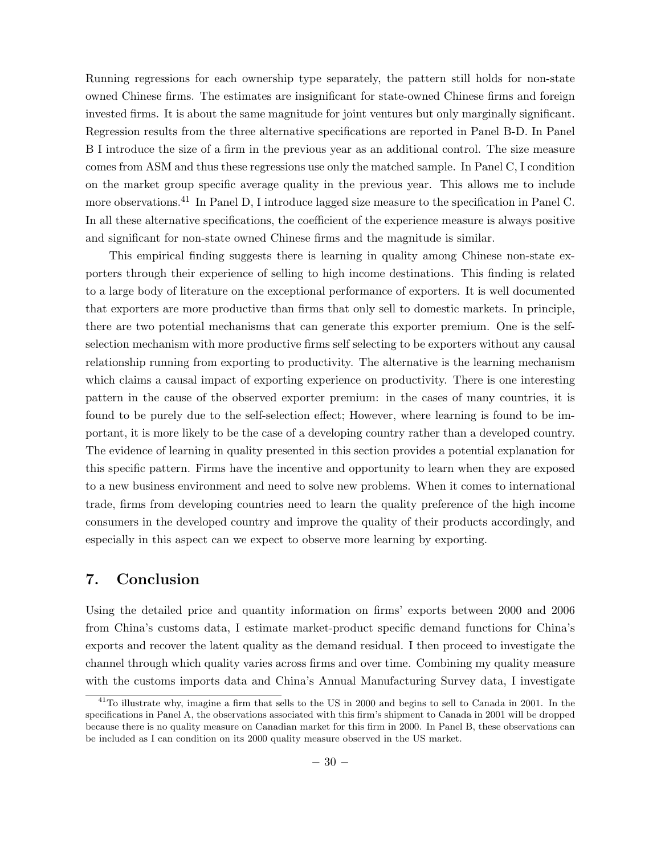Running regressions for each ownership type separately, the pattern still holds for non-state owned Chinese firms. The estimates are insignificant for state-owned Chinese firms and foreign invested firms. It is about the same magnitude for joint ventures but only marginally significant. Regression results from the three alternative specifications are reported in Panel B-D. In Panel B I introduce the size of a firm in the previous year as an additional control. The size measure comes from ASM and thus these regressions use only the matched sample. In Panel C, I condition on the market group specific average quality in the previous year. This allows me to include more observations.<sup>41</sup> In Panel D, I introduce lagged size measure to the specification in Panel C. In all these alternative specifications, the coefficient of the experience measure is always positive and significant for non-state owned Chinese firms and the magnitude is similar.

This empirical finding suggests there is learning in quality among Chinese non-state exporters through their experience of selling to high income destinations. This finding is related to a large body of literature on the exceptional performance of exporters. It is well documented that exporters are more productive than firms that only sell to domestic markets. In principle, there are two potential mechanisms that can generate this exporter premium. One is the selfselection mechanism with more productive firms self selecting to be exporters without any causal relationship running from exporting to productivity. The alternative is the learning mechanism which claims a causal impact of exporting experience on productivity. There is one interesting pattern in the cause of the observed exporter premium: in the cases of many countries, it is found to be purely due to the self-selection effect; However, where learning is found to be important, it is more likely to be the case of a developing country rather than a developed country. The evidence of learning in quality presented in this section provides a potential explanation for this specific pattern. Firms have the incentive and opportunity to learn when they are exposed to a new business environment and need to solve new problems. When it comes to international trade, firms from developing countries need to learn the quality preference of the high income consumers in the developed country and improve the quality of their products accordingly, and especially in this aspect can we expect to observe more learning by exporting.

## 7. Conclusion

Using the detailed price and quantity information on firms' exports between 2000 and 2006 from China's customs data, I estimate market-product specific demand functions for China's exports and recover the latent quality as the demand residual. I then proceed to investigate the channel through which quality varies across firms and over time. Combining my quality measure with the customs imports data and China's Annual Manufacturing Survey data, I investigate

 $^{41}$ To illustrate why, imagine a firm that sells to the US in 2000 and begins to sell to Canada in 2001. In the specifications in Panel A, the observations associated with this firm's shipment to Canada in 2001 will be dropped because there is no quality measure on Canadian market for this firm in 2000. In Panel B, these observations can be included as I can condition on its 2000 quality measure observed in the US market.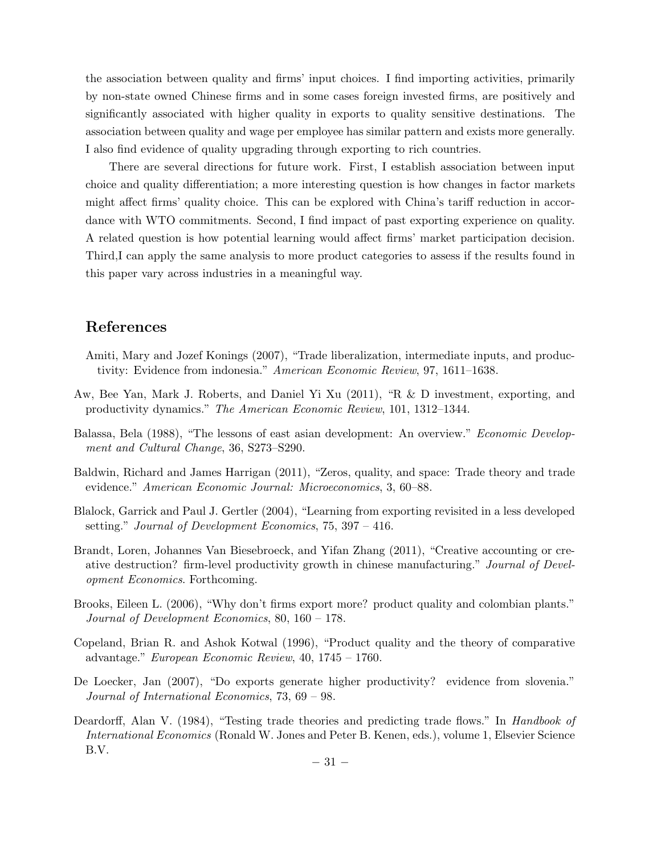the association between quality and firms' input choices. I find importing activities, primarily by non-state owned Chinese firms and in some cases foreign invested firms, are positively and significantly associated with higher quality in exports to quality sensitive destinations. The association between quality and wage per employee has similar pattern and exists more generally. I also find evidence of quality upgrading through exporting to rich countries.

There are several directions for future work. First, I establish association between input choice and quality differentiation; a more interesting question is how changes in factor markets might affect firms' quality choice. This can be explored with China's tariff reduction in accordance with WTO commitments. Second, I find impact of past exporting experience on quality. A related question is how potential learning would affect firms' market participation decision. Third,I can apply the same analysis to more product categories to assess if the results found in this paper vary across industries in a meaningful way.

# References

- Amiti, Mary and Jozef Konings (2007), "Trade liberalization, intermediate inputs, and productivity: Evidence from indonesia." American Economic Review, 97, 1611–1638.
- Aw, Bee Yan, Mark J. Roberts, and Daniel Yi Xu (2011), "R & D investment, exporting, and productivity dynamics." The American Economic Review, 101, 1312–1344.
- Balassa, Bela (1988), "The lessons of east asian development: An overview." Economic Development and Cultural Change, 36, S273–S290.
- Baldwin, Richard and James Harrigan (2011), "Zeros, quality, and space: Trade theory and trade evidence." American Economic Journal: Microeconomics, 3, 60–88.
- Blalock, Garrick and Paul J. Gertler (2004), "Learning from exporting revisited in a less developed setting." Journal of Development Economics, 75, 397 – 416.
- Brandt, Loren, Johannes Van Biesebroeck, and Yifan Zhang (2011), "Creative accounting or creative destruction? firm-level productivity growth in chinese manufacturing." Journal of Development Economics. Forthcoming.
- Brooks, Eileen L. (2006), "Why don't firms export more? product quality and colombian plants." Journal of Development Economics, 80, 160 – 178.
- Copeland, Brian R. and Ashok Kotwal (1996), "Product quality and the theory of comparative advantage." European Economic Review, 40, 1745 – 1760.
- De Loecker, Jan (2007), "Do exports generate higher productivity? evidence from slovenia." Journal of International Economics, 73, 69 – 98.
- Deardorff, Alan V. (1984), "Testing trade theories and predicting trade flows." In Handbook of International Economics (Ronald W. Jones and Peter B. Kenen, eds.), volume 1, Elsevier Science B.V.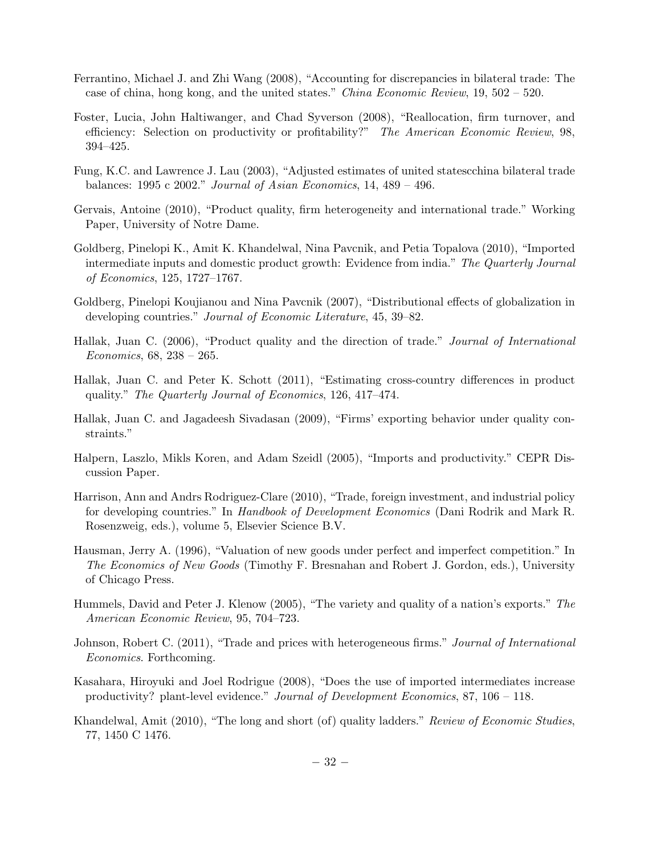- Ferrantino, Michael J. and Zhi Wang (2008), "Accounting for discrepancies in bilateral trade: The case of china, hong kong, and the united states." *China Economic Review*,  $19, 502 - 520$ .
- Foster, Lucia, John Haltiwanger, and Chad Syverson (2008), "Reallocation, firm turnover, and efficiency: Selection on productivity or profitability?" The American Economic Review, 98, 394–425.
- Fung, K.C. and Lawrence J. Lau (2003), "Adjusted estimates of united statescchina bilateral trade balances: 1995 c 2002." Journal of Asian Economics, 14, 489 – 496.
- Gervais, Antoine (2010), "Product quality, firm heterogeneity and international trade." Working Paper, University of Notre Dame.
- Goldberg, Pinelopi K., Amit K. Khandelwal, Nina Pavcnik, and Petia Topalova (2010), "Imported intermediate inputs and domestic product growth: Evidence from india." The Quarterly Journal of Economics, 125, 1727–1767.
- Goldberg, Pinelopi Koujianou and Nina Pavcnik (2007), "Distributional effects of globalization in developing countries." Journal of Economic Literature, 45, 39–82.
- Hallak, Juan C. (2006), "Product quality and the direction of trade." Journal of International Economics, 68, 238 – 265.
- Hallak, Juan C. and Peter K. Schott (2011), "Estimating cross-country differences in product quality." The Quarterly Journal of Economics, 126, 417–474.
- Hallak, Juan C. and Jagadeesh Sivadasan (2009), "Firms' exporting behavior under quality constraints."
- Halpern, Laszlo, Mikls Koren, and Adam Szeidl (2005), "Imports and productivity." CEPR Discussion Paper.
- Harrison, Ann and Andrs Rodriguez-Clare (2010), "Trade, foreign investment, and industrial policy for developing countries." In Handbook of Development Economics (Dani Rodrik and Mark R. Rosenzweig, eds.), volume 5, Elsevier Science B.V.
- Hausman, Jerry A. (1996), "Valuation of new goods under perfect and imperfect competition." In The Economics of New Goods (Timothy F. Bresnahan and Robert J. Gordon, eds.), University of Chicago Press.
- Hummels, David and Peter J. Klenow (2005), "The variety and quality of a nation's exports." The American Economic Review, 95, 704–723.
- Johnson, Robert C. (2011), "Trade and prices with heterogeneous firms." Journal of International Economics. Forthcoming.
- Kasahara, Hiroyuki and Joel Rodrigue (2008), "Does the use of imported intermediates increase productivity? plant-level evidence." Journal of Development Economics, 87, 106 – 118.
- Khandelwal, Amit (2010), "The long and short (of) quality ladders." Review of Economic Studies, 77, 1450 C 1476.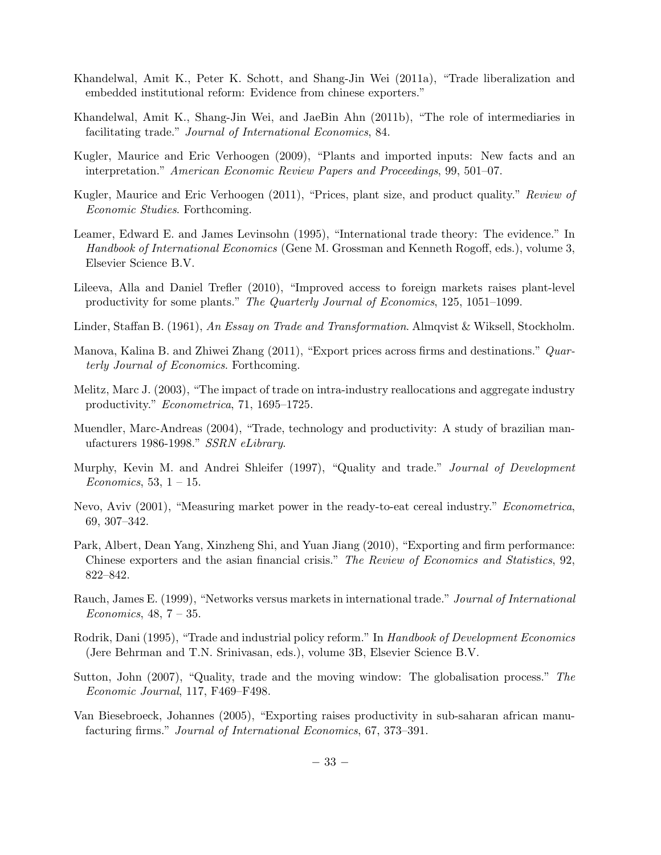- Khandelwal, Amit K., Peter K. Schott, and Shang-Jin Wei (2011a), "Trade liberalization and embedded institutional reform: Evidence from chinese exporters."
- Khandelwal, Amit K., Shang-Jin Wei, and JaeBin Ahn (2011b), "The role of intermediaries in facilitating trade." Journal of International Economics, 84.
- Kugler, Maurice and Eric Verhoogen (2009), "Plants and imported inputs: New facts and an interpretation." American Economic Review Papers and Proceedings, 99, 501–07.
- Kugler, Maurice and Eric Verhoogen (2011), "Prices, plant size, and product quality." Review of Economic Studies. Forthcoming.
- Leamer, Edward E. and James Levinsohn (1995), "International trade theory: The evidence." In Handbook of International Economics (Gene M. Grossman and Kenneth Rogoff, eds.), volume 3, Elsevier Science B.V.
- Lileeva, Alla and Daniel Trefler (2010), "Improved access to foreign markets raises plant-level productivity for some plants." The Quarterly Journal of Economics, 125, 1051-1099.
- Linder, Staffan B. (1961), An Essay on Trade and Transformation. Almqvist & Wiksell, Stockholm.
- Manova, Kalina B. and Zhiwei Zhang (2011), "Export prices across firms and destinations." Quarterly Journal of Economics. Forthcoming.
- Melitz, Marc J. (2003), "The impact of trade on intra-industry reallocations and aggregate industry productivity." Econometrica, 71, 1695–1725.
- Muendler, Marc-Andreas (2004), "Trade, technology and productivity: A study of brazilian manufacturers 1986-1998." SSRN eLibrary.
- Murphy, Kevin M. and Andrei Shleifer (1997), "Quality and trade." Journal of Development Economics, 53,  $1 - 15$ .
- Nevo, Aviv (2001), "Measuring market power in the ready-to-eat cereal industry." Econometrica, 69, 307–342.
- Park, Albert, Dean Yang, Xinzheng Shi, and Yuan Jiang (2010), "Exporting and firm performance: Chinese exporters and the asian financial crisis." The Review of Economics and Statistics, 92, 822–842.
- Rauch, James E. (1999), "Networks versus markets in international trade." Journal of International Economics,  $48, 7 - 35$ .
- Rodrik, Dani (1995), "Trade and industrial policy reform." In Handbook of Development Economics (Jere Behrman and T.N. Srinivasan, eds.), volume 3B, Elsevier Science B.V.
- Sutton, John (2007), "Quality, trade and the moving window: The globalisation process." The Economic Journal, 117, F469–F498.
- Van Biesebroeck, Johannes (2005), "Exporting raises productivity in sub-saharan african manufacturing firms." Journal of International Economics, 67, 373–391.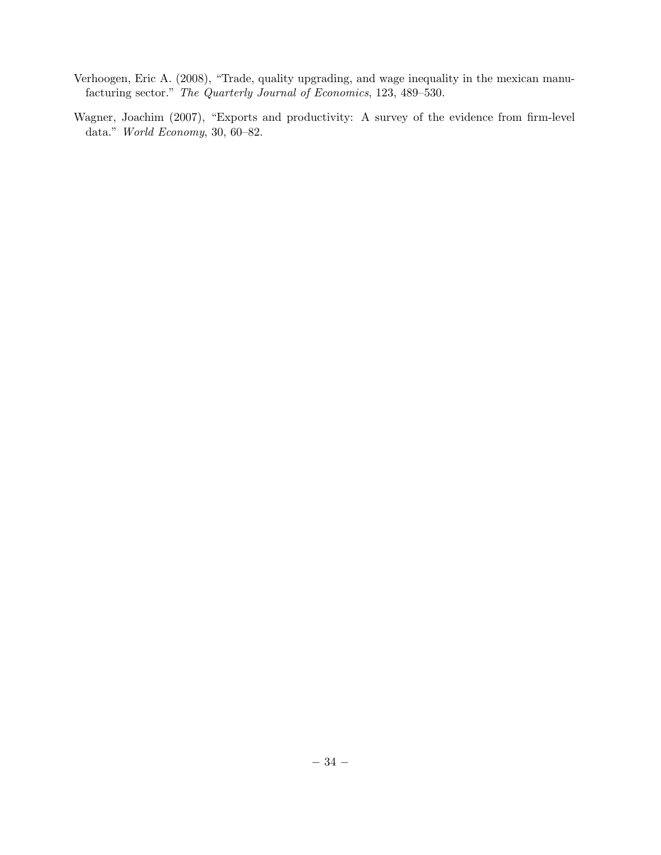- Verhoogen, Eric A. (2008), "Trade, quality upgrading, and wage inequality in the mexican manufacturing sector." The Quarterly Journal of Economics, 123, 489–530.
- Wagner, Joachim (2007), "Exports and productivity: A survey of the evidence from firm-level data." World Economy, 30, 60–82.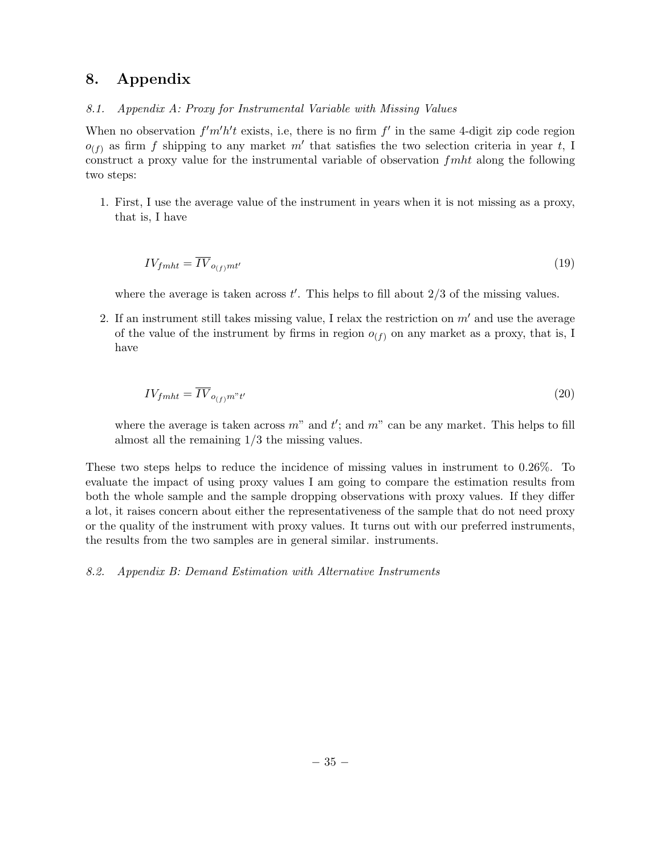# 8. Appendix

#### 8.1. Appendix A: Proxy for Instrumental Variable with Missing Values

When no observation  $f'm'h't$  exists, i.e, there is no firm  $f'$  in the same 4-digit zip code region  $o_{(f)}$  as firm f shipping to any market m' that satisfies the two selection criteria in year t, I construct a proxy value for the instrumental variable of observation  $f$ *mht* along the following two steps:

1. First, I use the average value of the instrument in years when it is not missing as a proxy, that is, I have

$$
IV_{fmlt} = \overline{IV}_{o_{(f)}mt'}
$$
\n<sup>(19)</sup>

where the average is taken across  $t'$ . This helps to fill about  $2/3$  of the missing values.

2. If an instrument still takes missing value, I relax the restriction on  $m'$  and use the average of the value of the instrument by firms in region  $o_{(f)}$  on any market as a proxy, that is, I have

$$
IV_{fmlt} = \overline{IV}_{o_{(f)}m^*t'} \tag{20}
$$

where the average is taken across  $m^{\prime\prime}$  and  $t^{\prime}$ ; and  $m^{\prime\prime}$  can be any market. This helps to fill almost all the remaining 1/3 the missing values.

These two steps helps to reduce the incidence of missing values in instrument to 0.26%. To evaluate the impact of using proxy values I am going to compare the estimation results from both the whole sample and the sample dropping observations with proxy values. If they differ a lot, it raises concern about either the representativeness of the sample that do not need proxy or the quality of the instrument with proxy values. It turns out with our preferred instruments, the results from the two samples are in general similar. instruments.

8.2. Appendix B: Demand Estimation with Alternative Instruments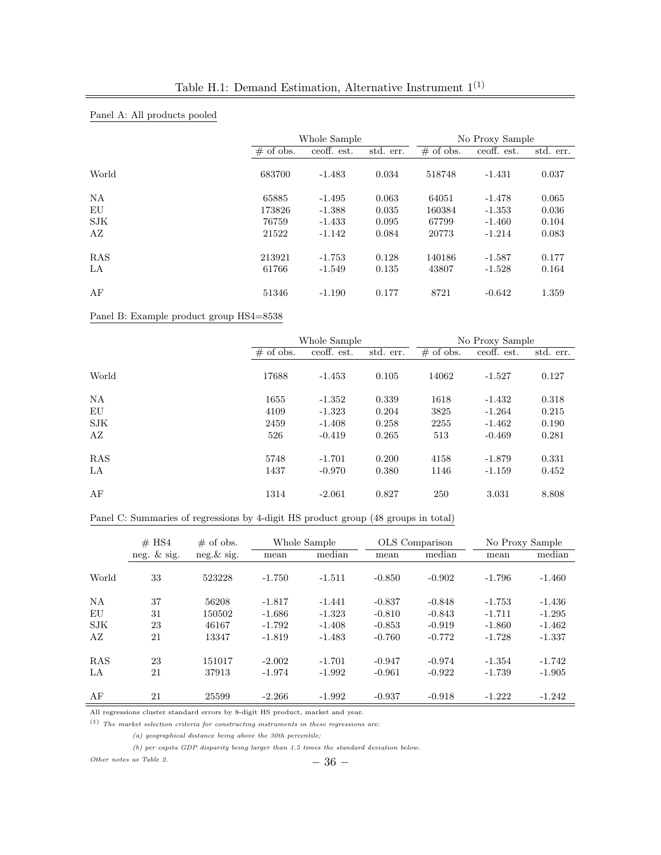|            |             | Whole Sample |           | No Proxy Sample |             |           |
|------------|-------------|--------------|-----------|-----------------|-------------|-----------|
|            | $#$ of obs. | ceoff. est.  | std. err. | $#$ of obs.     | ceoff. est. | std. err. |
| World      | 683700      | $-1.483$     | 0.034     | 518748          | $-1.431$    | 0.037     |
| NA         | 65885       | $-1.495$     | 0.063     | 64051           | $-1.478$    | 0.065     |
| EU         | 173826      | $-1.388$     | 0.035     | 160384          | $-1.353$    | 0.036     |
| SJK        | 76759       | $-1.433$     | 0.095     | 67799           | $-1.460$    | 0.104     |
| AZ         | 21522       | $-1.142$     | 0.084     | 20773           | $-1.214$    | 0.083     |
| <b>RAS</b> | 213921      | $-1.753$     | 0.128     | 140186          | $-1.587$    | 0.177     |
| LA         | 61766       | $-1.549$     | 0.135     | 43807           | $-1.528$    | 0.164     |
| AF         | 51346       | $-1.190$     | 0.177     | 8721            | $-0.642$    | 1.359     |

## Panel A: All products pooled

Panel B: Example product group HS4=8538

|            | Whole Sample |             |           | No Proxy Sample |             |           |
|------------|--------------|-------------|-----------|-----------------|-------------|-----------|
|            | $\#$ of obs. | ceoff. est. | std. err. | $\#$ of obs.    | ceoff. est. | std. err. |
| World      | 17688        | $-1.453$    | 0.105     | 14062           | $-1.527$    | 0.127     |
| NA         | 1655         | $-1.352$    | 0.339     | 1618            | $-1.432$    | 0.318     |
| EU         | 4109         | $-1.323$    | 0.204     | 3825            | $-1.264$    | 0.215     |
| <b>SJK</b> | 2459         | $-1.408$    | 0.258     | 2255            | $-1.462$    | 0.190     |
| AZ         | 526          | $-0.419$    | 0.265     | 513             | $-0.469$    | 0.281     |
| RAS        | 5748         | $-1.701$    | 0.200     | 4158            | $-1.879$    | 0.331     |
| LA         | 1437         | $-0.970$    | 0.380     | 1146            | $-1.159$    | 0.452     |
| AF         | 1314         | $-2.061$    | 0.827     | 250             | 3.031       | 8.808     |

#### Panel C: Summaries of regressions by 4-digit HS product group (48 groups in total)

|            | $#$ HS4        | $\#$ of obs.  | Whole Sample |          | OLS Comparison |          | No Proxy Sample |          |
|------------|----------------|---------------|--------------|----------|----------------|----------|-----------------|----------|
|            | neg. $\&$ sig. | $neg.\&$ sig. | mean         | median   | mean           | median   | mean            | median   |
| World      | 33             | 523228        | $-1.750$     | $-1.511$ | $-0.850$       | $-0.902$ | $-1.796$        | $-1.460$ |
| <b>NA</b>  | 37             | 56208         | $-1.817$     | $-1.441$ | $-0.837$       | $-0.848$ | $-1.753$        | $-1.436$ |
| EU         | 31             | 150502        | $-1.686$     | $-1.323$ | $-0.810$       | $-0.843$ | $-1.711$        | $-1.295$ |
| SJK        | 23             | 46167         | $-1.792$     | $-1.408$ | $-0.853$       | $-0.919$ | $-1.860$        | $-1.462$ |
| AZ         | 21             | 13347         | $-1.819$     | $-1.483$ | $-0.760$       | $-0.772$ | $-1.728$        | $-1.337$ |
| <b>RAS</b> | 23             | 151017        | $-2.002$     | $-1.701$ | $-0.947$       | $-0.974$ | $-1.354$        | $-1.742$ |
| LA         | 21             | 37913         | $-1.974$     | $-1.992$ | $-0.961$       | $-0.922$ | $-1.739$        | $-1.905$ |
| AF         | 21             | 25599         | $-2.266$     | $-1.992$ | $-0.937$       | $-0.918$ | $-1.222$        | $-1.242$ |

All regressions cluster standard errors by 8-digit HS product, market and year.

 $\left( 1\right) \,$  The market selection criteria for constructing instruments in these regressions are:

(a) geographical distance being above the 30th percentile;

(b) per capita GDP disparity being larger than 1.5 times the standard deviation below.

Other notes as Table 2.  $-36-$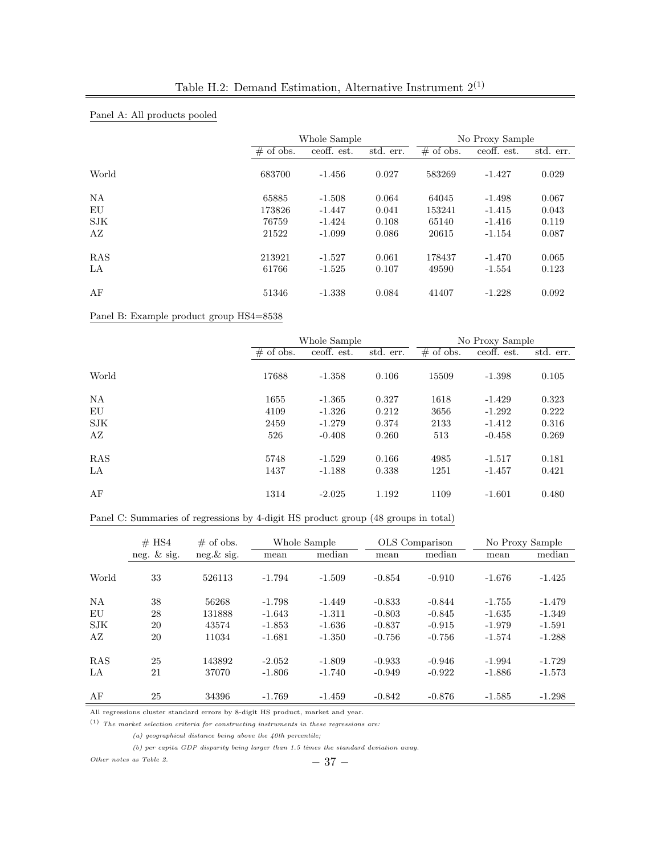|            |              | Whole Sample |           | No Proxy Sample |             |           |
|------------|--------------|--------------|-----------|-----------------|-------------|-----------|
|            | $\#$ of obs. | ceoff. est.  | std. err. | $\#$ of obs.    | ceoff. est. | std. err. |
| World      | 683700       | $-1.456$     | 0.027     | 583269          | $-1.427$    | 0.029     |
| NA         | 65885        | $-1.508$     | 0.064     | 64045           | $-1.498$    | 0.067     |
| EU         | 173826       | $-1.447$     | 0.041     | 153241          | $-1.415$    | 0.043     |
| <b>SJK</b> | 76759        | $-1.424$     | 0.108     | 65140           | $-1.416$    | 0.119     |
| AZ         | 21522        | $-1.099$     | 0.086     | 20615           | $-1.154$    | 0.087     |
| RAS        | 213921       | $-1.527$     | 0.061     | 178437          | $-1.470$    | 0.065     |
| LA         | 61766        | $-1.525$     | 0.107     | 49590           | $-1.554$    | 0.123     |
| AF         | 51346        | $-1.338$     | 0.084     | 41407           | $-1.228$    | 0.092     |

## Panel A: All products pooled

Panel B: Example product group HS4=8538

|            | Whole Sample |             |           | No Proxy Sample |             |           |
|------------|--------------|-------------|-----------|-----------------|-------------|-----------|
|            | $\#$ of obs. | ceoff. est. | std. err. | $\#$ of obs.    | ceoff. est. | std. err. |
| World      | 17688        | $-1.358$    | 0.106     | 15509           | $-1.398$    | 0.105     |
| NA         | 1655         | $-1.365$    | 0.327     | 1618            | $-1.429$    | 0.323     |
| EU         | 4109         | $-1.326$    | 0.212     | 3656            | $-1.292$    | 0.222     |
| <b>SJK</b> | 2459         | $-1.279$    | 0.374     | 2133            | $-1.412$    | 0.316     |
| AZ         | 526          | $-0.408$    | 0.260     | 513             | $-0.458$    | 0.269     |
| RAS        | 5748         | $-1.529$    | 0.166     | 4985            | $-1.517$    | 0.181     |
| LA         | 1437         | $-1.188$    | 0.338     | 1251            | $-1.457$    | 0.421     |
| AF         | 1314         | $-2.025$    | 1.192     | 1109            | $-1.601$    | 0.480     |

#### Panel C: Summaries of regressions by 4-digit HS product group (48 groups in total)

|            | $#$ HS4        | $\#$ of obs.  | Whole Sample |          | OLS Comparison |          | No Proxy Sample |          |
|------------|----------------|---------------|--------------|----------|----------------|----------|-----------------|----------|
|            | neg. $\&$ sig. | $neg.\&$ sig. | mean         | median   | mean           | median   | mean            | median   |
| World      | 33             | 526113        | $-1.794$     | $-1.509$ | $-0.854$       | $-0.910$ | $-1.676$        | $-1.425$ |
| <b>NA</b>  | 38             | 56268         | $-1.798$     | $-1.449$ | $-0.833$       | $-0.844$ | $-1.755$        | $-1.479$ |
| EU         | 28             | 131888        | $-1.643$     | $-1.311$ | $-0.803$       | $-0.845$ | $-1.635$        | $-1.349$ |
| SJK        | 20             | 43574         | $-1.853$     | $-1.636$ | $-0.837$       | $-0.915$ | $-1.979$        | $-1.591$ |
| ΑZ         | 20             | 11034         | $-1.681$     | $-1.350$ | $-0.756$       | $-0.756$ | $-1.574$        | $-1.288$ |
| <b>RAS</b> | 25             | 143892        | $-2.052$     | $-1.809$ | $-0.933$       | $-0.946$ | $-1.994$        | $-1.729$ |
| LA         | 21             | 37070         | $-1.806$     | $-1.740$ | $-0.949$       | $-0.922$ | $-1.886$        | $-1.573$ |
| AF         | 25             | 34396         | $-1.769$     | $-1.459$ | $-0.842$       | $-0.876$ | $-1.585$        | $-1.298$ |

All regressions cluster standard errors by 8-digit HS product, market and year.

 $(1)$  The market selection criteria for constructing instruments in these regressions are:

 $(a)$  geographical distance being above the 40th percentile;

(b) per capita GDP disparity being larger than 1.5 times the standard deviation away.

Other notes as Table 2.  $-37 -$